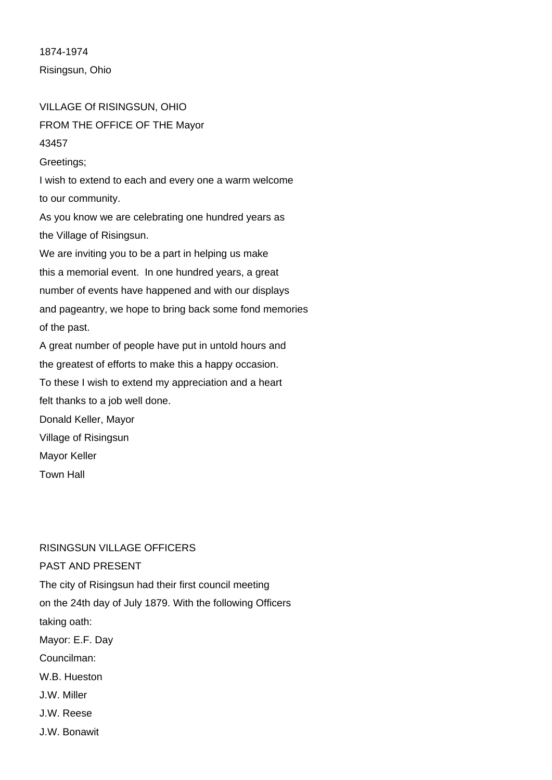1874-1974 Risingsun, Ohio

# VILLAGE Of RISINGSUN, OHIO FROM THE OFFICE OF THE Mayor

### 43457

Greetings;

I wish to extend to each and every one a warm welcome to our community.

As you know we are celebrating one hundred years as the Village of Risingsun.

We are inviting you to be a part in helping us make this a memorial event. In one hundred years, a great number of events have happened and with our displays and pageantry, we hope to bring back some fond memories of the past.

A great number of people have put in untold hours and the greatest of efforts to make this a happy occasion.

To these I wish to extend my appreciation and a heart felt thanks to a job well done.

Donald Keller, Mayor

Village of Risingsun

Mayor Keller

Town Hall

# RISINGSUN VILLAGE OFFICERS

PAST AND PRESENT The city of Risingsun had their first council meeting on the 24th day of July 1879. With the following Officers taking oath: Mayor: E.F. Day Councilman: W.B. Hueston J.W. Miller J.W. Reese J.W. Bonawit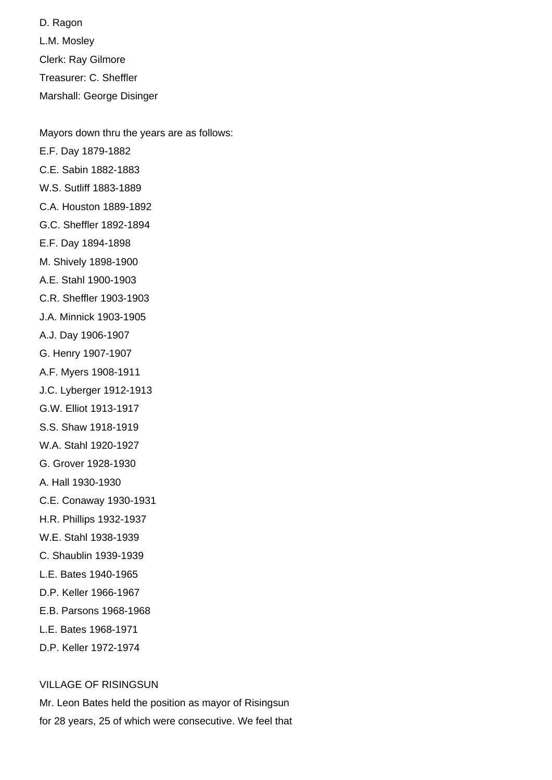D. Ragon L.M. Mosley Clerk: Ray Gilmore Treasurer: C. Sheffler Marshall: George Disinger

Mayors down thru the years are as follows: E.F. Day 1879-1882 C.E. Sabin 1882-1883 W.S. Sutliff 1883-1889 C.A. Houston 1889-1892 G.C. Sheffler 1892-1894 E.F. Day 1894-1898 M. Shively 1898-1900 A.E. Stahl 1900-1903 C.R. Sheffler 1903-1903 J.A. Minnick 1903-1905 A.J. Day 1906-1907 G. Henry 1907-1907 A.F. Myers 1908-1911 J.C. Lyberger 1912-1913 G.W. Elliot 1913-1917 S.S. Shaw 1918-1919 W.A. Stahl 1920-1927 G. Grover 1928-1930 A. Hall 1930-1930 C.E. Conaway 1930-1931 H.R. Phillips 1932-1937 W.E. Stahl 1938-1939 C. Shaublin 1939-1939 L.E. Bates 1940-1965 D.P. Keller 1966-1967 E.B. Parsons 1968-1968 L.E. Bates 1968-1971 D.P. Keller 1972-1974

# VILLAGE OF RISINGSUN

Mr. Leon Bates held the position as mayor of Risingsun for 28 years, 25 of which were consecutive. We feel that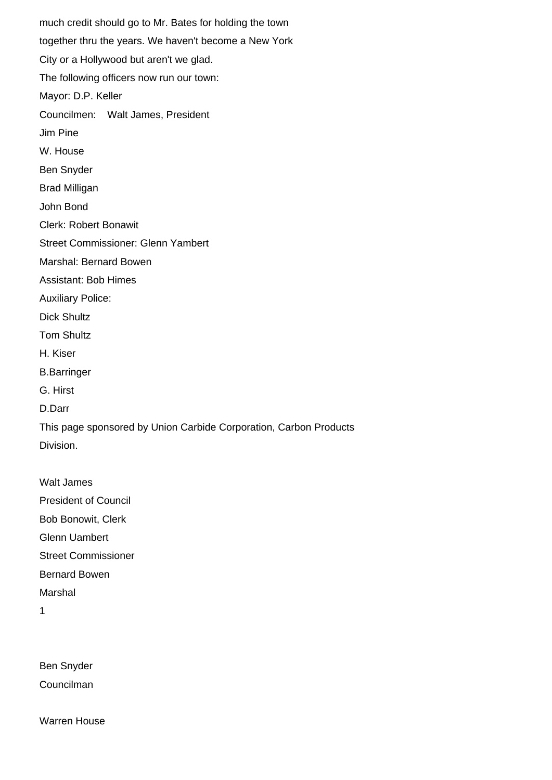much credit should go to Mr. Bates for holding the town together thru the years. We haven't become a New York City or a Hollywood but aren't we glad. The following officers now run our town: Mayor: D.P. Keller Councilmen: Walt James, President Jim Pine W. House Ben Snyder Brad Milligan John Bond Clerk: Robert Bonawit Street Commissioner: Glenn Yambert Marshal: Bernard Bowen Assistant: Bob Himes Auxiliary Police: Dick Shultz Tom Shultz H. Kiser B.Barringer G. Hirst D.Darr This page sponsored by Union Carbide Corporation, Carbon Products Division. Walt James President of Council Bob Bonowit, Clerk Glenn Uambert

Street Commissioner

Bernard Bowen

Marshal

1

Ben Snyder Councilman

Warren House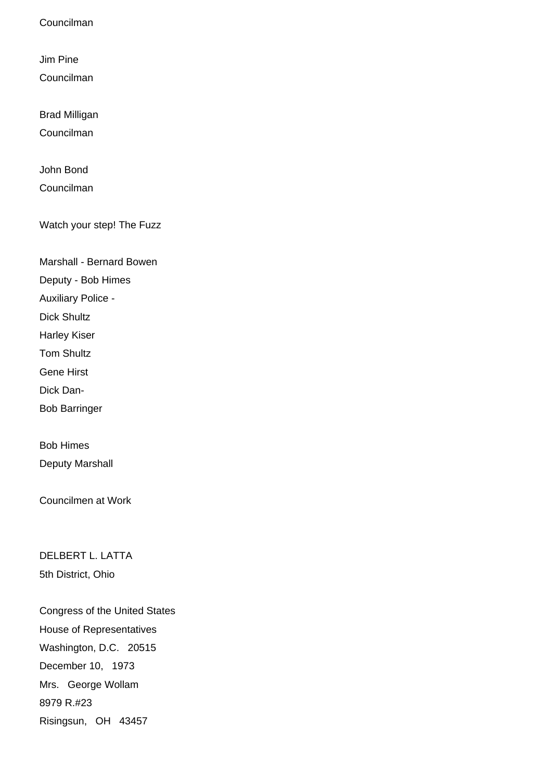Councilman

Jim Pine Councilman

Brad Milligan

Councilman

John Bond

Councilman

Watch your step! The Fuzz

Marshall - Bernard Bowen

Deputy - Bob Himes

Auxiliary Police -

Dick Shultz

Harley Kiser

Tom Shultz

Gene Hirst

Dick Dan-

Bob Barringer

Bob Himes Deputy Marshall

Councilmen at Work

DELBERT L. LATTA 5th District, Ohio

Congress of the United States House of Representatives Washington, D.C. 20515 December 10, 1973 Mrs. George Wollam 8979 R.#23 Risingsun, OH 43457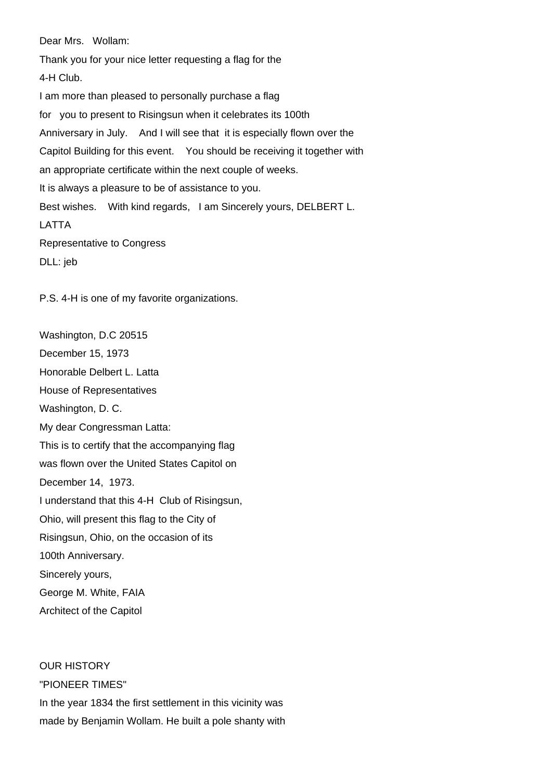Dear Mrs. Wollam:

Thank you for your nice letter requesting a flag for the 4-H Club. I am more than pleased to personally purchase a flag for you to present to Risingsun when it celebrates its 100th Anniversary in July. And I will see that it is especially flown over the Capitol Building for this event. You should be receiving it together with an appropriate certificate within the next couple of weeks. It is always a pleasure to be of assistance to you. Best wishes. With kind regards, I am Sincerely yours, DELBERT L. LATTA Representative to Congress DLL: jeb

P.S. 4-H is one of my favorite organizations.

Washington, D.C 20515 December 15, 1973 Honorable Delbert L. Latta House of Representatives Washington, D. C. My dear Congressman Latta: This is to certify that the accompanying flag was flown over the United States Capitol on December 14, 1973. I understand that this 4-H Club of Risingsun, Ohio, will present this flag to the City of Risingsun, Ohio, on the occasion of its 100th Anniversary. Sincerely yours, George M. White, FAIA Architect of the Capitol

OUR HISTORY "PIONEER TIMES" In the year 1834 the first settlement in this vicinity was made by Benjamin Wollam. He built a pole shanty with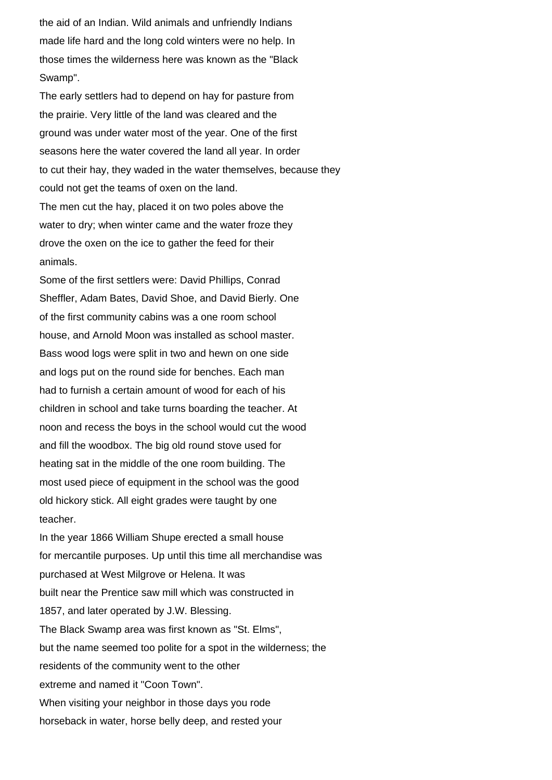the aid of an Indian. Wild animals and unfriendly Indians made life hard and the long cold winters were no help. In those times the wilderness here was known as the "Black Swamp".

The early settlers had to depend on hay for pasture from the prairie. Very little of the land was cleared and the ground was under water most of the year. One of the first seasons here the water covered the land all year. In order to cut their hay, they waded in the water themselves, because they could not get the teams of oxen on the land. The men cut the hay, placed it on two poles above the water to dry; when winter came and the water froze they drove the oxen on the ice to gather the feed for their animals.

Some of the first settlers were: David Phillips, Conrad Sheffler, Adam Bates, David Shoe, and David Bierly. One of the first community cabins was a one room school house, and Arnold Moon was installed as school master. Bass wood logs were split in two and hewn on one side and logs put on the round side for benches. Each man had to furnish a certain amount of wood for each of his children in school and take turns boarding the teacher. At noon and recess the boys in the school would cut the wood and fill the woodbox. The big old round stove used for heating sat in the middle of the one room building. The most used piece of equipment in the school was the good old hickory stick. All eight grades were taught by one teacher.

In the year 1866 William Shupe erected a small house for mercantile purposes. Up until this time all merchandise was purchased at West Milgrove or Helena. It was built near the Prentice saw mill which was constructed in 1857, and later operated by J.W. Blessing. The Black Swamp area was first known as "St. Elms", but the name seemed too polite for a spot in the wilderness; the residents of the community went to the other extreme and named it "Coon Town". When visiting your neighbor in those days you rode horseback in water, horse belly deep, and rested your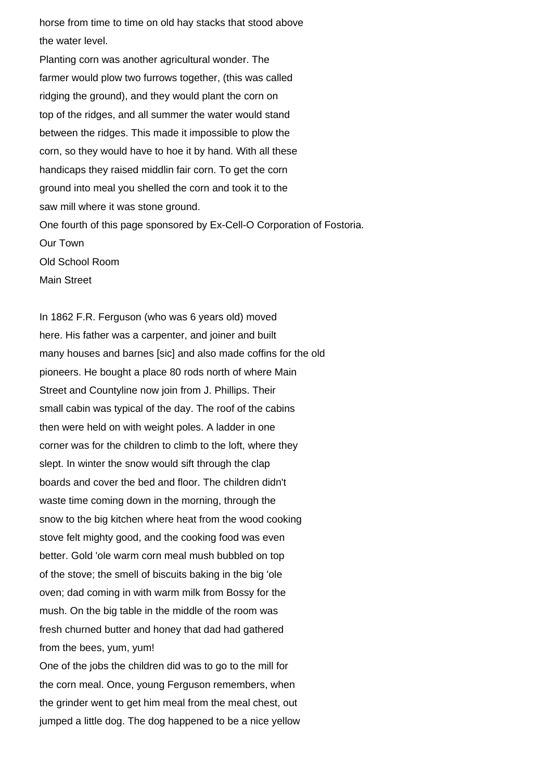horse from time to time on old hay stacks that stood above the water level.

Planting corn was another agricultural wonder. The farmer would plow two furrows together, (this was called ridging the ground), and they would plant the corn on top of the ridges, and all summer the water would stand between the ridges. This made it impossible to plow the corn, so they would have to hoe it by hand. With all these handicaps they raised middlin fair corn. To get the corn ground into meal you shelled the corn and took it to the saw mill where it was stone ground. One fourth of this page sponsored by Ex-Cell-O Corporation of Fostoria. Our Town Old School Room Main Street

In 1862 F.R. Ferguson (who was 6 years old) moved here. His father was a carpenter, and joiner and built many houses and barnes [sic] and also made coffins for the old pioneers. He bought a place 80 rods north of where Main Street and Countyline now join from J. Phillips. Their small cabin was typical of the day. The roof of the cabins then were held on with weight poles. A ladder in one corner was for the children to climb to the loft, where they slept. In winter the snow would sift through the clap boards and cover the bed and floor. The children didn't waste time coming down in the morning, through the snow to the big kitchen where heat from the wood cooking stove felt mighty good, and the cooking food was even better. Gold 'ole warm corn meal mush bubbled on top of the stove; the smell of biscuits baking in the big 'ole oven; dad coming in with warm milk from Bossy for the mush. On the big table in the middle of the room was fresh churned butter and honey that dad had gathered from the bees, yum, yum!

One of the jobs the children did was to go to the mill for the corn meal. Once, young Ferguson remembers, when the grinder went to get him meal from the meal chest, out jumped a little dog. The dog happened to be a nice yellow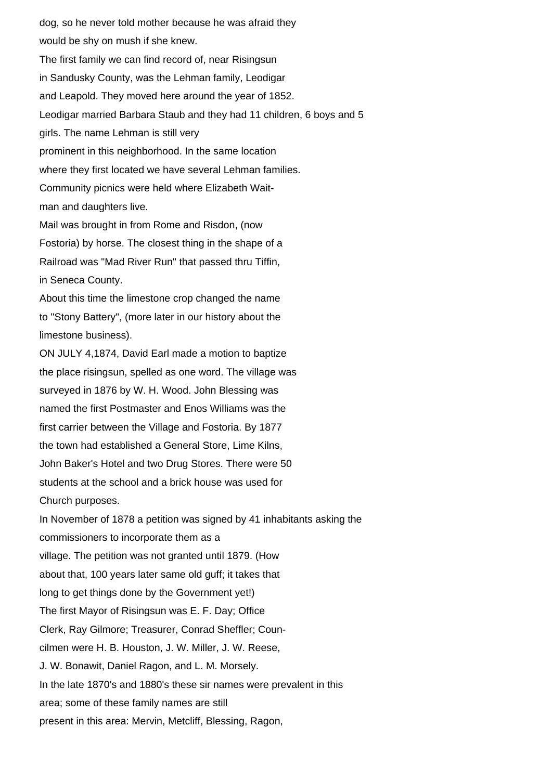dog, so he never told mother because he was afraid they would be shy on mush if she knew. The first family we can find record of, near Risingsun in Sandusky County, was the Lehman family, Leodigar and Leapold. They moved here around the year of 1852. Leodigar married Barbara Staub and they had 11 children, 6 boys and 5 girls. The name Lehman is still very prominent in this neighborhood. In the same location where they first located we have several Lehman families. Community picnics were held where Elizabeth Waitman and daughters live. Mail was brought in from Rome and Risdon, (now Fostoria) by horse. The closest thing in the shape of a Railroad was "Mad River Run" that passed thru Tiffin, in Seneca County. About this time the limestone crop changed the name to "Stony Battery", (more later in our history about the limestone business). ON JULY 4,1874, David Earl made a motion to baptize the place risingsun, spelled as one word. The village was surveyed in 1876 by W. H. Wood. John Blessing was named the first Postmaster and Enos Williams was the first carrier between the Village and Fostoria. By 1877 the town had established a General Store, Lime Kilns, John Baker's Hotel and two Drug Stores. There were 50 students at the school and a brick house was used for Church purposes. In November of 1878 a petition was signed by 41 inhabitants asking the commissioners to incorporate them as a village. The petition was not granted until 1879. (How about that, 100 years later same old guff; it takes that long to get things done by the Government yet!) The first Mayor of Risingsun was E. F. Day; Office Clerk, Ray Gilmore; Treasurer, Conrad Sheffler; Councilmen were H. B. Houston, J. W. Miller, J. W. Reese, J. W. Bonawit, Daniel Ragon, and L. M. Morsely. In the late 1870's and 1880's these sir names were prevalent in this area; some of these family names are still present in this area: Mervin, Metcliff, Blessing, Ragon,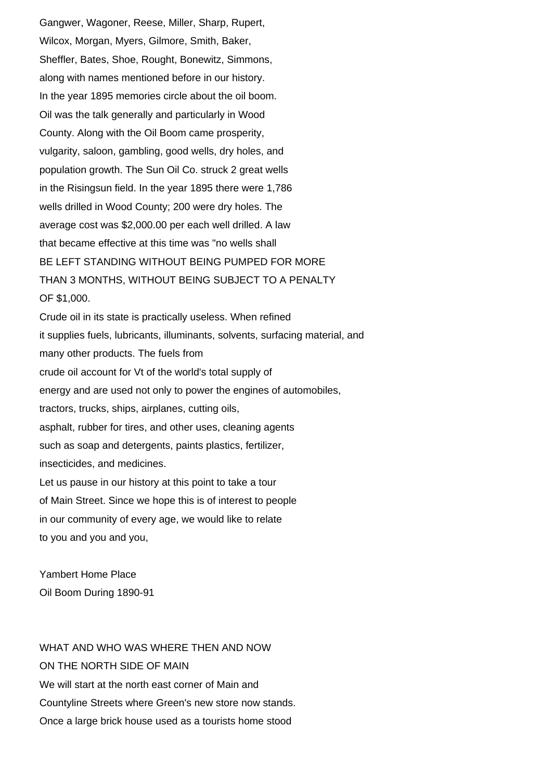Gangwer, Wagoner, Reese, Miller, Sharp, Rupert, Wilcox, Morgan, Myers, Gilmore, Smith, Baker, Sheffler, Bates, Shoe, Rought, Bonewitz, Simmons, along with names mentioned before in our history. In the year 1895 memories circle about the oil boom. Oil was the talk generally and particularly in Wood County. Along with the Oil Boom came prosperity, vulgarity, saloon, gambling, good wells, dry holes, and population growth. The Sun Oil Co. struck 2 great wells in the Risingsun field. In the year 1895 there were 1,786 wells drilled in Wood County; 200 were dry holes. The average cost was \$2,000.00 per each well drilled. A law that became effective at this time was "no wells shall BE LEFT STANDING WITHOUT BEING PUMPED FOR MORE THAN 3 MONTHS, WITHOUT BEING SUBJECT TO A PENALTY OF \$1,000. Crude oil in its state is practically useless. When refined it supplies fuels, lubricants, illuminants, solvents, surfacing material, and many other products. The fuels from crude oil account for Vt of the world's total supply of energy and are used not only to power the engines of automobiles, tractors, trucks, ships, airplanes, cutting oils, asphalt, rubber for tires, and other uses, cleaning agents such as soap and detergents, paints plastics, fertilizer, insecticides, and medicines. Let us pause in our history at this point to take a tour of Main Street. Since we hope this is of interest to people in our community of every age, we would like to relate

to you and you and you,

Yambert Home Place Oil Boom During 1890-91

WHAT AND WHO WAS WHERE THEN AND NOW ON THE NORTH SIDE OF MAIN We will start at the north east corner of Main and Countyline Streets where Green's new store now stands. Once a large brick house used as a tourists home stood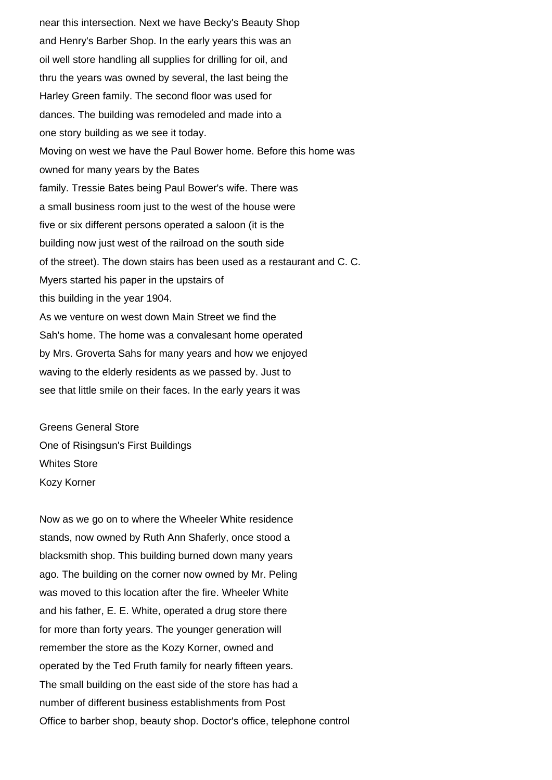near this intersection. Next we have Becky's Beauty Shop and Henry's Barber Shop. In the early years this was an oil well store handling all supplies for drilling for oil, and thru the years was owned by several, the last being the Harley Green family. The second floor was used for dances. The building was remodeled and made into a one story building as we see it today. Moving on west we have the Paul Bower home. Before this home was owned for many years by the Bates family. Tressie Bates being Paul Bower's wife. There was a small business room just to the west of the house were five or six different persons operated a saloon (it is the building now just west of the railroad on the south side of the street). The down stairs has been used as a restaurant and C. C. Myers started his paper in the upstairs of this building in the year 1904. As we venture on west down Main Street we find the Sah's home. The home was a convalesant home operated by Mrs. Groverta Sahs for many years and how we enjoyed waving to the elderly residents as we passed by. Just to see that little smile on their faces. In the early years it was

Greens General Store One of Risingsun's First Buildings Whites Store Kozy Korner

Now as we go on to where the Wheeler White residence stands, now owned by Ruth Ann Shaferly, once stood a blacksmith shop. This building burned down many years ago. The building on the corner now owned by Mr. Peling was moved to this location after the fire. Wheeler White and his father, E. E. White, operated a drug store there for more than forty years. The younger generation will remember the store as the Kozy Korner, owned and operated by the Ted Fruth family for nearly fifteen years. The small building on the east side of the store has had a number of different business establishments from Post Office to barber shop, beauty shop. Doctor's office, telephone control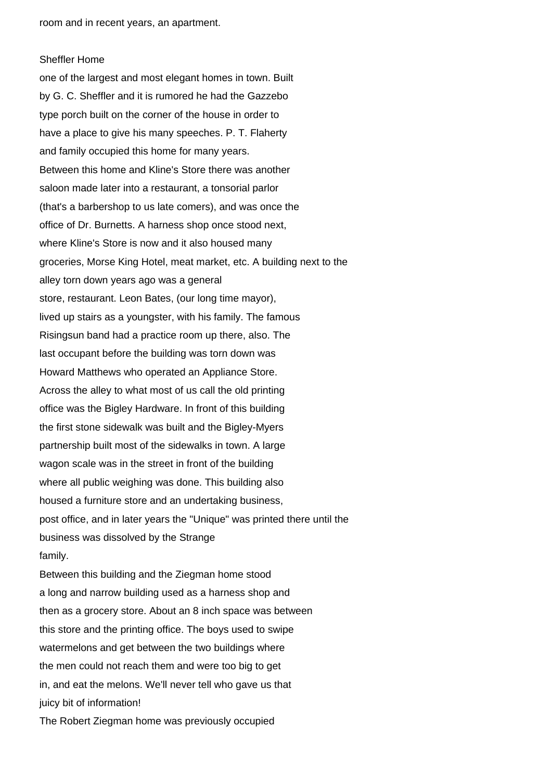room and in recent years, an apartment.

#### Sheffler Home

one of the largest and most elegant homes in town. Built by G. C. Sheffler and it is rumored he had the Gazzebo type porch built on the corner of the house in order to have a place to give his many speeches. P. T. Flaherty and family occupied this home for many years. Between this home and Kline's Store there was another saloon made later into a restaurant, a tonsorial parlor (that's a barbershop to us late comers), and was once the office of Dr. Burnetts. A harness shop once stood next, where Kline's Store is now and it also housed many groceries, Morse King Hotel, meat market, etc. A building next to the alley torn down years ago was a general store, restaurant. Leon Bates, (our long time mayor), lived up stairs as a youngster, with his family. The famous Risingsun band had a practice room up there, also. The last occupant before the building was torn down was Howard Matthews who operated an Appliance Store. Across the alley to what most of us call the old printing office was the Bigley Hardware. In front of this building the first stone sidewalk was built and the Bigley-Myers partnership built most of the sidewalks in town. A large wagon scale was in the street in front of the building where all public weighing was done. This building also housed a furniture store and an undertaking business, post office, and in later years the "Unique" was printed there until the business was dissolved by the Strange family.

Between this building and the Ziegman home stood a long and narrow building used as a harness shop and then as a grocery store. About an 8 inch space was between this store and the printing office. The boys used to swipe watermelons and get between the two buildings where the men could not reach them and were too big to get in, and eat the melons. We'll never tell who gave us that juicy bit of information!

The Robert Ziegman home was previously occupied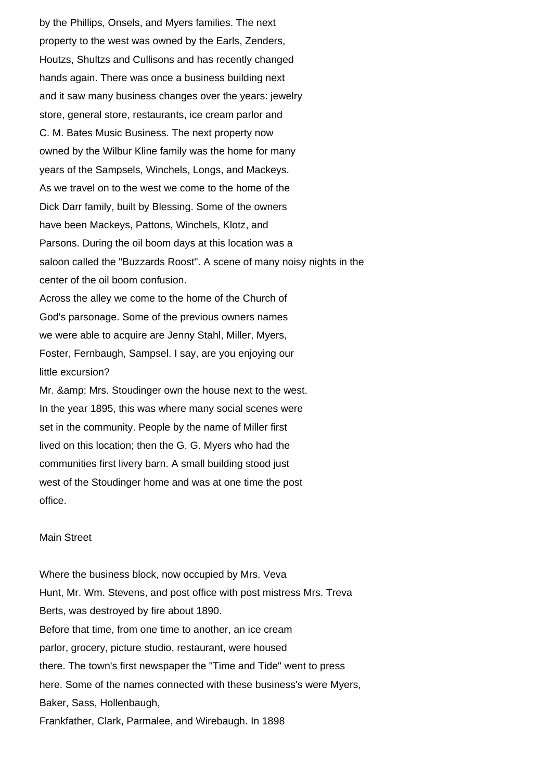by the Phillips, Onsels, and Myers families. The next property to the west was owned by the Earls, Zenders, Houtzs, Shultzs and Cullisons and has recently changed hands again. There was once a business building next and it saw many business changes over the years: jewelry store, general store, restaurants, ice cream parlor and C. M. Bates Music Business. The next property now owned by the Wilbur Kline family was the home for many years of the Sampsels, Winchels, Longs, and Mackeys. As we travel on to the west we come to the home of the Dick Darr family, built by Blessing. Some of the owners have been Mackeys, Pattons, Winchels, Klotz, and Parsons. During the oil boom days at this location was a saloon called the "Buzzards Roost". A scene of many noisy nights in the center of the oil boom confusion. Across the alley we come to the home of the Church of God's parsonage. Some of the previous owners names we were able to acquire are Jenny Stahl, Miller, Myers, Foster, Fernbaugh, Sampsel. I say, are you enjoying our little excursion? Mr. & amp; Mrs. Stoudinger own the house next to the west.

In the year 1895, this was where many social scenes were set in the community. People by the name of Miller first lived on this location; then the G. G. Myers who had the communities first livery barn. A small building stood just west of the Stoudinger home and was at one time the post office.

### Main Street

Where the business block, now occupied by Mrs. Veva Hunt, Mr. Wm. Stevens, and post office with post mistress Mrs. Treva Berts, was destroyed by fire about 1890. Before that time, from one time to another, an ice cream parlor, grocery, picture studio, restaurant, were housed there. The town's first newspaper the "Time and Tide" went to press here. Some of the names connected with these business's were Myers, Baker, Sass, Hollenbaugh, Frankfather, Clark, Parmalee, and Wirebaugh. In 1898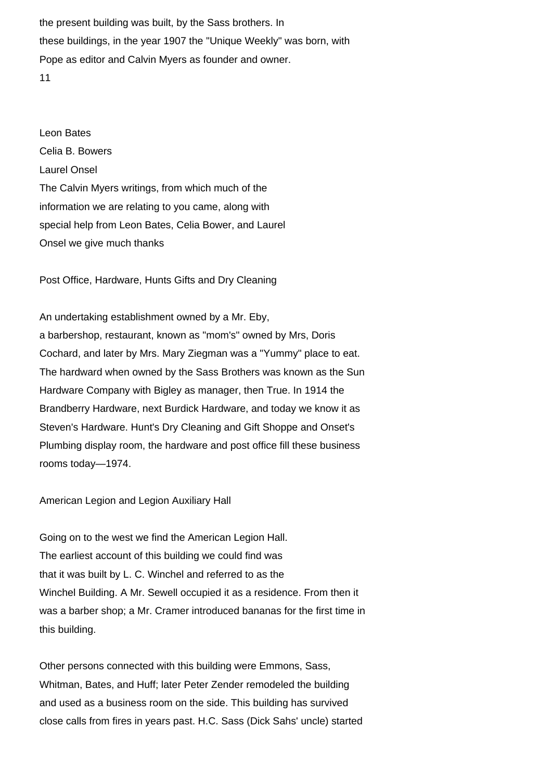the present building was built, by the Sass brothers. In these buildings, in the year 1907 the "Unique Weekly" was born, with Pope as editor and Calvin Myers as founder and owner. 11

Leon Bates Celia B. Bowers Laurel Onsel The Calvin Myers writings, from which much of the information we are relating to you came, along with special help from Leon Bates, Celia Bower, and Laurel Onsel we give much thanks

Post Office, Hardware, Hunts Gifts and Dry Cleaning

An undertaking establishment owned by a Mr. Eby, a barbershop, restaurant, known as "mom's" owned by Mrs, Doris Cochard, and later by Mrs. Mary Ziegman was a "Yummy" place to eat. The hardward when owned by the Sass Brothers was known as the Sun Hardware Company with Bigley as manager, then True. In 1914 the Brandberry Hardware, next Burdick Hardware, and today we know it as Steven's Hardware. Hunt's Dry Cleaning and Gift Shoppe and Onset's Plumbing display room, the hardware and post office fill these business rooms today—1974.

American Legion and Legion Auxiliary Hall

Going on to the west we find the American Legion Hall. The earliest account of this building we could find was that it was built by L. C. Winchel and referred to as the Winchel Building. A Mr. Sewell occupied it as a residence. From then it was a barber shop; a Mr. Cramer introduced bananas for the first time in this building.

Other persons connected with this building were Emmons, Sass, Whitman, Bates, and Huff; later Peter Zender remodeled the building and used as a business room on the side. This building has survived close calls from fires in years past. H.C. Sass (Dick Sahs' uncle) started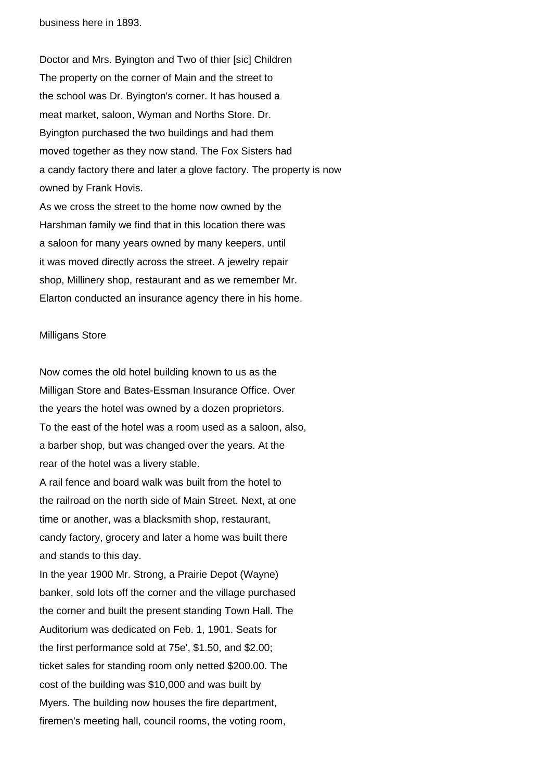business here in 1893.

Doctor and Mrs. Byington and Two of thier [sic] Children The property on the corner of Main and the street to the school was Dr. Byington's corner. It has housed a meat market, saloon, Wyman and Norths Store. Dr. Byington purchased the two buildings and had them moved together as they now stand. The Fox Sisters had a candy factory there and later a glove factory. The property is now owned by Frank Hovis. As we cross the street to the home now owned by the Harshman family we find that in this location there was a saloon for many years owned by many keepers, until

it was moved directly across the street. A jewelry repair shop, Millinery shop, restaurant and as we remember Mr.

Elarton conducted an insurance agency there in his home.

#### Milligans Store

Now comes the old hotel building known to us as the Milligan Store and Bates-Essman Insurance Office. Over the years the hotel was owned by a dozen proprietors. To the east of the hotel was a room used as a saloon, also, a barber shop, but was changed over the years. At the rear of the hotel was a livery stable.

A rail fence and board walk was built from the hotel to the railroad on the north side of Main Street. Next, at one time or another, was a blacksmith shop, restaurant, candy factory, grocery and later a home was built there and stands to this day.

In the year 1900 Mr. Strong, a Prairie Depot (Wayne) banker, sold lots off the corner and the village purchased the corner and built the present standing Town Hall. The Auditorium was dedicated on Feb. 1, 1901. Seats for the first performance sold at 75e', \$1.50, and \$2.00; ticket sales for standing room only netted \$200.00. The cost of the building was \$10,000 and was built by Myers. The building now houses the fire department, firemen's meeting hall, council rooms, the voting room,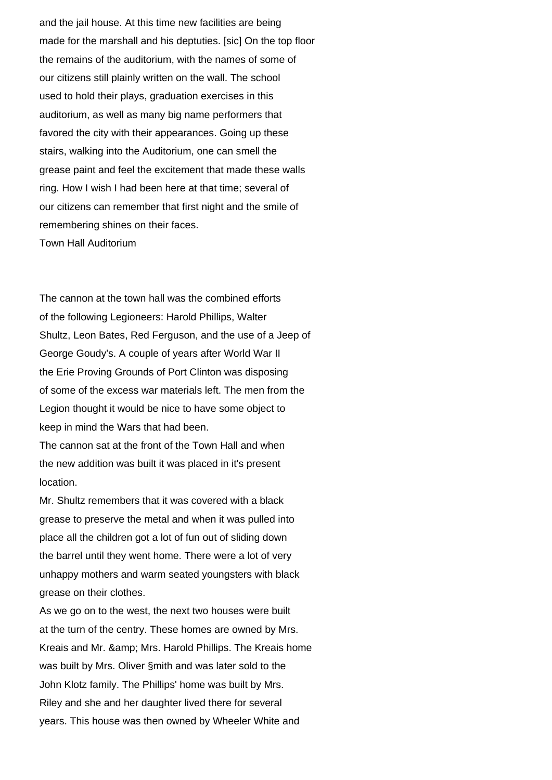and the jail house. At this time new facilities are being made for the marshall and his deptuties. [sic] On the top floor the remains of the auditorium, with the names of some of our citizens still plainly written on the wall. The school used to hold their plays, graduation exercises in this auditorium, as well as many big name performers that favored the city with their appearances. Going up these stairs, walking into the Auditorium, one can smell the grease paint and feel the excitement that made these walls ring. How I wish I had been here at that time; several of our citizens can remember that first night and the smile of remembering shines on their faces. Town Hall Auditorium

The cannon at the town hall was the combined efforts of the following Legioneers: Harold Phillips, Walter Shultz, Leon Bates, Red Ferguson, and the use of a Jeep of George Goudy's. A couple of years after World War II the Erie Proving Grounds of Port Clinton was disposing of some of the excess war materials left. The men from the Legion thought it would be nice to have some object to keep in mind the Wars that had been.

The cannon sat at the front of the Town Hall and when the new addition was built it was placed in it's present location.

Mr. Shultz remembers that it was covered with a black grease to preserve the metal and when it was pulled into place all the children got a lot of fun out of sliding down the barrel until they went home. There were a lot of very unhappy mothers and warm seated youngsters with black grease on their clothes.

As we go on to the west, the next two houses were built at the turn of the centry. These homes are owned by Mrs. Kreais and Mr. & amp; Mrs. Harold Phillips. The Kreais home was built by Mrs. Oliver §mith and was later sold to the John Klotz family. The Phillips' home was built by Mrs. Riley and she and her daughter lived there for several years. This house was then owned by Wheeler White and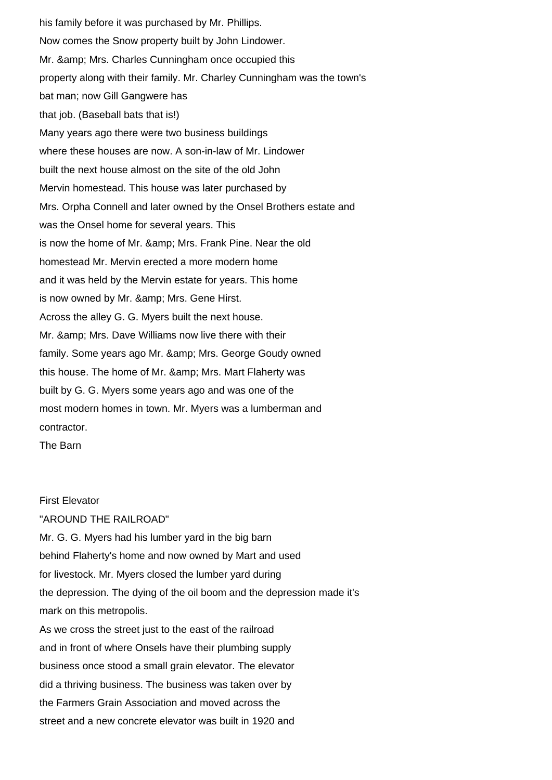his family before it was purchased by Mr. Phillips. Now comes the Snow property built by John Lindower. Mr. & amp; Mrs. Charles Cunningham once occupied this property along with their family. Mr. Charley Cunningham was the town's bat man; now Gill Gangwere has that job. (Baseball bats that is!) Many years ago there were two business buildings where these houses are now. A son-in-law of Mr. Lindower built the next house almost on the site of the old John Mervin homestead. This house was later purchased by Mrs. Orpha Connell and later owned by the Onsel Brothers estate and was the Onsel home for several years. This is now the home of Mr. & amp: Mrs. Frank Pine. Near the old homestead Mr. Mervin erected a more modern home and it was held by the Mervin estate for years. This home is now owned by Mr. & amp; Mrs. Gene Hirst. Across the alley G. G. Myers built the next house. Mr. & amp; Mrs. Dave Williams now live there with their family. Some years ago Mr. & amp; Mrs. George Goudy owned this house. The home of Mr. & amp; Mrs. Mart Flaherty was built by G. G. Myers some years ago and was one of the most modern homes in town. Mr. Myers was a lumberman and contractor.

The Barn

# First Elevator

"AROUND THE RAILROAD"

Mr. G. G. Myers had his lumber yard in the big barn behind Flaherty's home and now owned by Mart and used for livestock. Mr. Myers closed the lumber yard during the depression. The dying of the oil boom and the depression made it's mark on this metropolis.

As we cross the street just to the east of the railroad and in front of where Onsels have their plumbing supply business once stood a small grain elevator. The elevator did a thriving business. The business was taken over by the Farmers Grain Association and moved across the street and a new concrete elevator was built in 1920 and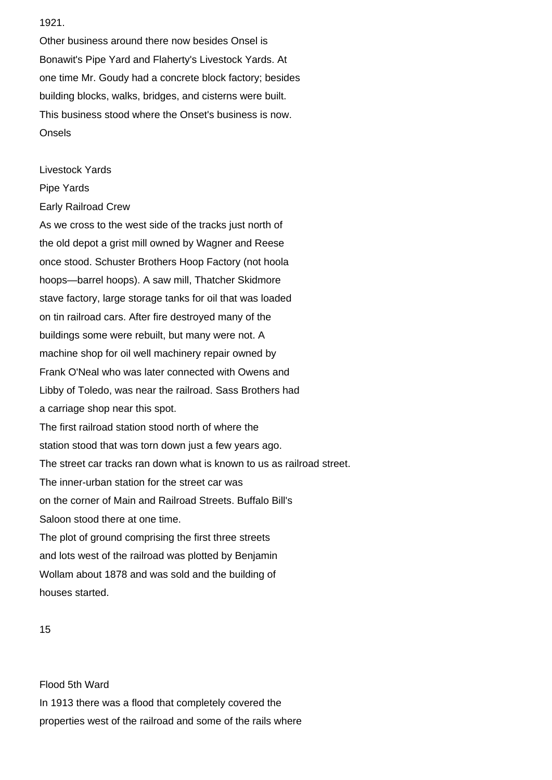1921.

Other business around there now besides Onsel is Bonawit's Pipe Yard and Flaherty's Livestock Yards. At one time Mr. Goudy had a concrete block factory; besides building blocks, walks, bridges, and cisterns were built. This business stood where the Onset's business is now. Onsels

Livestock Yards

- Pipe Yards
- Early Railroad Crew

As we cross to the west side of the tracks just north of the old depot a grist mill owned by Wagner and Reese once stood. Schuster Brothers Hoop Factory (not hoola hoops—barrel hoops). A saw mill, Thatcher Skidmore stave factory, large storage tanks for oil that was loaded on tin railroad cars. After fire destroyed many of the buildings some were rebuilt, but many were not. A machine shop for oil well machinery repair owned by Frank O'Neal who was later connected with Owens and Libby of Toledo, was near the railroad. Sass Brothers had a carriage shop near this spot. The first railroad station stood north of where the station stood that was torn down just a few years ago. The street car tracks ran down what is known to us as railroad street. The inner-urban station for the street car was on the corner of Main and Railroad Streets. Buffalo Bill's Saloon stood there at one time. The plot of ground comprising the first three streets and lots west of the railroad was plotted by Benjamin Wollam about 1878 and was sold and the building of houses started.

Flood 5th Ward In 1913 there was a flood that completely covered the properties west of the railroad and some of the rails where

<sup>15</sup>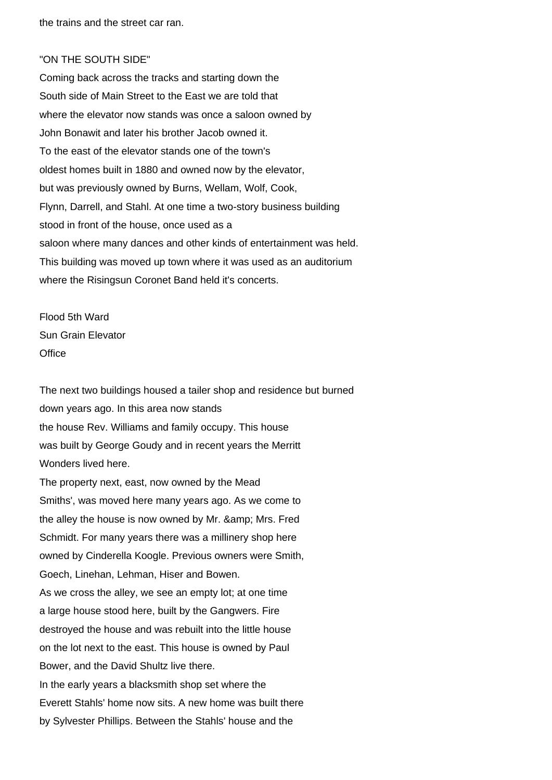the trains and the street car ran.

#### "ON THE SOUTH SIDE"

Coming back across the tracks and starting down the South side of Main Street to the East we are told that where the elevator now stands was once a saloon owned by John Bonawit and later his brother Jacob owned it. To the east of the elevator stands one of the town's oldest homes built in 1880 and owned now by the elevator, but was previously owned by Burns, Wellam, Wolf, Cook, Flynn, Darrell, and Stahl. At one time a two-story business building stood in front of the house, once used as a saloon where many dances and other kinds of entertainment was held. This building was moved up town where it was used as an auditorium where the Risingsun Coronet Band held it's concerts.

Flood 5th Ward Sun Grain Elevator **Office** 

The next two buildings housed a tailer shop and residence but burned down years ago. In this area now stands the house Rev. Williams and family occupy. This house was built by George Goudy and in recent years the Merritt Wonders lived here.

The property next, east, now owned by the Mead Smiths', was moved here many years ago. As we come to the alley the house is now owned by Mr. & amp; Mrs. Fred Schmidt. For many years there was a millinery shop here owned by Cinderella Koogle. Previous owners were Smith, Goech, Linehan, Lehman, Hiser and Bowen. As we cross the alley, we see an empty lot; at one time a large house stood here, built by the Gangwers. Fire destroyed the house and was rebuilt into the little house on the lot next to the east. This house is owned by Paul Bower, and the David Shultz live there. In the early years a blacksmith shop set where the Everett Stahls' home now sits. A new home was built there by Sylvester Phillips. Between the Stahls' house and the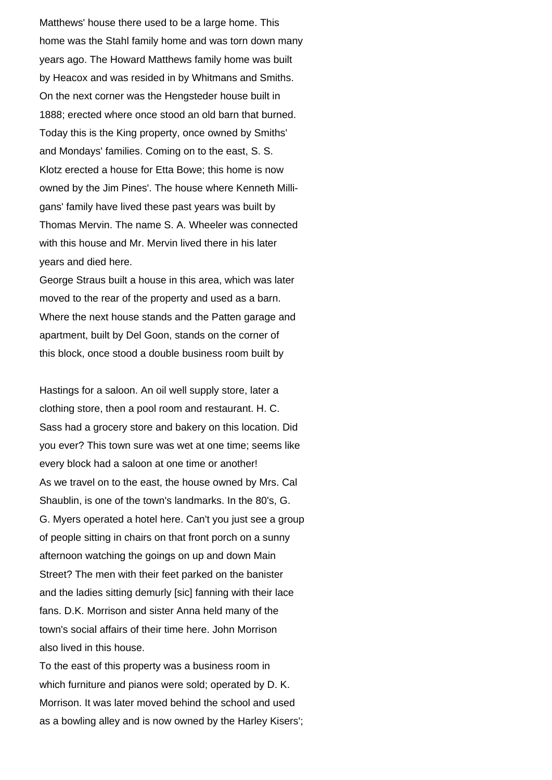Matthews' house there used to be a large home. This home was the Stahl family home and was torn down many years ago. The Howard Matthews family home was built by Heacox and was resided in by Whitmans and Smiths. On the next corner was the Hengsteder house built in 1888; erected where once stood an old barn that burned. Today this is the King property, once owned by Smiths' and Mondays' families. Coming on to the east, S. S. Klotz erected a house for Etta Bowe; this home is now owned by the Jim Pines'. The house where Kenneth Milligans' family have lived these past years was built by Thomas Mervin. The name S. A. Wheeler was connected with this house and Mr. Mervin lived there in his later years and died here.

George Straus built a house in this area, which was later moved to the rear of the property and used as a barn. Where the next house stands and the Patten garage and apartment, built by Del Goon, stands on the corner of this block, once stood a double business room built by

Hastings for a saloon. An oil well supply store, later a clothing store, then a pool room and restaurant. H. C. Sass had a grocery store and bakery on this location. Did you ever? This town sure was wet at one time; seems like every block had a saloon at one time or another! As we travel on to the east, the house owned by Mrs. Cal Shaublin, is one of the town's landmarks. In the 80's, G. G. Myers operated a hotel here. Can't you just see a group of people sitting in chairs on that front porch on a sunny afternoon watching the goings on up and down Main Street? The men with their feet parked on the banister and the ladies sitting demurly [sic] fanning with their lace fans. D.K. Morrison and sister Anna held many of the town's social affairs of their time here. John Morrison also lived in this house.

To the east of this property was a business room in which furniture and pianos were sold; operated by D. K. Morrison. It was later moved behind the school and used as a bowling alley and is now owned by the Harley Kisers';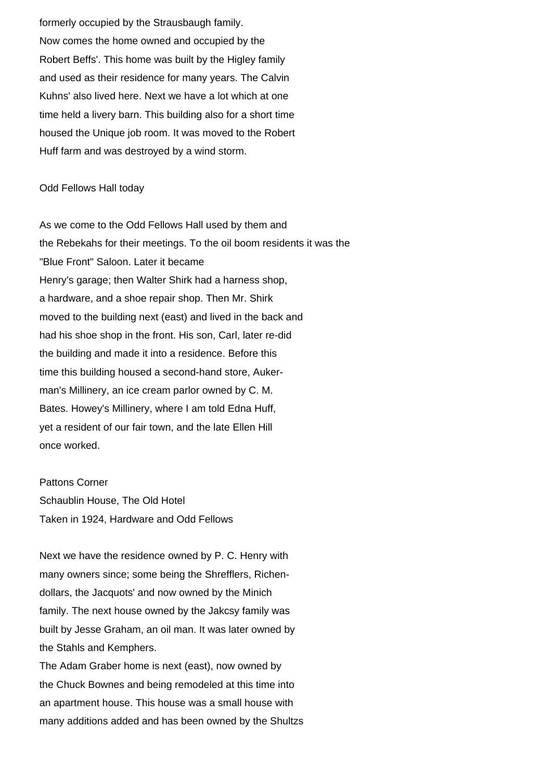formerly occupied by the Strausbaugh family. Now comes the home owned and occupied by the Robert Beffs'. This home was built by the Higley family and used as their residence for many years. The Calvin Kuhns' also lived here. Next we have a lot which at one time held a livery barn. This building also for a short time housed the Unique job room. It was moved to the Robert Huff farm and was destroyed by a wind storm.

# Odd Fellows Hall today

As we come to the Odd Fellows Hall used by them and the Rebekahs for their meetings. To the oil boom residents it was the "Blue Front" Saloon. Later it became Henry's garage; then Walter Shirk had a harness shop, a hardware, and a shoe repair shop. Then Mr. Shirk moved to the building next (east) and lived in the back and had his shoe shop in the front. His son, Carl, later re-did the building and made it into a residence. Before this time this building housed a second-hand store, Aukerman's Millinery, an ice cream parlor owned by C. M. Bates. Howey's Millinery, where I am told Edna Huff, yet a resident of our fair town, and the late Ellen Hill once worked.

Pattons Corner Schaublin House, The Old Hotel Taken in 1924, Hardware and Odd Fellows

Next we have the residence owned by P. C. Henry with many owners since; some being the Shrefflers, Richendollars, the Jacquots' and now owned by the Minich family. The next house owned by the Jakcsy family was built by Jesse Graham, an oil man. It was later owned by the Stahls and Kemphers.

The Adam Graber home is next (east), now owned by the Chuck Bownes and being remodeled at this time into an apartment house. This house was a small house with many additions added and has been owned by the Shultzs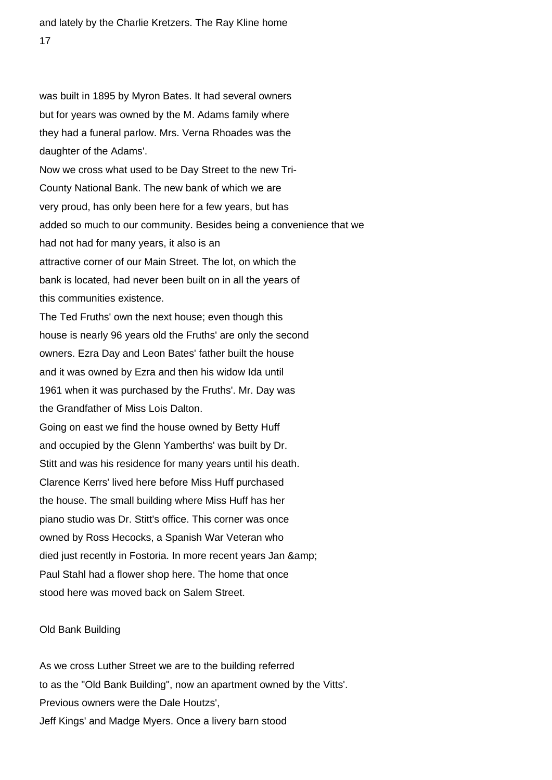was built in 1895 by Myron Bates. It had several owners but for years was owned by the M. Adams family where they had a funeral parlow. Mrs. Verna Rhoades was the daughter of the Adams'.

Now we cross what used to be Day Street to the new Tri-County National Bank. The new bank of which we are very proud, has only been here for a few years, but has added so much to our community. Besides being a convenience that we had not had for many years, it also is an attractive corner of our Main Street. The lot, on which the bank is located, had never been built on in all the years of this communities existence.

The Ted Fruths' own the next house; even though this house is nearly 96 years old the Fruths' are only the second owners. Ezra Day and Leon Bates' father built the house and it was owned by Ezra and then his widow Ida until 1961 when it was purchased by the Fruths'. Mr. Day was the Grandfather of Miss Lois Dalton. Going on east we find the house owned by Betty Huff

and occupied by the Glenn Yamberths' was built by Dr. Stitt and was his residence for many years until his death. Clarence Kerrs' lived here before Miss Huff purchased the house. The small building where Miss Huff has her piano studio was Dr. Stitt's office. This corner was once owned by Ross Hecocks, a Spanish War Veteran who died just recently in Fostoria. In more recent years Jan & Paul Stahl had a flower shop here. The home that once stood here was moved back on Salem Street.

### Old Bank Building

As we cross Luther Street we are to the building referred to as the "Old Bank Building", now an apartment owned by the Vitts'. Previous owners were the Dale Houtzs', Jeff Kings' and Madge Myers. Once a livery barn stood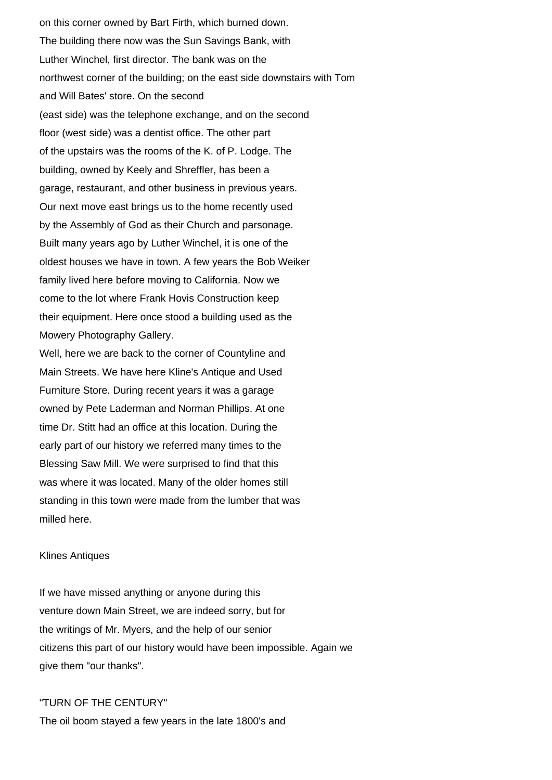on this corner owned by Bart Firth, which burned down. The building there now was the Sun Savings Bank, with Luther Winchel, first director. The bank was on the northwest corner of the building; on the east side downstairs with Tom and Will Bates' store. On the second (east side) was the telephone exchange, and on the second floor (west side) was a dentist office. The other part of the upstairs was the rooms of the K. of P. Lodge. The building, owned by Keely and Shreffler, has been a garage, restaurant, and other business in previous years. Our next move east brings us to the home recently used by the Assembly of God as their Church and parsonage. Built many years ago by Luther Winchel, it is one of the oldest houses we have in town. A few years the Bob Weiker family lived here before moving to California. Now we come to the lot where Frank Hovis Construction keep their equipment. Here once stood a building used as the Mowery Photography Gallery.

Well, here we are back to the corner of Countyline and Main Streets. We have here Kline's Antique and Used Furniture Store. During recent years it was a garage owned by Pete Laderman and Norman Phillips. At one time Dr. Stitt had an office at this location. During the early part of our history we referred many times to the Blessing Saw Mill. We were surprised to find that this was where it was located. Many of the older homes still standing in this town were made from the lumber that was milled here.

#### Klines Antiques

If we have missed anything or anyone during this venture down Main Street, we are indeed sorry, but for the writings of Mr. Myers, and the help of our senior citizens this part of our history would have been impossible. Again we give them "our thanks".

# "TURN OF THE CENTURY"

The oil boom stayed a few years in the late 1800's and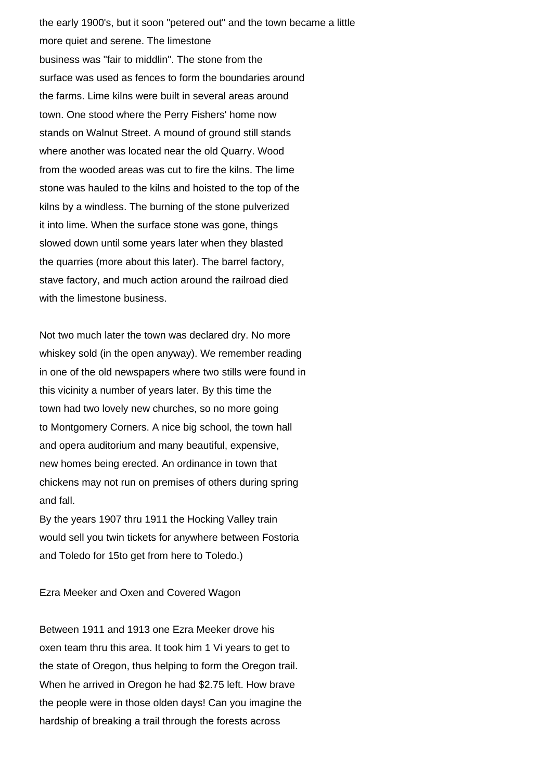the early 1900's, but it soon "petered out" and the town became a little more quiet and serene. The limestone business was "fair to middlin". The stone from the surface was used as fences to form the boundaries around the farms. Lime kilns were built in several areas around town. One stood where the Perry Fishers' home now stands on Walnut Street. A mound of ground still stands where another was located near the old Quarry. Wood from the wooded areas was cut to fire the kilns. The lime stone was hauled to the kilns and hoisted to the top of the kilns by a windless. The burning of the stone pulverized it into lime. When the surface stone was gone, things slowed down until some years later when they blasted the quarries (more about this later). The barrel factory, stave factory, and much action around the railroad died with the limestone business.

Not two much later the town was declared dry. No more whiskey sold (in the open anyway). We remember reading in one of the old newspapers where two stills were found in this vicinity a number of years later. By this time the town had two lovely new churches, so no more going to Montgomery Corners. A nice big school, the town hall and opera auditorium and many beautiful, expensive, new homes being erected. An ordinance in town that chickens may not run on premises of others during spring and fall.

By the years 1907 thru 1911 the Hocking Valley train would sell you twin tickets for anywhere between Fostoria and Toledo for 15to get from here to Toledo.)

### Ezra Meeker and Oxen and Covered Wagon

Between 1911 and 1913 one Ezra Meeker drove his oxen team thru this area. It took him 1 Vi years to get to the state of Oregon, thus helping to form the Oregon trail. When he arrived in Oregon he had \$2.75 left. How brave the people were in those olden days! Can you imagine the hardship of breaking a trail through the forests across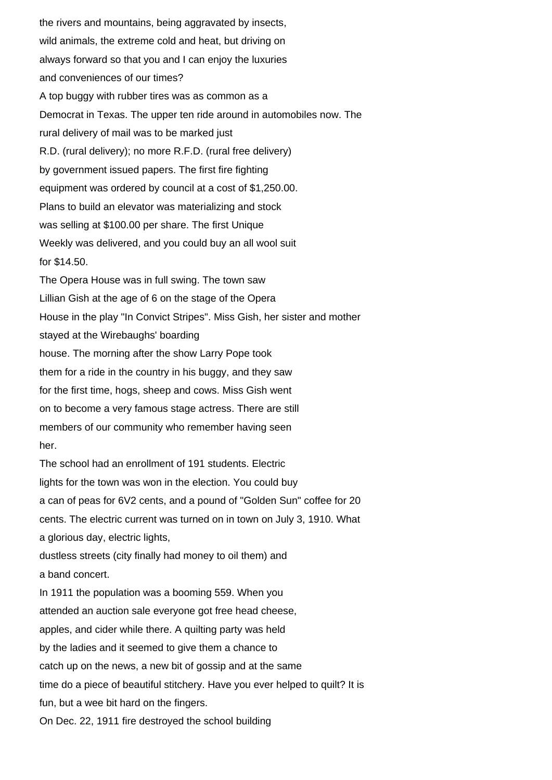the rivers and mountains, being aggravated by insects, wild animals, the extreme cold and heat, but driving on always forward so that you and I can enjoy the luxuries and conveniences of our times? A top buggy with rubber tires was as common as a Democrat in Texas. The upper ten ride around in automobiles now. The rural delivery of mail was to be marked just R.D. (rural delivery); no more R.F.D. (rural free delivery) by government issued papers. The first fire fighting equipment was ordered by council at a cost of \$1,250.00. Plans to build an elevator was materializing and stock was selling at \$100.00 per share. The first Unique Weekly was delivered, and you could buy an all wool suit for \$14.50. The Opera House was in full swing. The town saw Lillian Gish at the age of 6 on the stage of the Opera House in the play "In Convict Stripes". Miss Gish, her sister and mother stayed at the Wirebaughs' boarding house. The morning after the show Larry Pope took them for a ride in the country in his buggy, and they saw for the first time, hogs, sheep and cows. Miss Gish went on to become a very famous stage actress. There are still members of our community who remember having seen her. The school had an enrollment of 191 students. Electric lights for the town was won in the election. You could buy a can of peas for 6V2 cents, and a pound of "Golden Sun" coffee for 20 cents. The electric current was turned on in town on July 3, 1910. What a glorious day, electric lights, dustless streets (city finally had money to oil them) and a band concert. In 1911 the population was a booming 559. When you attended an auction sale everyone got free head cheese, apples, and cider while there. A quilting party was held by the ladies and it seemed to give them a chance to catch up on the news, a new bit of gossip and at the same time do a piece of beautiful stitchery. Have you ever helped to quilt? It is fun, but a wee bit hard on the fingers. On Dec. 22, 1911 fire destroyed the school building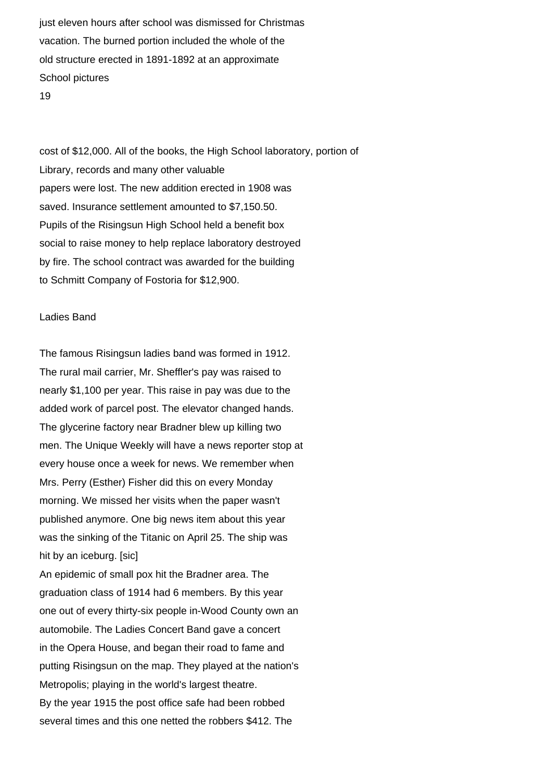just eleven hours after school was dismissed for Christmas vacation. The burned portion included the whole of the old structure erected in 1891-1892 at an approximate School pictures 19

cost of \$12,000. All of the books, the High School laboratory, portion of Library, records and many other valuable papers were lost. The new addition erected in 1908 was saved. Insurance settlement amounted to \$7,150.50. Pupils of the Risingsun High School held a benefit box social to raise money to help replace laboratory destroyed by fire. The school contract was awarded for the building to Schmitt Company of Fostoria for \$12,900.

#### Ladies Band

The famous Risingsun ladies band was formed in 1912. The rural mail carrier, Mr. Sheffler's pay was raised to nearly \$1,100 per year. This raise in pay was due to the added work of parcel post. The elevator changed hands. The glycerine factory near Bradner blew up killing two men. The Unique Weekly will have a news reporter stop at every house once a week for news. We remember when Mrs. Perry (Esther) Fisher did this on every Monday morning. We missed her visits when the paper wasn't published anymore. One big news item about this year was the sinking of the Titanic on April 25. The ship was hit by an iceburg. [sic]

An epidemic of small pox hit the Bradner area. The graduation class of 1914 had 6 members. By this year one out of every thirty-six people in-Wood County own an automobile. The Ladies Concert Band gave a concert in the Opera House, and began their road to fame and putting Risingsun on the map. They played at the nation's Metropolis; playing in the world's largest theatre. By the year 1915 the post office safe had been robbed several times and this one netted the robbers \$412. The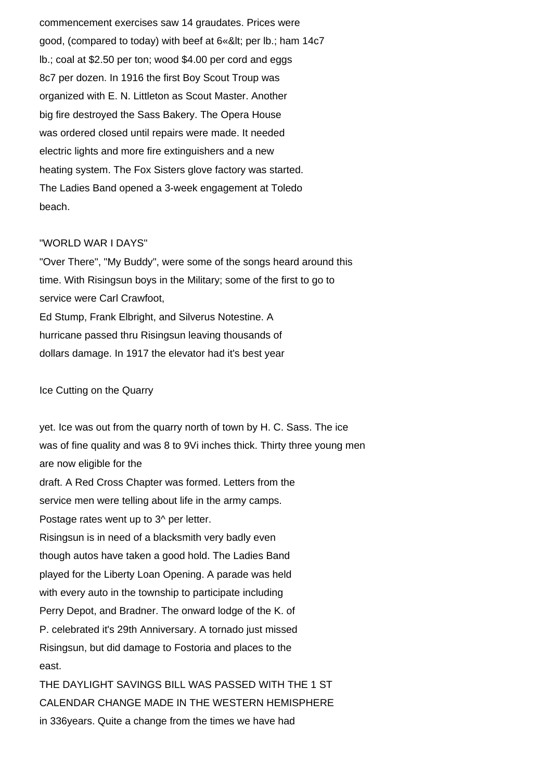commencement exercises saw 14 graudates. Prices were good, (compared to today) with beef at  $6$ «< per lb.; ham  $14c7$ lb.; coal at \$2.50 per ton; wood \$4.00 per cord and eggs 8c7 per dozen. In 1916 the first Boy Scout Troup was organized with E. N. Littleton as Scout Master. Another big fire destroyed the Sass Bakery. The Opera House was ordered closed until repairs were made. It needed electric lights and more fire extinguishers and a new heating system. The Fox Sisters glove factory was started. The Ladies Band opened a 3-week engagement at Toledo beach.

### "WORLD WAR I DAYS"

"Over There", "My Buddy", were some of the songs heard around this time. With Risingsun boys in the Military; some of the first to go to service were Carl Crawfoot, Ed Stump, Frank Elbright, and Silverus Notestine. A hurricane passed thru Risingsun leaving thousands of dollars damage. In 1917 the elevator had it's best year

## Ice Cutting on the Quarry

yet. Ice was out from the quarry north of town by H. C. Sass. The ice was of fine quality and was 8 to 9Vi inches thick. Thirty three young men are now eligible for the draft. A Red Cross Chapter was formed. Letters from the service men were telling about life in the army camps. Postage rates went up to 3^ per letter. Risingsun is in need of a blacksmith very badly even though autos have taken a good hold. The Ladies Band played for the Liberty Loan Opening. A parade was held with every auto in the township to participate including Perry Depot, and Bradner. The onward lodge of the K. of P. celebrated it's 29th Anniversary. A tornado just missed Risingsun, but did damage to Fostoria and places to the east.

THE DAYLIGHT SAVINGS BILL WAS PASSED WITH THE 1 ST CALENDAR CHANGE MADE IN THE WESTERN HEMISPHERE in 336years. Quite a change from the times we have had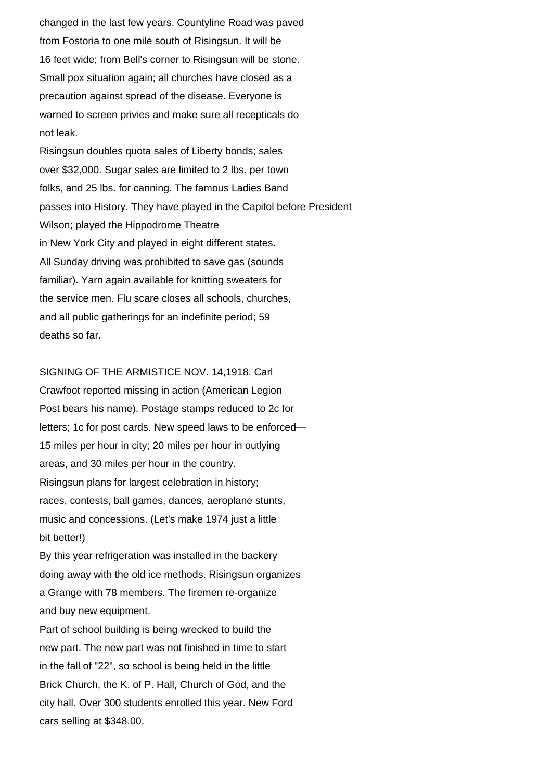changed in the last few years. Countyline Road was paved from Fostoria to one mile south of Risingsun. It will be 16 feet wide; from Bell's corner to Risingsun will be stone. Small pox situation again; all churches have closed as a precaution against spread of the disease. Everyone is warned to screen privies and make sure all recepticals do not leak.

Risingsun doubles quota sales of Liberty bonds; sales over \$32,000. Sugar sales are limited to 2 lbs. per town folks, and 25 lbs. for canning. The famous Ladies Band passes into History. They have played in the Capitol before President Wilson; played the Hippodrome Theatre in New York City and played in eight different states. All Sunday driving was prohibited to save gas (sounds familiar). Yarn again available for knitting sweaters for the service men. Flu scare closes all schools, churches, and all public gatherings for an indefinite period; 59 deaths so far.

SIGNING OF THE ARMISTICE NOV. 14,1918. Carl Crawfoot reported missing in action (American Legion Post bears his name). Postage stamps reduced to 2c for letters; 1c for post cards. New speed laws to be enforced— 15 miles per hour in city; 20 miles per hour in outlying areas, and 30 miles per hour in the country. Risingsun plans for largest celebration in history; races, contests, ball games, dances, aeroplane stunts, music and concessions. (Let's make 1974 just a little bit better!)

By this year refrigeration was installed in the backery doing away with the old ice methods. Risingsun organizes a Grange with 78 members. The firemen re-organize and buy new equipment.

Part of school building is being wrecked to build the new part. The new part was not finished in time to start in the fall of "22", so school is being held in the little Brick Church, the K. of P. Hall, Church of God, and the city hall. Over 300 students enrolled this year. New Ford cars selling at \$348.00.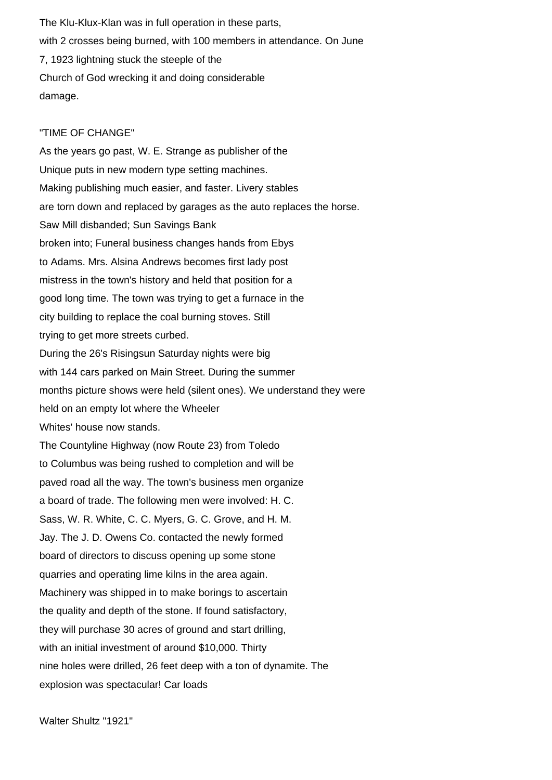The Klu-Klux-Klan was in full operation in these parts, with 2 crosses being burned, with 100 members in attendance. On June 7, 1923 lightning stuck the steeple of the Church of God wrecking it and doing considerable damage.

# "TIME OF CHANGE"

As the years go past, W. E. Strange as publisher of the Unique puts in new modern type setting machines. Making publishing much easier, and faster. Livery stables are torn down and replaced by garages as the auto replaces the horse. Saw Mill disbanded; Sun Savings Bank broken into; Funeral business changes hands from Ebys to Adams. Mrs. Alsina Andrews becomes first lady post mistress in the town's history and held that position for a good long time. The town was trying to get a furnace in the city building to replace the coal burning stoves. Still trying to get more streets curbed. During the 26's Risingsun Saturday nights were big with 144 cars parked on Main Street. During the summer months picture shows were held (silent ones). We understand they were held on an empty lot where the Wheeler Whites' house now stands. The Countyline Highway (now Route 23) from Toledo to Columbus was being rushed to completion and will be paved road all the way. The town's business men organize a board of trade. The following men were involved: H. C. Sass, W. R. White, C. C. Myers, G. C. Grove, and H. M. Jay. The J. D. Owens Co. contacted the newly formed board of directors to discuss opening up some stone quarries and operating lime kilns in the area again. Machinery was shipped in to make borings to ascertain the quality and depth of the stone. If found satisfactory, they will purchase 30 acres of ground and start drilling, with an initial investment of around \$10,000. Thirty nine holes were drilled, 26 feet deep with a ton of dynamite. The explosion was spectacular! Car loads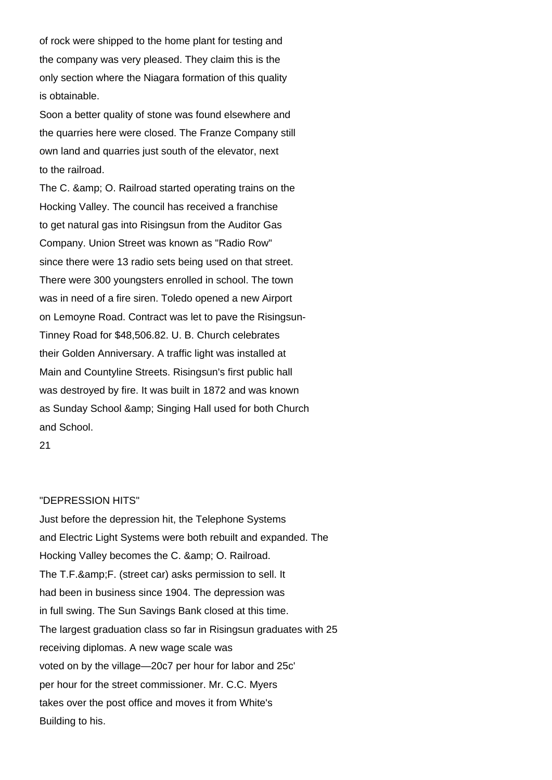of rock were shipped to the home plant for testing and the company was very pleased. They claim this is the only section where the Niagara formation of this quality is obtainable.

Soon a better quality of stone was found elsewhere and the quarries here were closed. The Franze Company still own land and quarries just south of the elevator, next to the railroad.

The C. & amp; O. Railroad started operating trains on the Hocking Valley. The council has received a franchise to get natural gas into Risingsun from the Auditor Gas Company. Union Street was known as "Radio Row" since there were 13 radio sets being used on that street. There were 300 youngsters enrolled in school. The town was in need of a fire siren. Toledo opened a new Airport on Lemoyne Road. Contract was let to pave the Risingsun-Tinney Road for \$48,506.82. U. B. Church celebrates their Golden Anniversary. A traffic light was installed at Main and Countyline Streets. Risingsun's first public hall was destroyed by fire. It was built in 1872 and was known as Sunday School & amp; Singing Hall used for both Church and School.

# 21

#### "DEPRESSION HITS"

Just before the depression hit, the Telephone Systems and Electric Light Systems were both rebuilt and expanded. The Hocking Valley becomes the C. & amp: O. Railroad. The T.F. & amp: F. (street car) asks permission to sell. It had been in business since 1904. The depression was in full swing. The Sun Savings Bank closed at this time. The largest graduation class so far in Risingsun graduates with 25 receiving diplomas. A new wage scale was voted on by the village—20c7 per hour for labor and 25c' per hour for the street commissioner. Mr. C.C. Myers takes over the post office and moves it from White's Building to his.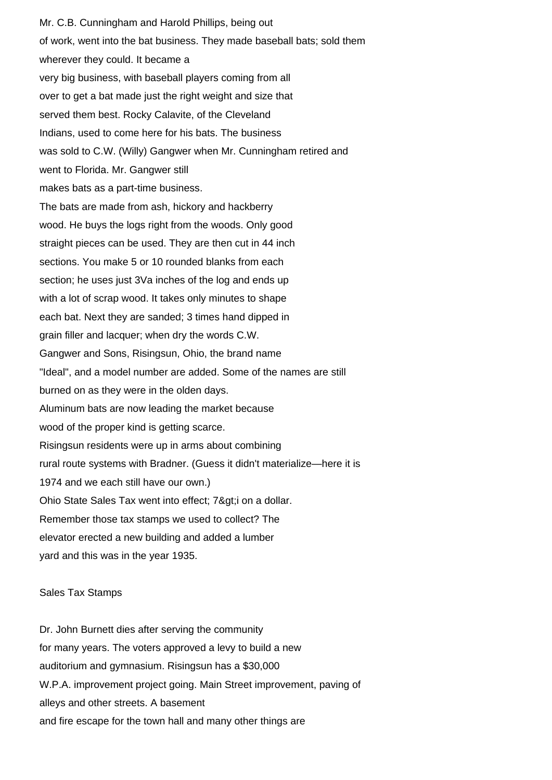Mr. C.B. Cunningham and Harold Phillips, being out of work, went into the bat business. They made baseball bats; sold them wherever they could. It became a very big business, with baseball players coming from all over to get a bat made just the right weight and size that served them best. Rocky Calavite, of the Cleveland Indians, used to come here for his bats. The business was sold to C.W. (Willy) Gangwer when Mr. Cunningham retired and went to Florida. Mr. Gangwer still makes bats as a part-time business. The bats are made from ash, hickory and hackberry wood. He buys the logs right from the woods. Only good straight pieces can be used. They are then cut in 44 inch sections. You make 5 or 10 rounded blanks from each section; he uses just 3Va inches of the log and ends up with a lot of scrap wood. It takes only minutes to shape each bat. Next they are sanded; 3 times hand dipped in grain filler and lacquer; when dry the words C.W. Gangwer and Sons, Risingsun, Ohio, the brand name "Ideal", and a model number are added. Some of the names are still burned on as they were in the olden days. Aluminum bats are now leading the market because wood of the proper kind is getting scarce. Risingsun residents were up in arms about combining rural route systems with Bradner. (Guess it didn't materialize—here it is 1974 and we each still have our own.) Ohio State Sales Tax went into effect; 7>i on a dollar. Remember those tax stamps we used to collect? The elevator erected a new building and added a lumber yard and this was in the year 1935.

#### Sales Tax Stamps

Dr. John Burnett dies after serving the community for many years. The voters approved a levy to build a new auditorium and gymnasium. Risingsun has a \$30,000 W.P.A. improvement project going. Main Street improvement, paving of alleys and other streets. A basement and fire escape for the town hall and many other things are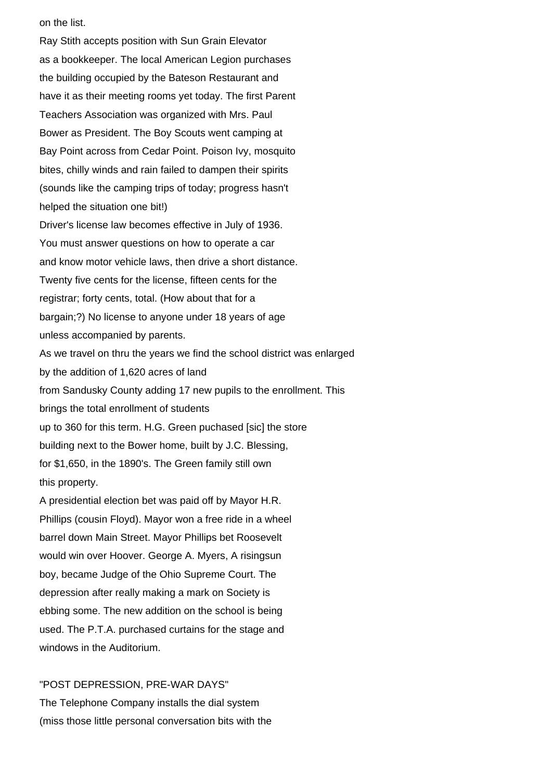on the list.

Ray Stith accepts position with Sun Grain Elevator as a bookkeeper. The local American Legion purchases the building occupied by the Bateson Restaurant and have it as their meeting rooms yet today. The first Parent Teachers Association was organized with Mrs. Paul Bower as President. The Boy Scouts went camping at Bay Point across from Cedar Point. Poison Ivy, mosquito bites, chilly winds and rain failed to dampen their spirits (sounds like the camping trips of today; progress hasn't helped the situation one bit!) Driver's license law becomes effective in July of 1936. You must answer questions on how to operate a car and know motor vehicle laws, then drive a short distance. Twenty five cents for the license, fifteen cents for the registrar; forty cents, total. (How about that for a bargain;?) No license to anyone under 18 years of age unless accompanied by parents. As we travel on thru the years we find the school district was enlarged by the addition of 1,620 acres of land from Sandusky County adding 17 new pupils to the enrollment. This brings the total enrollment of students up to 360 for this term. H.G. Green puchased [sic] the store building next to the Bower home, built by J.C. Blessing, for \$1,650, in the 1890's. The Green family still own this property. A presidential election bet was paid off by Mayor H.R. Phillips (cousin Floyd). Mayor won a free ride in a wheel

barrel down Main Street. Mayor Phillips bet Roosevelt would win over Hoover. George A. Myers, A risingsun boy, became Judge of the Ohio Supreme Court. The depression after really making a mark on Society is ebbing some. The new addition on the school is being used. The P.T.A. purchased curtains for the stage and windows in the Auditorium.

# "POST DEPRESSION, PRE-WAR DAYS" The Telephone Company installs the dial system (miss those little personal conversation bits with the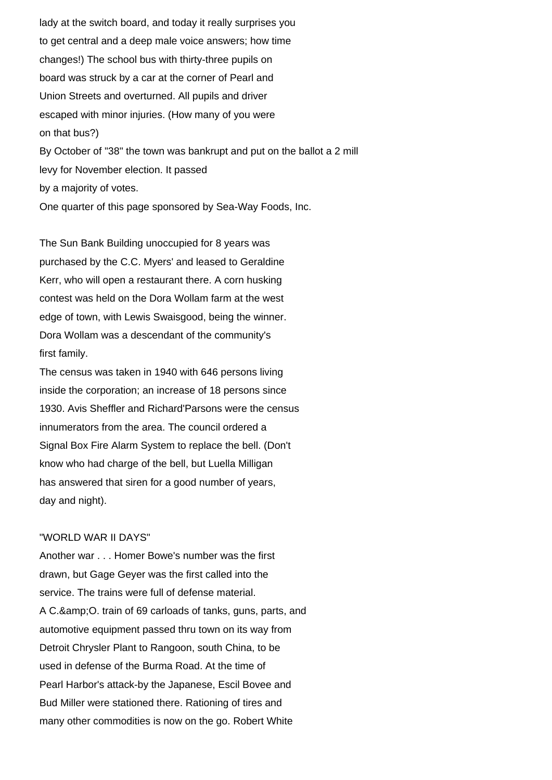lady at the switch board, and today it really surprises you to get central and a deep male voice answers; how time changes!) The school bus with thirty-three pupils on board was struck by a car at the corner of Pearl and Union Streets and overturned. All pupils and driver escaped with minor injuries. (How many of you were on that bus?) By October of "38" the town was bankrupt and put on the ballot a 2 mill levy for November election. It passed by a majority of votes. One quarter of this page sponsored by Sea-Way Foods, Inc.

The Sun Bank Building unoccupied for 8 years was purchased by the C.C. Myers' and leased to Geraldine Kerr, who will open a restaurant there. A corn husking contest was held on the Dora Wollam farm at the west edge of town, with Lewis Swaisgood, being the winner. Dora Wollam was a descendant of the community's first family.

The census was taken in 1940 with 646 persons living inside the corporation; an increase of 18 persons since 1930. Avis Sheffler and Richard'Parsons were the census innumerators from the area. The council ordered a Signal Box Fire Alarm System to replace the bell. (Don't know who had charge of the bell, but Luella Milligan has answered that siren for a good number of years, day and night).

### "WORLD WAR II DAYS"

Another war . . . Homer Bowe's number was the first drawn, but Gage Geyer was the first called into the service. The trains were full of defense material. A C.& O. train of 69 carloads of tanks, guns, parts, and automotive equipment passed thru town on its way from Detroit Chrysler Plant to Rangoon, south China, to be used in defense of the Burma Road. At the time of Pearl Harbor's attack-by the Japanese, Escil Bovee and Bud Miller were stationed there. Rationing of tires and many other commodities is now on the go. Robert White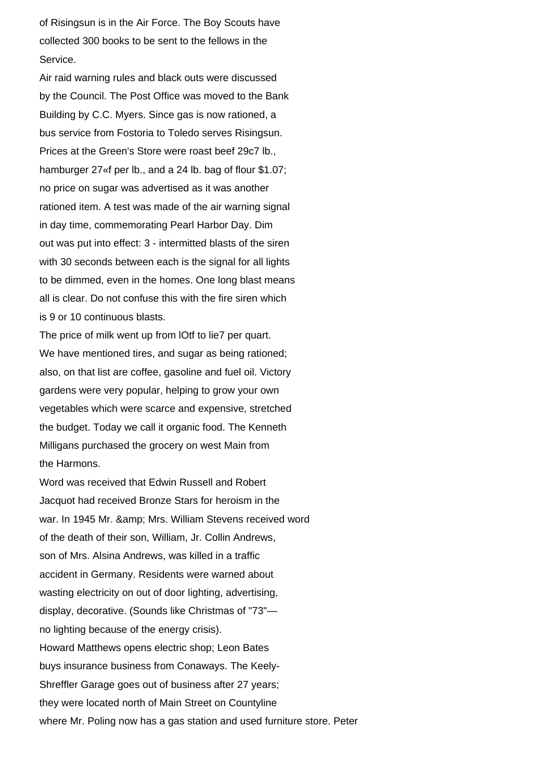of Risingsun is in the Air Force. The Boy Scouts have collected 300 books to be sent to the fellows in the Service.

Air raid warning rules and black outs were discussed by the Council. The Post Office was moved to the Bank Building by C.C. Myers. Since gas is now rationed, a bus service from Fostoria to Toledo serves Risingsun. Prices at the Green's Store were roast beef 29c7 lb., hamburger 27<sup>«f</sup> per lb., and a 24 lb. bag of flour \$1.07; no price on sugar was advertised as it was another rationed item. A test was made of the air warning signal in day time, commemorating Pearl Harbor Day. Dim out was put into effect: 3 - intermitted blasts of the siren with 30 seconds between each is the signal for all lights to be dimmed, even in the homes. One long blast means all is clear. Do not confuse this with the fire siren which is 9 or 10 continuous blasts.

The price of milk went up from lOtf to lie7 per quart. We have mentioned tires, and sugar as being rationed; also, on that list are coffee, gasoline and fuel oil. Victory gardens were very popular, helping to grow your own vegetables which were scarce and expensive, stretched the budget. Today we call it organic food. The Kenneth Milligans purchased the grocery on west Main from the Harmons.

Word was received that Edwin Russell and Robert Jacquot had received Bronze Stars for heroism in the war. In 1945 Mr. & amp; Mrs. William Stevens received word of the death of their son, William, Jr. Collin Andrews, son of Mrs. Alsina Andrews, was killed in a traffic accident in Germany. Residents were warned about wasting electricity on out of door lighting, advertising, display, decorative. (Sounds like Christmas of "73" no lighting because of the energy crisis). Howard Matthews opens electric shop; Leon Bates buys insurance business from Conaways. The Keely-Shreffler Garage goes out of business after 27 years; they were located north of Main Street on Countyline where Mr. Poling now has a gas station and used furniture store. Peter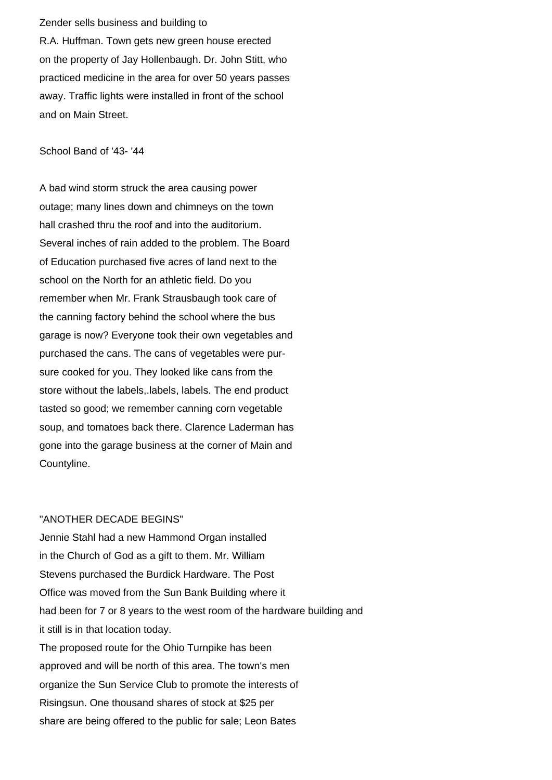Zender sells business and building to R.A. Huffman. Town gets new green house erected on the property of Jay Hollenbaugh. Dr. John Stitt, who practiced medicine in the area for over 50 years passes away. Traffic lights were installed in front of the school and on Main Street.

School Band of '43- '44

A bad wind storm struck the area causing power outage; many lines down and chimneys on the town hall crashed thru the roof and into the auditorium. Several inches of rain added to the problem. The Board of Education purchased five acres of land next to the school on the North for an athletic field. Do you remember when Mr. Frank Strausbaugh took care of the canning factory behind the school where the bus garage is now? Everyone took their own vegetables and purchased the cans. The cans of vegetables were pursure cooked for you. They looked like cans from the store without the labels,.labels, labels. The end product tasted so good; we remember canning corn vegetable soup, and tomatoes back there. Clarence Laderman has gone into the garage business at the corner of Main and Countyline.

#### "ANOTHER DECADE BEGINS"

Jennie Stahl had a new Hammond Organ installed in the Church of God as a gift to them. Mr. William Stevens purchased the Burdick Hardware. The Post Office was moved from the Sun Bank Building where it had been for 7 or 8 years to the west room of the hardware building and it still is in that location today. The proposed route for the Ohio Turnpike has been approved and will be north of this area. The town's men organize the Sun Service Club to promote the interests of Risingsun. One thousand shares of stock at \$25 per share are being offered to the public for sale; Leon Bates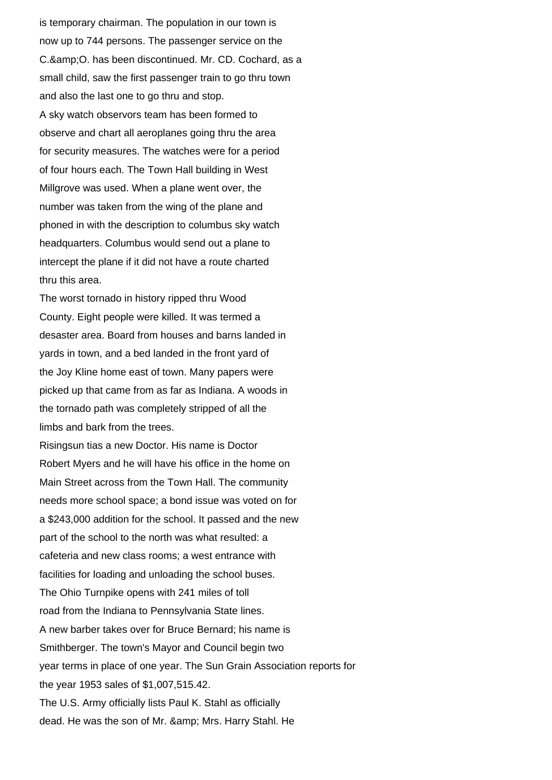is temporary chairman. The population in our town is now up to 744 persons. The passenger service on the C. & amp; O. has been discontinued. Mr. CD. Cochard, as a small child, saw the first passenger train to go thru town and also the last one to go thru and stop. A sky watch observors team has been formed to observe and chart all aeroplanes going thru the area for security measures. The watches were for a period of four hours each. The Town Hall building in West Millgrove was used. When a plane went over, the number was taken from the wing of the plane and phoned in with the description to columbus sky watch headquarters. Columbus would send out a plane to intercept the plane if it did not have a route charted thru this area.

The worst tornado in history ripped thru Wood County. Eight people were killed. It was termed a desaster area. Board from houses and barns landed in yards in town, and a bed landed in the front yard of the Joy Kline home east of town. Many papers were picked up that came from as far as Indiana. A woods in the tornado path was completely stripped of all the limbs and bark from the trees.

Risingsun tias a new Doctor. His name is Doctor Robert Myers and he will have his office in the home on Main Street across from the Town Hall. The community needs more school space; a bond issue was voted on for a \$243,000 addition for the school. It passed and the new part of the school to the north was what resulted: a cafeteria and new class rooms; a west entrance with facilities for loading and unloading the school buses. The Ohio Turnpike opens with 241 miles of toll road from the Indiana to Pennsylvania State lines. A new barber takes over for Bruce Bernard; his name is Smithberger. The town's Mayor and Council begin two year terms in place of one year. The Sun Grain Association reports for the year 1953 sales of \$1,007,515.42. The U.S. Army officially lists Paul K. Stahl as officially dead. He was the son of Mr. & amp; Mrs. Harry Stahl. He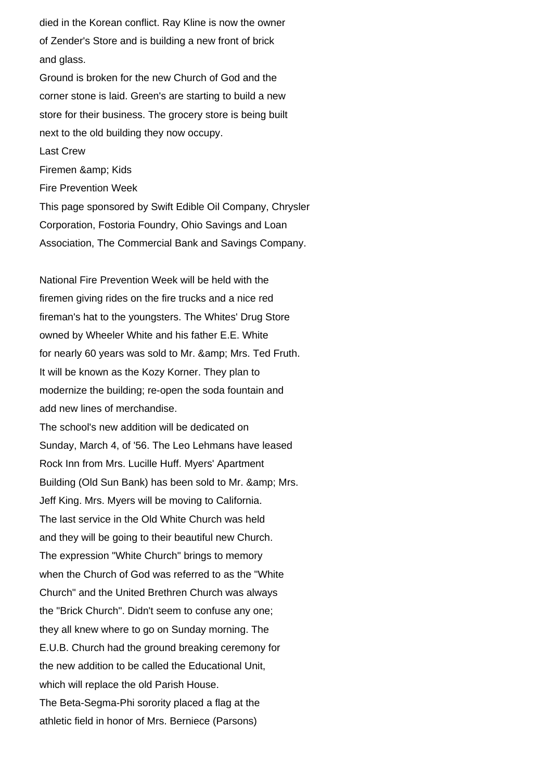died in the Korean conflict. Ray Kline is now the owner of Zender's Store and is building a new front of brick and glass.

Ground is broken for the new Church of God and the corner stone is laid. Green's are starting to build a new store for their business. The grocery store is being built next to the old building they now occupy. Last Crew Firemen & amp; Kids

Fire Prevention Week

This page sponsored by Swift Edible Oil Company, Chrysler Corporation, Fostoria Foundry, Ohio Savings and Loan Association, The Commercial Bank and Savings Company.

National Fire Prevention Week will be held with the firemen giving rides on the fire trucks and a nice red fireman's hat to the youngsters. The Whites' Drug Store owned by Wheeler White and his father E.E. White for nearly 60 years was sold to Mr. & amp; Mrs. Ted Fruth. It will be known as the Kozy Korner. They plan to modernize the building; re-open the soda fountain and add new lines of merchandise.

The school's new addition will be dedicated on Sunday, March 4, of '56. The Leo Lehmans have leased Rock Inn from Mrs. Lucille Huff. Myers' Apartment Building (Old Sun Bank) has been sold to Mr. & amp; Mrs. Jeff King. Mrs. Myers will be moving to California. The last service in the Old White Church was held and they will be going to their beautiful new Church. The expression "White Church" brings to memory when the Church of God was referred to as the "White Church" and the United Brethren Church was always the "Brick Church". Didn't seem to confuse any one; they all knew where to go on Sunday morning. The E.U.B. Church had the ground breaking ceremony for the new addition to be called the Educational Unit, which will replace the old Parish House. The Beta-Segma-Phi sorority placed a flag at the athletic field in honor of Mrs. Berniece (Parsons)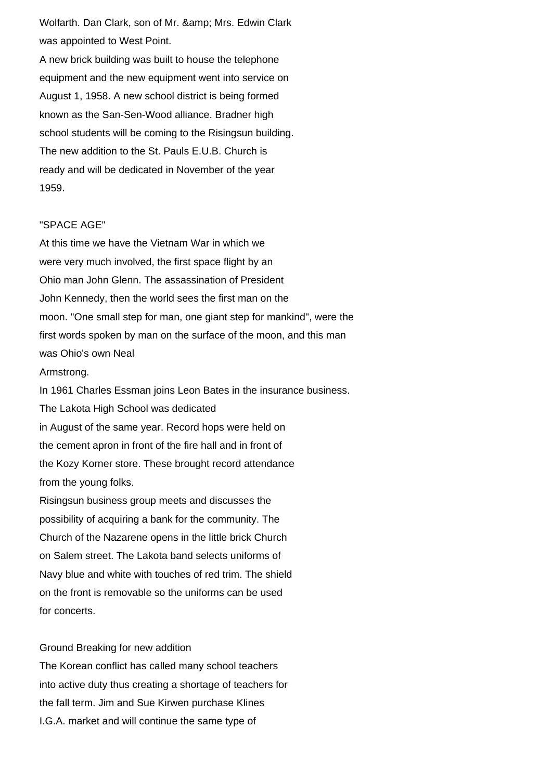Wolfarth. Dan Clark, son of Mr. & amp; Mrs. Edwin Clark was appointed to West Point.

A new brick building was built to house the telephone equipment and the new equipment went into service on August 1, 1958. A new school district is being formed known as the San-Sen-Wood alliance. Bradner high school students will be coming to the Risingsun building. The new addition to the St. Pauls E.U.B. Church is ready and will be dedicated in November of the year 1959.

## "SPACE AGE"

At this time we have the Vietnam War in which we were very much involved, the first space flight by an Ohio man John Glenn. The assassination of President John Kennedy, then the world sees the first man on the moon. "One small step for man, one giant step for mankind", were the first words spoken by man on the surface of the moon, and this man was Ohio's own Neal Armstrong. In 1961 Charles Essman joins Leon Bates in the insurance business.

The Lakota High School was dedicated in August of the same year. Record hops were held on the cement apron in front of the fire hall and in front of the Kozy Korner store. These brought record attendance from the young folks.

Risingsun business group meets and discusses the possibility of acquiring a bank for the community. The Church of the Nazarene opens in the little brick Church on Salem street. The Lakota band selects uniforms of Navy blue and white with touches of red trim. The shield on the front is removable so the uniforms can be used for concerts.

## Ground Breaking for new addition

The Korean conflict has called many school teachers into active duty thus creating a shortage of teachers for the fall term. Jim and Sue Kirwen purchase Klines I.G.A. market and will continue the same type of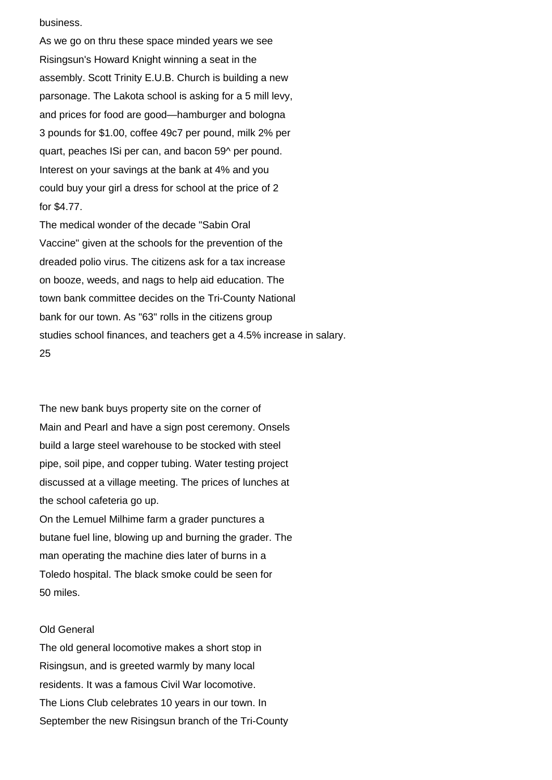business.

As we go on thru these space minded years we see Risingsun's Howard Knight winning a seat in the assembly. Scott Trinity E.U.B. Church is building a new parsonage. The Lakota school is asking for a 5 mill levy, and prices for food are good—hamburger and bologna 3 pounds for \$1.00, coffee 49c7 per pound, milk 2% per quart, peaches ISi per can, and bacon 59^ per pound. Interest on your savings at the bank at 4% and you could buy your girl a dress for school at the price of 2 for \$4.77.

The medical wonder of the decade "Sabin Oral Vaccine" given at the schools for the prevention of the dreaded polio virus. The citizens ask for a tax increase on booze, weeds, and nags to help aid education. The town bank committee decides on the Tri-County National bank for our town. As "63" rolls in the citizens group studies school finances, and teachers get a 4.5% increase in salary. 25

The new bank buys property site on the corner of Main and Pearl and have a sign post ceremony. Onsels build a large steel warehouse to be stocked with steel pipe, soil pipe, and copper tubing. Water testing project discussed at a village meeting. The prices of lunches at the school cafeteria go up.

On the Lemuel Milhime farm a grader punctures a butane fuel line, blowing up and burning the grader. The man operating the machine dies later of burns in a Toledo hospital. The black smoke could be seen for 50 miles.

## Old General

The old general locomotive makes a short stop in Risingsun, and is greeted warmly by many local residents. It was a famous Civil War locomotive. The Lions Club celebrates 10 years in our town. In September the new Risingsun branch of the Tri-County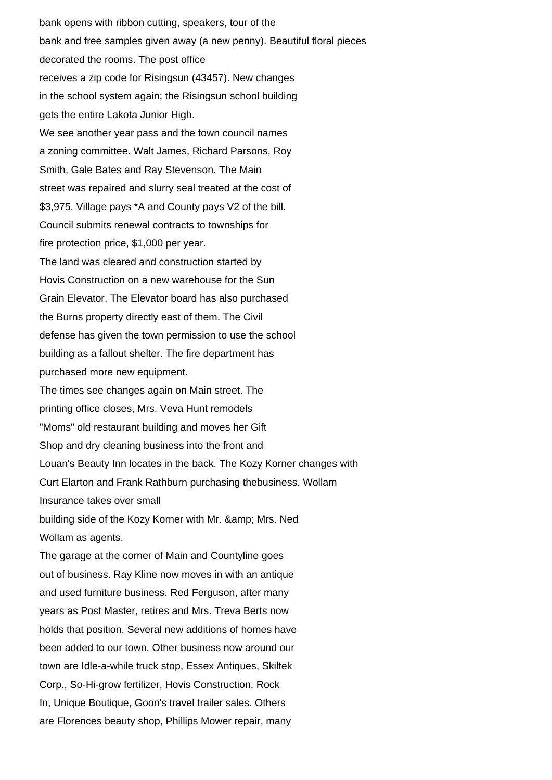bank opens with ribbon cutting, speakers, tour of the bank and free samples given away (a new penny). Beautiful floral pieces decorated the rooms. The post office receives a zip code for Risingsun (43457). New changes in the school system again; the Risingsun school building gets the entire Lakota Junior High. We see another year pass and the town council names a zoning committee. Walt James, Richard Parsons, Roy Smith, Gale Bates and Ray Stevenson. The Main street was repaired and slurry seal treated at the cost of \$3,975. Village pays \*A and County pays V2 of the bill. Council submits renewal contracts to townships for fire protection price, \$1,000 per year. The land was cleared and construction started by Hovis Construction on a new warehouse for the Sun Grain Elevator. The Elevator board has also purchased the Burns property directly east of them. The Civil defense has given the town permission to use the school building as a fallout shelter. The fire department has purchased more new equipment. The times see changes again on Main street. The printing office closes, Mrs. Veva Hunt remodels "Moms" old restaurant building and moves her Gift Shop and dry cleaning business into the front and Louan's Beauty Inn locates in the back. The Kozy Korner changes with Curt Elarton and Frank Rathburn purchasing thebusiness. Wollam Insurance takes over small building side of the Kozy Korner with Mr. & amp; Mrs. Ned Wollam as agents. The garage at the corner of Main and Countyline goes out of business. Ray Kline now moves in with an antique and used furniture business. Red Ferguson, after many years as Post Master, retires and Mrs. Treva Berts now holds that position. Several new additions of homes have been added to our town. Other business now around our town are Idle-a-while truck stop, Essex Antiques, Skiltek Corp., So-Hi-grow fertilizer, Hovis Construction, Rock In, Unique Boutique, Goon's travel trailer sales. Others are Florences beauty shop, Phillips Mower repair, many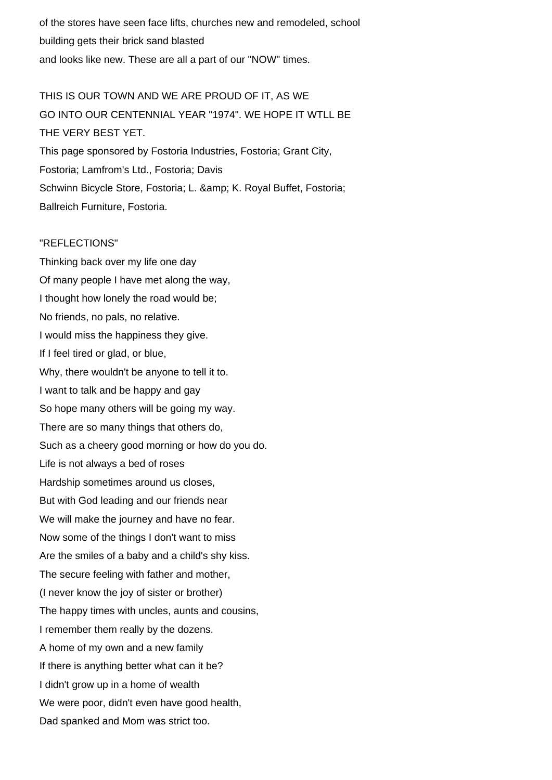of the stores have seen face lifts, churches new and remodeled, school building gets their brick sand blasted and looks like new. These are all a part of our "NOW" times.

THIS IS OUR TOWN AND WE ARE PROUD OF IT, AS WE GO INTO OUR CENTENNIAL YEAR "1974". WE HOPE IT WTLL BE THE VERY BEST YET. This page sponsored by Fostoria Industries, Fostoria; Grant City, Fostoria; Lamfrom's Ltd., Fostoria; Davis Schwinn Bicycle Store, Fostoria; L. & amp; K. Royal Buffet, Fostoria; Ballreich Furniture, Fostoria.

## "REFLECTIONS"

Thinking back over my life one day Of many people I have met along the way, I thought how lonely the road would be; No friends, no pals, no relative. I would miss the happiness they give. If I feel tired or glad, or blue, Why, there wouldn't be anyone to tell it to. I want to talk and be happy and gay So hope many others will be going my way. There are so many things that others do, Such as a cheery good morning or how do you do. Life is not always a bed of roses Hardship sometimes around us closes, But with God leading and our friends near We will make the journey and have no fear. Now some of the things I don't want to miss Are the smiles of a baby and a child's shy kiss. The secure feeling with father and mother, (I never know the joy of sister or brother) The happy times with uncles, aunts and cousins, I remember them really by the dozens. A home of my own and a new family If there is anything better what can it be? I didn't grow up in a home of wealth We were poor, didn't even have good health, Dad spanked and Mom was strict too.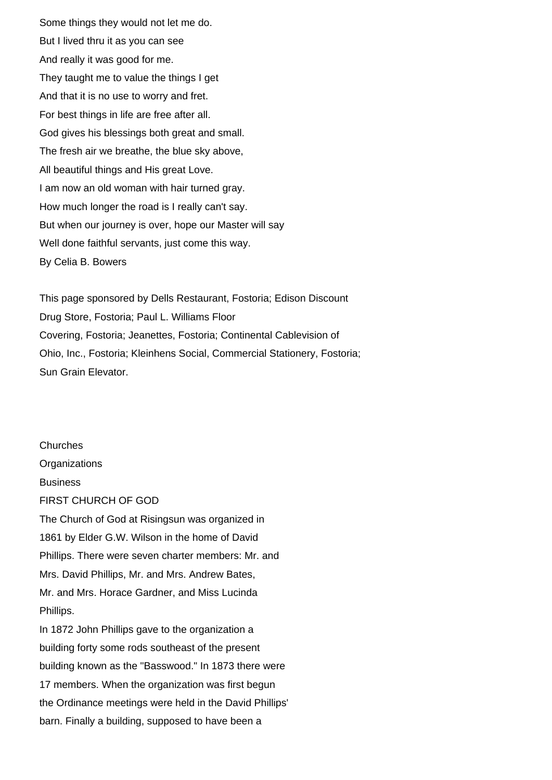Some things they would not let me do. But I lived thru it as you can see And really it was good for me. They taught me to value the things I get And that it is no use to worry and fret. For best things in life are free after all. God gives his blessings both great and small. The fresh air we breathe, the blue sky above, All beautiful things and His great Love. I am now an old woman with hair turned gray. How much longer the road is I really can't say. But when our journey is over, hope our Master will say Well done faithful servants, just come this way. By Celia B. Bowers

This page sponsored by Dells Restaurant, Fostoria; Edison Discount Drug Store, Fostoria; Paul L. Williams Floor Covering, Fostoria; Jeanettes, Fostoria; Continental Cablevision of Ohio, Inc., Fostoria; Kleinhens Social, Commercial Stationery, Fostoria; Sun Grain Elevator.

Churches **Organizations** Business FIRST CHURCH OF GOD The Church of God at Risingsun was organized in 1861 by Elder G.W. Wilson in the home of David Phillips. There were seven charter members: Mr. and Mrs. David Phillips, Mr. and Mrs. Andrew Bates, Mr. and Mrs. Horace Gardner, and Miss Lucinda Phillips. In 1872 John Phillips gave to the organization a building forty some rods southeast of the present building known as the "Basswood." In 1873 there were 17 members. When the organization was first begun the Ordinance meetings were held in the David Phillips' barn. Finally a building, supposed to have been a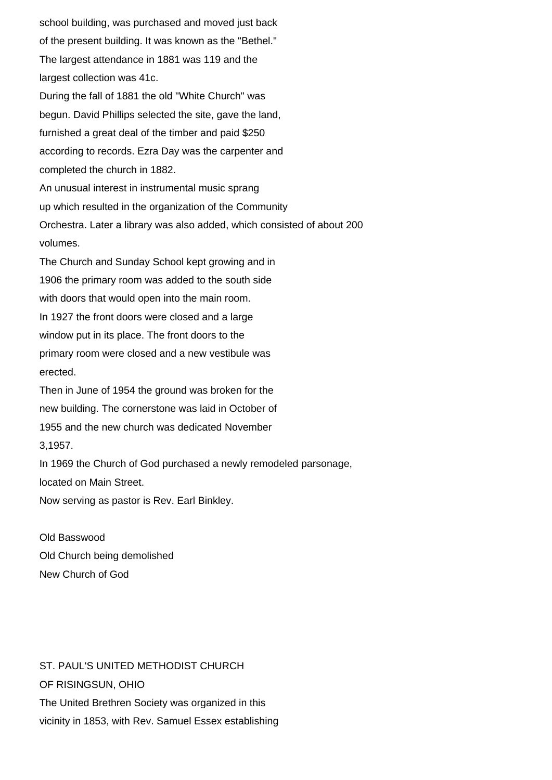school building, was purchased and moved just back of the present building. It was known as the "Bethel." The largest attendance in 1881 was 119 and the largest collection was 41c. During the fall of 1881 the old "White Church" was begun. David Phillips selected the site, gave the land, furnished a great deal of the timber and paid \$250 according to records. Ezra Day was the carpenter and completed the church in 1882. An unusual interest in instrumental music sprang up which resulted in the organization of the Community Orchestra. Later a library was also added, which consisted of about 200 volumes. The Church and Sunday School kept growing and in 1906 the primary room was added to the south side with doors that would open into the main room. In 1927 the front doors were closed and a large window put in its place. The front doors to the primary room were closed and a new vestibule was erected. Then in June of 1954 the ground was broken for the new building. The cornerstone was laid in October of 1955 and the new church was dedicated November 3,1957. In 1969 the Church of God purchased a newly remodeled parsonage, located on Main Street.

Now serving as pastor is Rev. Earl Binkley.

Old Basswood Old Church being demolished New Church of God

ST. PAUL'S UNITED METHODIST CHURCH OF RISINGSUN, OHIO The United Brethren Society was organized in this vicinity in 1853, with Rev. Samuel Essex establishing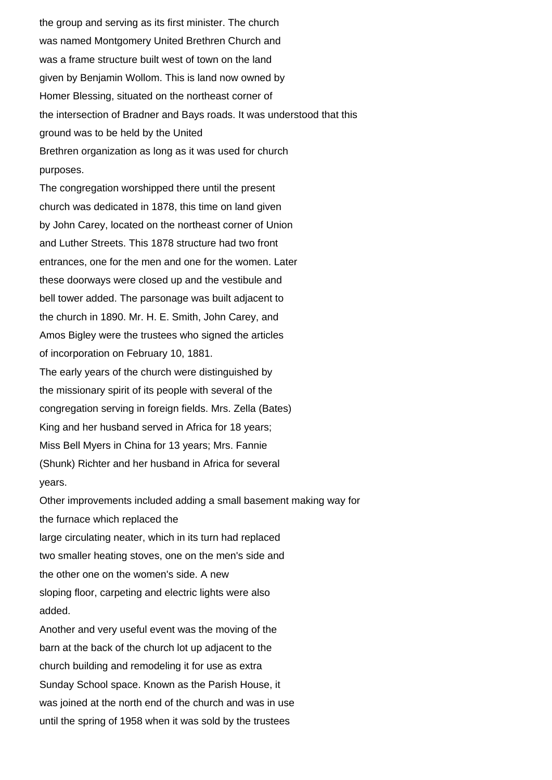the group and serving as its first minister. The church was named Montgomery United Brethren Church and was a frame structure built west of town on the land given by Benjamin Wollom. This is land now owned by Homer Blessing, situated on the northeast corner of the intersection of Bradner and Bays roads. It was understood that this ground was to be held by the United Brethren organization as long as it was used for church purposes.

The congregation worshipped there until the present church was dedicated in 1878, this time on land given by John Carey, located on the northeast corner of Union and Luther Streets. This 1878 structure had two front entrances, one for the men and one for the women. Later these doorways were closed up and the vestibule and bell tower added. The parsonage was built adjacent to the church in 1890. Mr. H. E. Smith, John Carey, and Amos Bigley were the trustees who signed the articles of incorporation on February 10, 1881. The early years of the church were distinguished by the missionary spirit of its people with several of the congregation serving in foreign fields. Mrs. Zella (Bates) King and her husband served in Africa for 18 years; Miss Bell Myers in China for 13 years; Mrs. Fannie (Shunk) Richter and her husband in Africa for several years.

Other improvements included adding a small basement making way for the furnace which replaced the large circulating neater, which in its turn had replaced two smaller heating stoves, one on the men's side and the other one on the women's side. A new sloping floor, carpeting and electric lights were also added.

Another and very useful event was the moving of the barn at the back of the church lot up adjacent to the church building and remodeling it for use as extra Sunday School space. Known as the Parish House, it was joined at the north end of the church and was in use until the spring of 1958 when it was sold by the trustees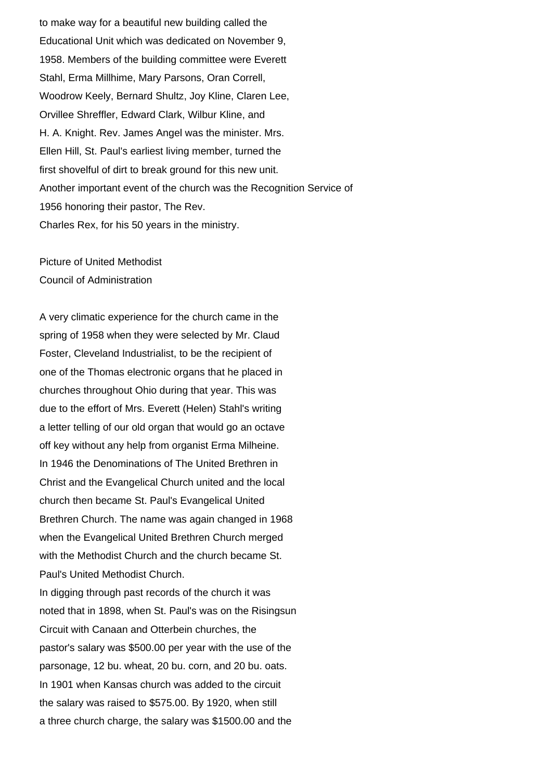to make way for a beautiful new building called the Educational Unit which was dedicated on November 9, 1958. Members of the building committee were Everett Stahl, Erma Millhime, Mary Parsons, Oran Correll, Woodrow Keely, Bernard Shultz, Joy Kline, Claren Lee, Orvillee Shreffler, Edward Clark, Wilbur Kline, and H. A. Knight. Rev. James Angel was the minister. Mrs. Ellen Hill, St. Paul's earliest living member, turned the first shovelful of dirt to break ground for this new unit. Another important event of the church was the Recognition Service of 1956 honoring their pastor, The Rev. Charles Rex, for his 50 years in the ministry.

Picture of United Methodist Council of Administration

A very climatic experience for the church came in the spring of 1958 when they were selected by Mr. Claud Foster, Cleveland Industrialist, to be the recipient of one of the Thomas electronic organs that he placed in churches throughout Ohio during that year. This was due to the effort of Mrs. Everett (Helen) Stahl's writing a letter telling of our old organ that would go an octave off key without any help from organist Erma Milheine. In 1946 the Denominations of The United Brethren in Christ and the Evangelical Church united and the local church then became St. Paul's Evangelical United Brethren Church. The name was again changed in 1968 when the Evangelical United Brethren Church merged with the Methodist Church and the church became St. Paul's United Methodist Church. In digging through past records of the church it was noted that in 1898, when St. Paul's was on the Risingsun Circuit with Canaan and Otterbein churches, the pastor's salary was \$500.00 per year with the use of the parsonage, 12 bu. wheat, 20 bu. corn, and 20 bu. oats. In 1901 when Kansas church was added to the circuit the salary was raised to \$575.00. By 1920, when still

a three church charge, the salary was \$1500.00 and the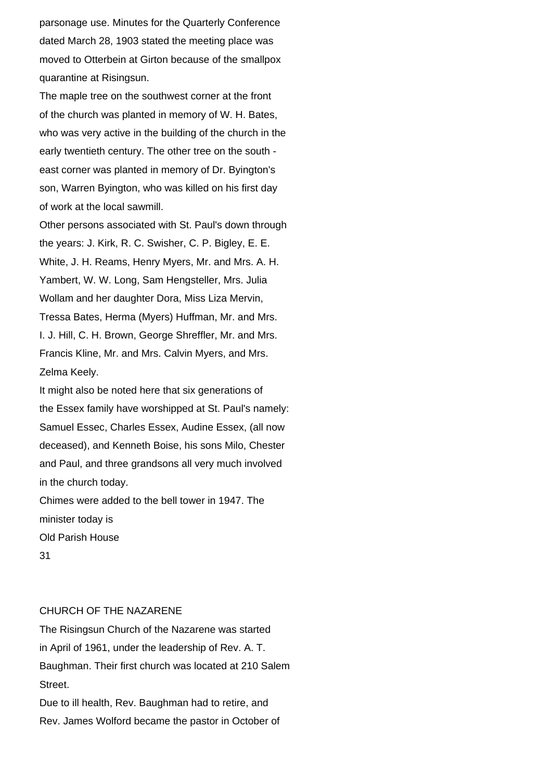parsonage use. Minutes for the Quarterly Conference dated March 28, 1903 stated the meeting place was moved to Otterbein at Girton because of the smallpox quarantine at Risingsun.

The maple tree on the southwest corner at the front of the church was planted in memory of W. H. Bates, who was very active in the building of the church in the early twentieth century. The other tree on the south east corner was planted in memory of Dr. Byington's son, Warren Byington, who was killed on his first day of work at the local sawmill.

Other persons associated with St. Paul's down through the years: J. Kirk, R. C. Swisher, C. P. Bigley, E. E. White, J. H. Reams, Henry Myers, Mr. and Mrs. A. H. Yambert, W. W. Long, Sam Hengsteller, Mrs. Julia Wollam and her daughter Dora, Miss Liza Mervin, Tressa Bates, Herma (Myers) Huffman, Mr. and Mrs. I. J. Hill, C. H. Brown, George Shreffler, Mr. and Mrs. Francis Kline, Mr. and Mrs. Calvin Myers, and Mrs. Zelma Keely.

It might also be noted here that six generations of the Essex family have worshipped at St. Paul's namely: Samuel Essec, Charles Essex, Audine Essex, (all now deceased), and Kenneth Boise, his sons Milo, Chester and Paul, and three grandsons all very much involved in the church today.

Chimes were added to the bell tower in 1947. The minister today is Old Parish House

31

## CHURCH OF THE NAZARENE

The Risingsun Church of the Nazarene was started in April of 1961, under the leadership of Rev. A. T. Baughman. Their first church was located at 210 Salem Street.

Due to ill health, Rev. Baughman had to retire, and Rev. James Wolford became the pastor in October of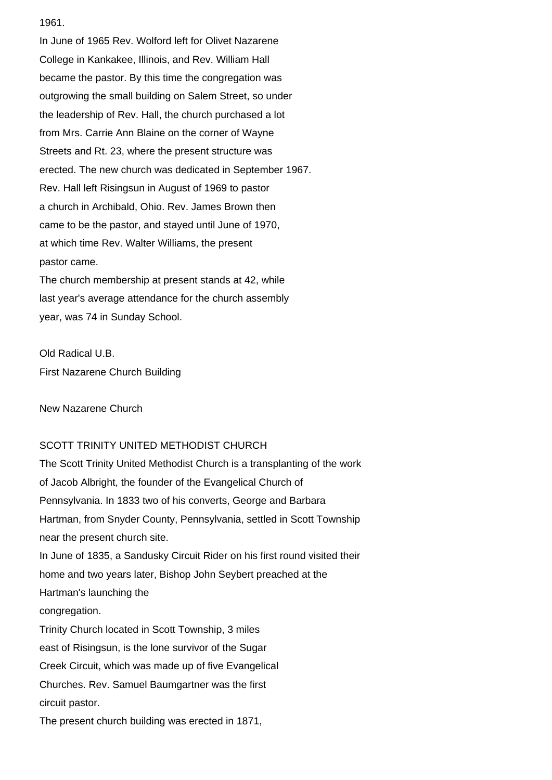1961.

In June of 1965 Rev. Wolford left for Olivet Nazarene College in Kankakee, Illinois, and Rev. William Hall became the pastor. By this time the congregation was outgrowing the small building on Salem Street, so under the leadership of Rev. Hall, the church purchased a lot from Mrs. Carrie Ann Blaine on the corner of Wayne Streets and Rt. 23, where the present structure was erected. The new church was dedicated in September 1967. Rev. Hall left Risingsun in August of 1969 to pastor a church in Archibald, Ohio. Rev. James Brown then came to be the pastor, and stayed until June of 1970, at which time Rev. Walter Williams, the present pastor came.

The church membership at present stands at 42, while last year's average attendance for the church assembly year, was 74 in Sunday School.

Old Radical U.B. First Nazarene Church Building

New Nazarene Church

## SCOTT TRINITY UNITED METHODIST CHURCH

The Scott Trinity United Methodist Church is a transplanting of the work of Jacob Albright, the founder of the Evangelical Church of Pennsylvania. In 1833 two of his converts, George and Barbara Hartman, from Snyder County, Pennsylvania, settled in Scott Township near the present church site. In June of 1835, a Sandusky Circuit Rider on his first round visited their home and two years later, Bishop John Seybert preached at the Hartman's launching the congregation. Trinity Church located in Scott Township, 3 miles east of Risingsun, is the lone survivor of the Sugar Creek Circuit, which was made up of five Evangelical Churches. Rev. Samuel Baumgartner was the first circuit pastor. The present church building was erected in 1871,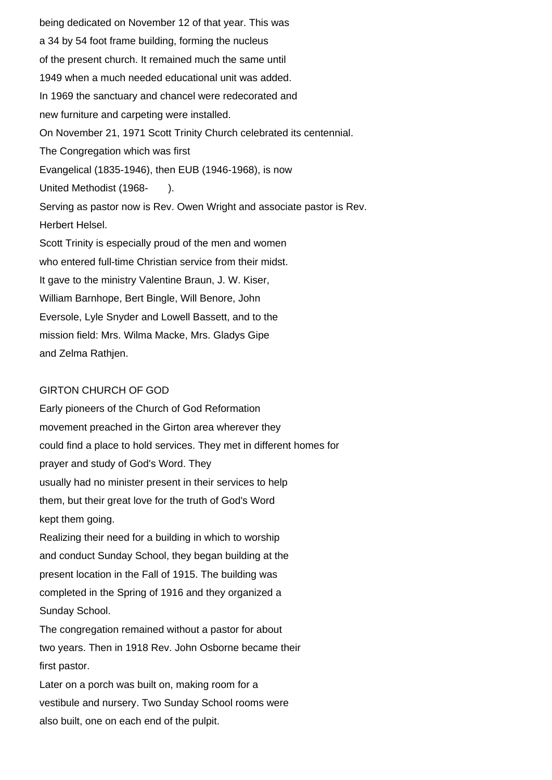being dedicated on November 12 of that year. This was a 34 by 54 foot frame building, forming the nucleus of the present church. It remained much the same until 1949 when a much needed educational unit was added. In 1969 the sanctuary and chancel were redecorated and new furniture and carpeting were installed. On November 21, 1971 Scott Trinity Church celebrated its centennial. The Congregation which was first Evangelical (1835-1946), then EUB (1946-1968), is now United Methodist (1968- ). Serving as pastor now is Rev. Owen Wright and associate pastor is Rev. Herbert Helsel. Scott Trinity is especially proud of the men and women who entered full-time Christian service from their midst. It gave to the ministry Valentine Braun, J. W. Kiser, William Barnhope, Bert Bingle, Will Benore, John Eversole, Lyle Snyder and Lowell Bassett, and to the mission field: Mrs. Wilma Macke, Mrs. Gladys Gipe and Zelma Rathjen.

## GIRTON CHURCH OF GOD

Early pioneers of the Church of God Reformation movement preached in the Girton area wherever they could find a place to hold services. They met in different homes for prayer and study of God's Word. They usually had no minister present in their services to help them, but their great love for the truth of God's Word kept them going.

Realizing their need for a building in which to worship and conduct Sunday School, they began building at the present location in the Fall of 1915. The building was completed in the Spring of 1916 and they organized a Sunday School.

The congregation remained without a pastor for about two years. Then in 1918 Rev. John Osborne became their first pastor.

Later on a porch was built on, making room for a vestibule and nursery. Two Sunday School rooms were also built, one on each end of the pulpit.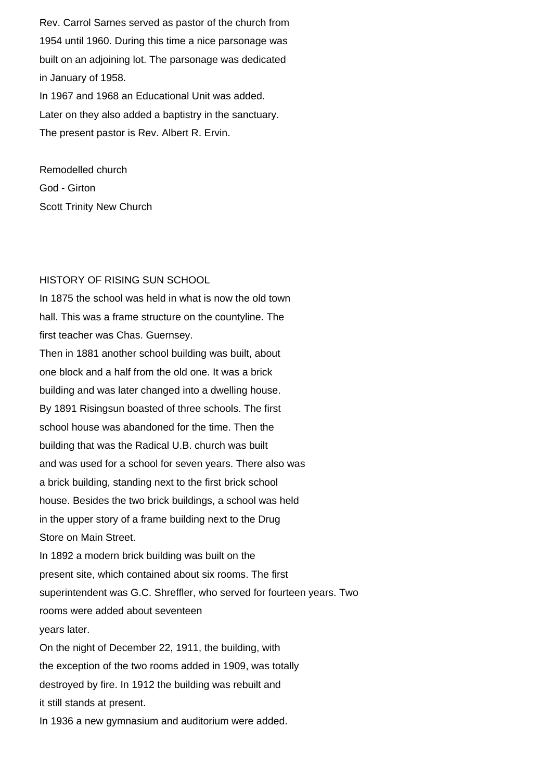Rev. Carrol Sarnes served as pastor of the church from 1954 until 1960. During this time a nice parsonage was built on an adjoining lot. The parsonage was dedicated in January of 1958. In 1967 and 1968 an Educational Unit was added.

Later on they also added a baptistry in the sanctuary. The present pastor is Rev. Albert R. Ervin.

Remodelled church God - Girton Scott Trinity New Church

## HISTORY OF RISING SUN SCHOOL

In 1875 the school was held in what is now the old town hall. This was a frame structure on the countyline. The first teacher was Chas. Guernsey. Then in 1881 another school building was built, about one block and a half from the old one. It was a brick building and was later changed into a dwelling house. By 1891 Risingsun boasted of three schools. The first school house was abandoned for the time. Then the building that was the Radical U.B. church was built and was used for a school for seven years. There also was a brick building, standing next to the first brick school house. Besides the two brick buildings, a school was held in the upper story of a frame building next to the Drug Store on Main Street. In 1892 a modern brick building was built on the present site, which contained about six rooms. The first superintendent was G.C. Shreffler, who served for fourteen years. Two rooms were added about seventeen years later. On the night of December 22, 1911, the building, with the exception of the two rooms added in 1909, was totally destroyed by fire. In 1912 the building was rebuilt and it still stands at present. In 1936 a new gymnasium and auditorium were added.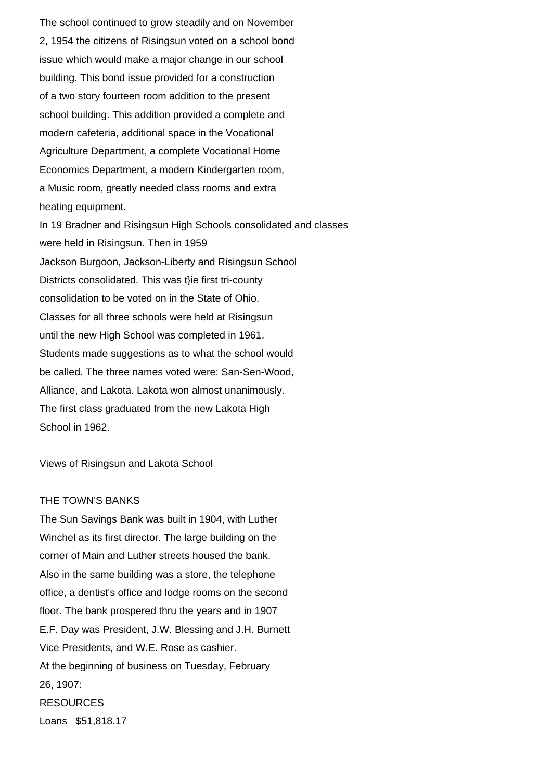The school continued to grow steadily and on November 2, 1954 the citizens of Risingsun voted on a school bond issue which would make a major change in our school building. This bond issue provided for a construction of a two story fourteen room addition to the present school building. This addition provided a complete and modern cafeteria, additional space in the Vocational Agriculture Department, a complete Vocational Home Economics Department, a modern Kindergarten room, a Music room, greatly needed class rooms and extra heating equipment. In 19 Bradner and Risingsun High Schools consolidated and classes were held in Risingsun. Then in 1959 Jackson Burgoon, Jackson-Liberty and Risingsun School Districts consolidated. This was t}ie first tri-county consolidation to be voted on in the State of Ohio. Classes for all three schools were held at Risingsun until the new High School was completed in 1961. Students made suggestions as to what the school would be called. The three names voted were: San-Sen-Wood, Alliance, and Lakota. Lakota won almost unanimously. The first class graduated from the new Lakota High School in 1962.

Views of Risingsun and Lakota School

#### THE TOWN'S BANKS

The Sun Savings Bank was built in 1904, with Luther Winchel as its first director. The large building on the corner of Main and Luther streets housed the bank. Also in the same building was a store, the telephone office, a dentist's office and lodge rooms on the second floor. The bank prospered thru the years and in 1907 E.F. Day was President, J.W. Blessing and J.H. Burnett Vice Presidents, and W.E. Rose as cashier. At the beginning of business on Tuesday, February 26, 1907: RESOURCES Loans \$51,818.17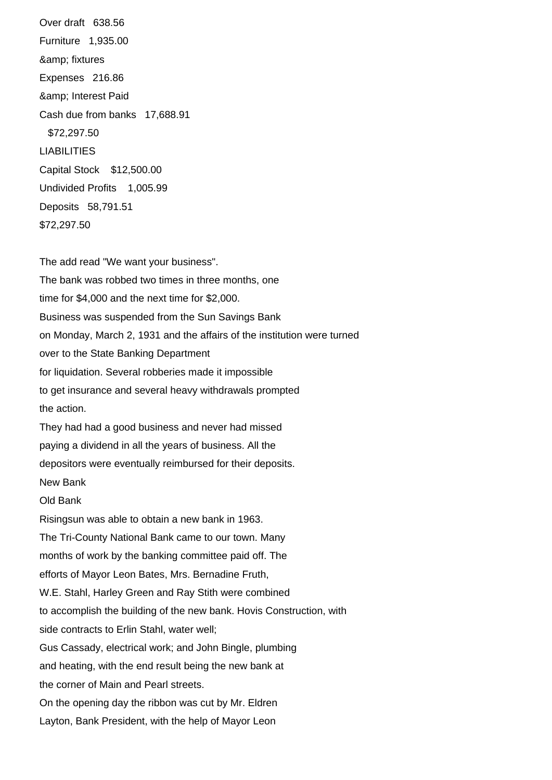Over draft 638.56 Furniture 1,935.00 & amp; fixtures Expenses 216.86 & amp; Interest Paid Cash due from banks 17,688.91 \$72,297.50 LIABILITIES Capital Stock \$12,500.00 Undivided Profits 1,005.99 Deposits 58,791.51 \$72,297.50

The add read "We want your business". The bank was robbed two times in three months, one time for \$4,000 and the next time for \$2,000. Business was suspended from the Sun Savings Bank on Monday, March 2, 1931 and the affairs of the institution were turned over to the State Banking Department for liquidation. Several robberies made it impossible to get insurance and several heavy withdrawals prompted the action. They had had a good business and never had missed paying a dividend in all the years of business. All the depositors were eventually reimbursed for their deposits. New Bank Old Bank Risingsun was able to obtain a new bank in 1963. The Tri-County National Bank came to our town. Many months of work by the banking committee paid off. The efforts of Mayor Leon Bates, Mrs. Bernadine Fruth, W.E. Stahl, Harley Green and Ray Stith were combined to accomplish the building of the new bank. Hovis Construction, with side contracts to Erlin Stahl, water well; Gus Cassady, electrical work; and John Bingle, plumbing and heating, with the end result being the new bank at the corner of Main and Pearl streets. On the opening day the ribbon was cut by Mr. Eldren Layton, Bank President, with the help of Mayor Leon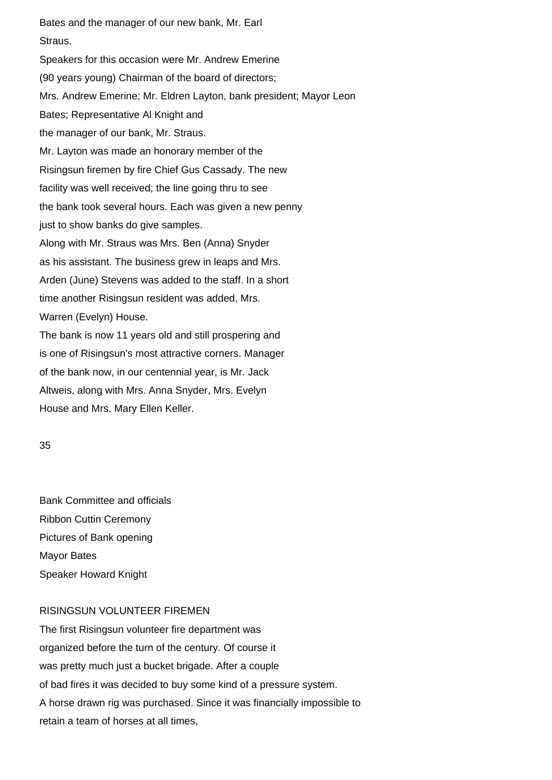Bates and the manager of our new bank, Mr. Earl Straus. Speakers for this occasion were Mr. Andrew Emerine (90 years young) Chairman of the board of directors; Mrs. Andrew Emerine; Mr. Eldren Layton, bank president; Mayor Leon Bates; Representative Al Knight and the manager of our bank, Mr. Straus. Mr. Layton was made an honorary member of the Risingsun firemen by fire Chief Gus Cassady. The new facility was well received; the line going thru to see the bank took several hours. Each was given a new penny just to show banks do give samples. Along with Mr. Straus was Mrs. Ben (Anna) Snyder as his assistant. The business grew in leaps and Mrs. Arden (June) Stevens was added to the staff. In a short time another Risingsun resident was added, Mrs. Warren (Evelyn) House. The bank is now 11 years old and still prospering and is one of Risingsun's most attractive corners. Manager of the bank now, in our centennial year, is Mr. Jack Altweis, along with Mrs. Anna Snyder, Mrs. Evelyn

House and Mrs. Mary Ellen Keller.

35

Bank Committee and officials Ribbon Cuttin Ceremony Pictures of Bank opening Mayor Bates Speaker Howard Knight

## RISINGSUN VOLUNTEER FIREMEN

The first Risingsun volunteer fire department was organized before the turn of the century. Of course it was pretty much just a bucket brigade. After a couple of bad fires it was decided to buy some kind of a pressure system. A horse drawn rig was purchased. Since it was financially impossible to retain a team of horses at all times,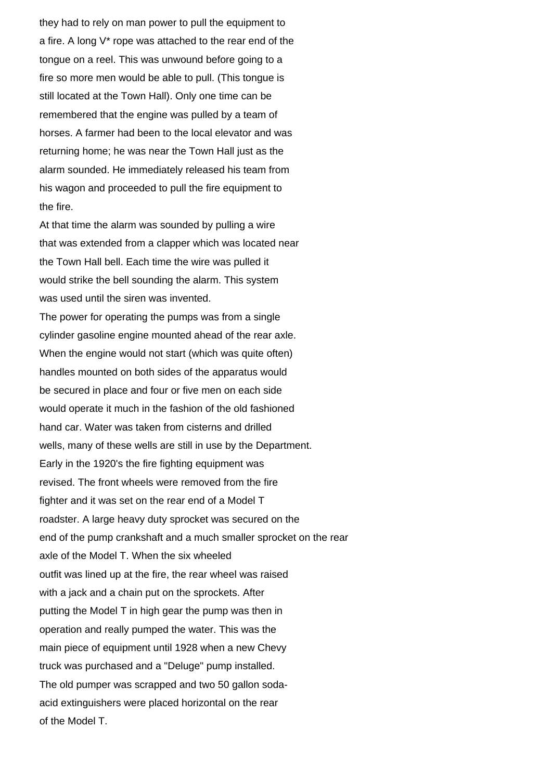they had to rely on man power to pull the equipment to a fire. A long V\* rope was attached to the rear end of the tongue on a reel. This was unwound before going to a fire so more men would be able to pull. (This tongue is still located at the Town Hall). Only one time can be remembered that the engine was pulled by a team of horses. A farmer had been to the local elevator and was returning home; he was near the Town Hall just as the alarm sounded. He immediately released his team from his wagon and proceeded to pull the fire equipment to the fire.

At that time the alarm was sounded by pulling a wire that was extended from a clapper which was located near the Town Hall bell. Each time the wire was pulled it would strike the bell sounding the alarm. This system was used until the siren was invented.

The power for operating the pumps was from a single cylinder gasoline engine mounted ahead of the rear axle. When the engine would not start (which was quite often) handles mounted on both sides of the apparatus would be secured in place and four or five men on each side would operate it much in the fashion of the old fashioned hand car. Water was taken from cisterns and drilled wells, many of these wells are still in use by the Department. Early in the 1920's the fire fighting equipment was revised. The front wheels were removed from the fire fighter and it was set on the rear end of a Model T roadster. A large heavy duty sprocket was secured on the end of the pump crankshaft and a much smaller sprocket on the rear axle of the Model T. When the six wheeled outfit was lined up at the fire, the rear wheel was raised with a jack and a chain put on the sprockets. After putting the Model T in high gear the pump was then in operation and really pumped the water. This was the main piece of equipment until 1928 when a new Chevy truck was purchased and a "Deluge" pump installed. The old pumper was scrapped and two 50 gallon sodaacid extinguishers were placed horizontal on the rear of the Model T.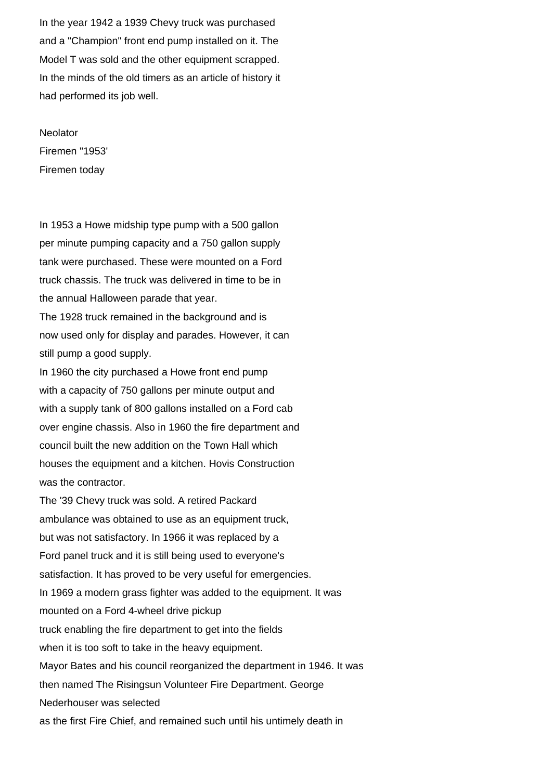In the year 1942 a 1939 Chevy truck was purchased and a "Champion" front end pump installed on it. The Model T was sold and the other equipment scrapped. In the minds of the old timers as an article of history it had performed its job well.

**Neolator** Firemen "1953' Firemen today

In 1953 a Howe midship type pump with a 500 gallon per minute pumping capacity and a 750 gallon supply tank were purchased. These were mounted on a Ford truck chassis. The truck was delivered in time to be in the annual Halloween parade that year.

The 1928 truck remained in the background and is now used only for display and parades. However, it can still pump a good supply.

In 1960 the city purchased a Howe front end pump with a capacity of 750 gallons per minute output and with a supply tank of 800 gallons installed on a Ford cab over engine chassis. Also in 1960 the fire department and council built the new addition on the Town Hall which houses the equipment and a kitchen. Hovis Construction was the contractor.

The '39 Chevy truck was sold. A retired Packard ambulance was obtained to use as an equipment truck, but was not satisfactory. In 1966 it was replaced by a Ford panel truck and it is still being used to everyone's satisfaction. It has proved to be very useful for emergencies. In 1969 a modern grass fighter was added to the equipment. It was mounted on a Ford 4-wheel drive pickup truck enabling the fire department to get into the fields when it is too soft to take in the heavy equipment. Mayor Bates and his council reorganized the department in 1946. It was then named The Risingsun Volunteer Fire Department. George Nederhouser was selected as the first Fire Chief, and remained such until his untimely death in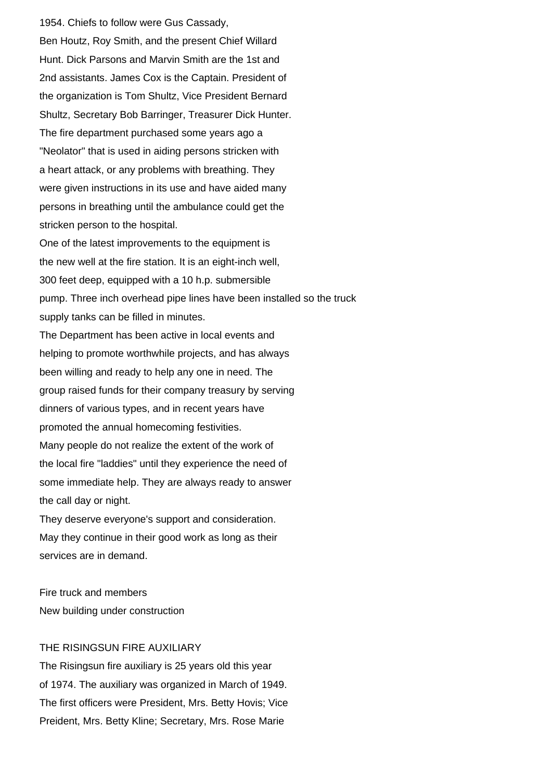1954. Chiefs to follow were Gus Cassady, Ben Houtz, Roy Smith, and the present Chief Willard Hunt. Dick Parsons and Marvin Smith are the 1st and 2nd assistants. James Cox is the Captain. President of the organization is Tom Shultz, Vice President Bernard Shultz, Secretary Bob Barringer, Treasurer Dick Hunter. The fire department purchased some years ago a "Neolator" that is used in aiding persons stricken with a heart attack, or any problems with breathing. They were given instructions in its use and have aided many persons in breathing until the ambulance could get the stricken person to the hospital. One of the latest improvements to the equipment is the new well at the fire station. It is an eight-inch well, 300 feet deep, equipped with a 10 h.p. submersible pump. Three inch overhead pipe lines have been installed so the truck supply tanks can be filled in minutes. The Department has been active in local events and helping to promote worthwhile projects, and has always been willing and ready to help any one in need. The group raised funds for their company treasury by serving dinners of various types, and in recent years have promoted the annual homecoming festivities. Many people do not realize the extent of the work of the local fire "laddies" until they experience the need of some immediate help. They are always ready to answer the call day or night. They deserve everyone's support and consideration.

May they continue in their good work as long as their services are in demand.

Fire truck and members New building under construction

## THE RISINGSUN FIRE AUXILIARY

The Risingsun fire auxiliary is 25 years old this year of 1974. The auxiliary was organized in March of 1949. The first officers were President, Mrs. Betty Hovis; Vice Preident, Mrs. Betty Kline; Secretary, Mrs. Rose Marie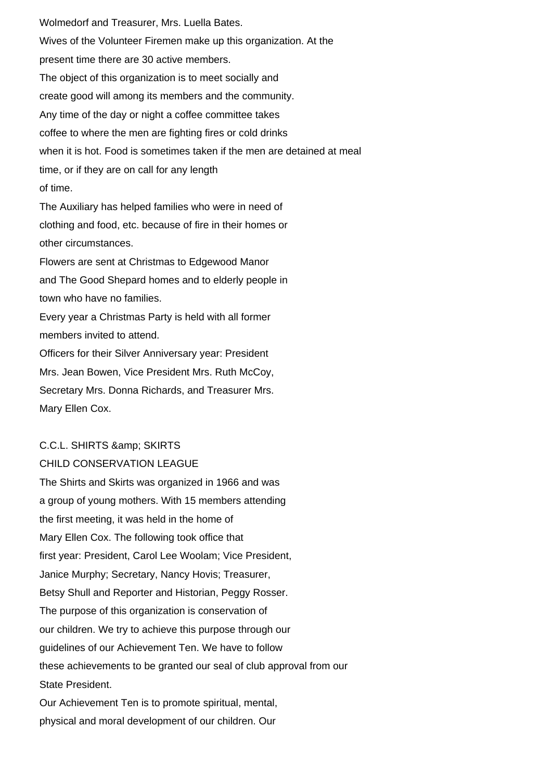Wolmedorf and Treasurer, Mrs. Luella Bates. Wives of the Volunteer Firemen make up this organization. At the present time there are 30 active members. The object of this organization is to meet socially and create good will among its members and the community. Any time of the day or night a coffee committee takes coffee to where the men are fighting fires or cold drinks when it is hot. Food is sometimes taken if the men are detained at meal time, or if they are on call for any length of time. The Auxiliary has helped families who were in need of clothing and food, etc. because of fire in their homes or other circumstances. Flowers are sent at Christmas to Edgewood Manor and The Good Shepard homes and to elderly people in town who have no families.

Every year a Christmas Party is held with all former members invited to attend.

Officers for their Silver Anniversary year: President Mrs. Jean Bowen, Vice President Mrs. Ruth McCoy, Secretary Mrs. Donna Richards, and Treasurer Mrs. Mary Ellen Cox.

# C.C.L. SHIRTS & amp; SKIRTS

## CHILD CONSERVATION LEAGUE

The Shirts and Skirts was organized in 1966 and was a group of young mothers. With 15 members attending the first meeting, it was held in the home of Mary Ellen Cox. The following took office that first year: President, Carol Lee Woolam; Vice President, Janice Murphy; Secretary, Nancy Hovis; Treasurer, Betsy Shull and Reporter and Historian, Peggy Rosser. The purpose of this organization is conservation of our children. We try to achieve this purpose through our guidelines of our Achievement Ten. We have to follow these achievements to be granted our seal of club approval from our State President. Our Achievement Ten is to promote spiritual, mental, physical and moral development of our children. Our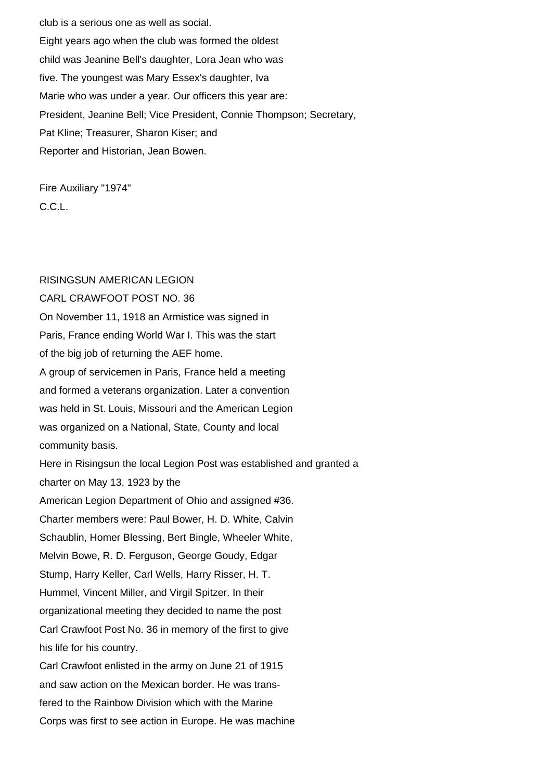club is a serious one as well as social. Eight years ago when the club was formed the oldest child was Jeanine Bell's daughter, Lora Jean who was five. The youngest was Mary Essex's daughter, Iva Marie who was under a year. Our officers this year are: President, Jeanine Bell; Vice President, Connie Thompson; Secretary, Pat Kline; Treasurer, Sharon Kiser; and Reporter and Historian, Jean Bowen.

Fire Auxiliary "1974" C.C.L.

#### RISINGSUN AMERICAN LEGION

CARL CRAWFOOT POST NO. 36 On November 11, 1918 an Armistice was signed in Paris, France ending World War I. This was the start of the big job of returning the AEF home. A group of servicemen in Paris, France held a meeting and formed a veterans organization. Later a convention was held in St. Louis, Missouri and the American Legion was organized on a National, State, County and local community basis. Here in Risingsun the local Legion Post was established and granted a charter on May 13, 1923 by the American Legion Department of Ohio and assigned #36. Charter members were: Paul Bower, H. D. White, Calvin Schaublin, Homer Blessing, Bert Bingle, Wheeler White, Melvin Bowe, R. D. Ferguson, George Goudy, Edgar Stump, Harry Keller, Carl Wells, Harry Risser, H. T. Hummel, Vincent Miller, and Virgil Spitzer. In their organizational meeting they decided to name the post Carl Crawfoot Post No. 36 in memory of the first to give his life for his country. Carl Crawfoot enlisted in the army on June 21 of 1915 and saw action on the Mexican border. He was transfered to the Rainbow Division which with the Marine

Corps was first to see action in Europe. He was machine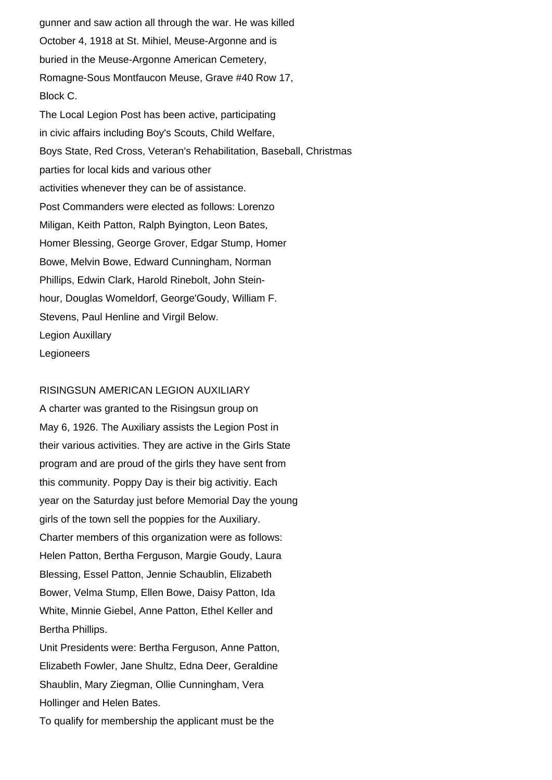gunner and saw action all through the war. He was killed October 4, 1918 at St. Mihiel, Meuse-Argonne and is buried in the Meuse-Argonne American Cemetery, Romagne-Sous Montfaucon Meuse, Grave #40 Row 17, Block C. The Local Legion Post has been active, participating in civic affairs including Boy's Scouts, Child Welfare, Boys State, Red Cross, Veteran's Rehabilitation, Baseball, Christmas parties for local kids and various other activities whenever they can be of assistance. Post Commanders were elected as follows: Lorenzo Miligan, Keith Patton, Ralph Byington, Leon Bates, Homer Blessing, George Grover, Edgar Stump, Homer Bowe, Melvin Bowe, Edward Cunningham, Norman Phillips, Edwin Clark, Harold Rinebolt, John Steinhour, Douglas Womeldorf, George'Goudy, William F. Stevens, Paul Henline and Virgil Below. Legion Auxillary **Legioneers** 

#### RISINGSUN AMERICAN LEGION AUXILIARY

A charter was granted to the Risingsun group on May 6, 1926. The Auxiliary assists the Legion Post in their various activities. They are active in the Girls State program and are proud of the girls they have sent from this community. Poppy Day is their big activitiy. Each year on the Saturday just before Memorial Day the young girls of the town sell the poppies for the Auxiliary. Charter members of this organization were as follows: Helen Patton, Bertha Ferguson, Margie Goudy, Laura Blessing, Essel Patton, Jennie Schaublin, Elizabeth Bower, Velma Stump, Ellen Bowe, Daisy Patton, Ida White, Minnie Giebel, Anne Patton, Ethel Keller and Bertha Phillips.

Unit Presidents were: Bertha Ferguson, Anne Patton, Elizabeth Fowler, Jane Shultz, Edna Deer, Geraldine Shaublin, Mary Ziegman, Ollie Cunningham, Vera Hollinger and Helen Bates.

To qualify for membership the applicant must be the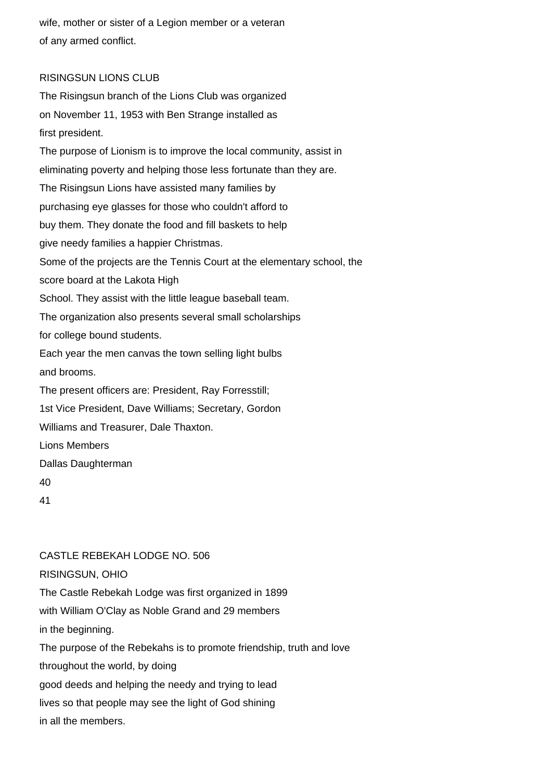wife, mother or sister of a Legion member or a veteran of any armed conflict.

## RISINGSUN LIONS CLUB

The Risingsun branch of the Lions Club was organized on November 11, 1953 with Ben Strange installed as first president. The purpose of Lionism is to improve the local community, assist in eliminating poverty and helping those less fortunate than they are. The Risingsun Lions have assisted many families by purchasing eye glasses for those who couldn't afford to buy them. They donate the food and fill baskets to help give needy families a happier Christmas. Some of the projects are the Tennis Court at the elementary school, the score board at the Lakota High School. They assist with the little league baseball team. The organization also presents several small scholarships for college bound students. Each year the men canvas the town selling light bulbs and brooms. The present officers are: President, Ray Forresstill; 1st Vice President, Dave Williams; Secretary, Gordon Williams and Treasurer, Dale Thaxton. Lions Members Dallas Daughterman 40 41

# CASTLE REBEKAH LODGE NO. 506

## RISINGSUN, OHIO

The Castle Rebekah Lodge was first organized in 1899 with William O'Clay as Noble Grand and 29 members in the beginning. The purpose of the Rebekahs is to promote friendship, truth and love throughout the world, by doing good deeds and helping the needy and trying to lead lives so that people may see the light of God shining in all the members.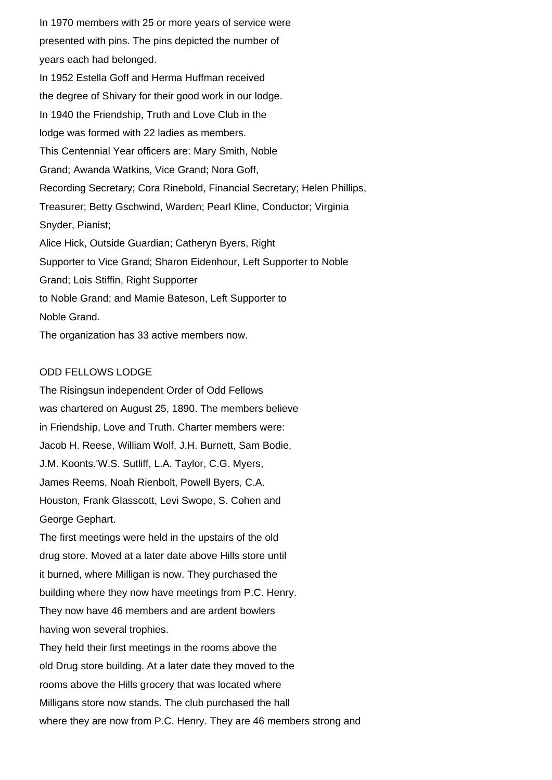In 1970 members with 25 or more years of service were presented with pins. The pins depicted the number of years each had belonged. In 1952 Estella Goff and Herma Huffman received the degree of Shivary for their good work in our lodge. In 1940 the Friendship, Truth and Love Club in the lodge was formed with 22 ladies as members. This Centennial Year officers are: Mary Smith, Noble Grand; Awanda Watkins, Vice Grand; Nora Goff, Recording Secretary; Cora Rinebold, Financial Secretary; Helen Phillips, Treasurer; Betty Gschwind, Warden; Pearl Kline, Conductor; Virginia Snyder, Pianist; Alice Hick, Outside Guardian; Catheryn Byers, Right Supporter to Vice Grand; Sharon Eidenhour, Left Supporter to Noble Grand; Lois Stiffin, Right Supporter to Noble Grand; and Mamie Bateson, Left Supporter to Noble Grand. The organization has 33 active members now.

## ODD FELLOWS LODGE

The Risingsun independent Order of Odd Fellows was chartered on August 25, 1890. The members believe in Friendship, Love and Truth. Charter members were: Jacob H. Reese, William Wolf, J.H. Burnett, Sam Bodie, J.M. Koonts.'W.S. Sutliff, L.A. Taylor, C.G. Myers, James Reems, Noah Rienbolt, Powell Byers, C.A. Houston, Frank Glasscott, Levi Swope, S. Cohen and George Gephart.

The first meetings were held in the upstairs of the old drug store. Moved at a later date above Hills store until it burned, where Milligan is now. They purchased the building where they now have meetings from P.C. Henry. They now have 46 members and are ardent bowlers having won several trophies.

They held their first meetings in the rooms above the old Drug store building. At a later date they moved to the rooms above the Hills grocery that was located where Milligans store now stands. The club purchased the hall where they are now from P.C. Henry. They are 46 members strong and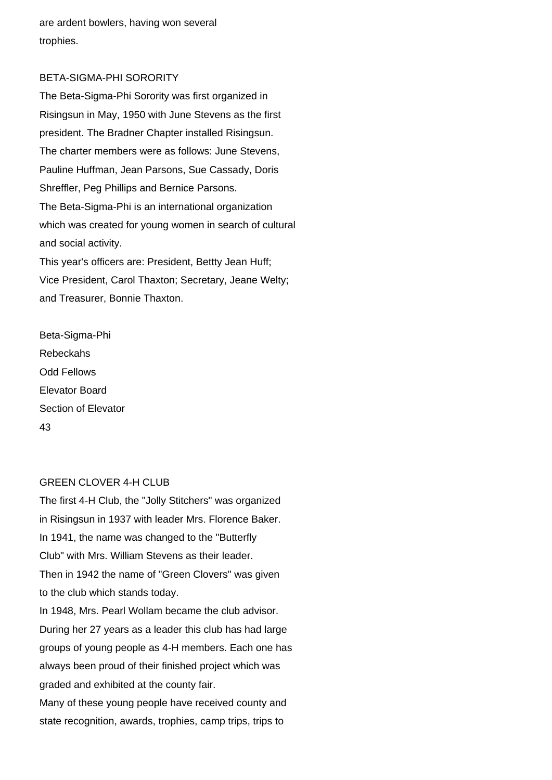are ardent bowlers, having won several trophies.

## BETA-SIGMA-PHI SORORITY

The Beta-Sigma-Phi Sorority was first organized in Risingsun in May, 1950 with June Stevens as the first president. The Bradner Chapter installed Risingsun. The charter members were as follows: June Stevens, Pauline Huffman, Jean Parsons, Sue Cassady, Doris Shreffler, Peg Phillips and Bernice Parsons. The Beta-Sigma-Phi is an international organization which was created for young women in search of cultural and social activity. This year's officers are: President, Bettty Jean Huff; Vice President, Carol Thaxton; Secretary, Jeane Welty; and Treasurer, Bonnie Thaxton.

Beta-Sigma-Phi Rebeckahs Odd Fellows Elevator Board Section of Elevator 43

## GREEN CLOVER 4-H CLUB

The first 4-H Club, the "Jolly Stitchers" was organized in Risingsun in 1937 with leader Mrs. Florence Baker. In 1941, the name was changed to the "Butterfly Club" with Mrs. William Stevens as their leader. Then in 1942 the name of "Green Clovers" was given to the club which stands today.

In 1948, Mrs. Pearl Wollam became the club advisor. During her 27 years as a leader this club has had large groups of young people as 4-H members. Each one has always been proud of their finished project which was graded and exhibited at the county fair.

Many of these young people have received county and state recognition, awards, trophies, camp trips, trips to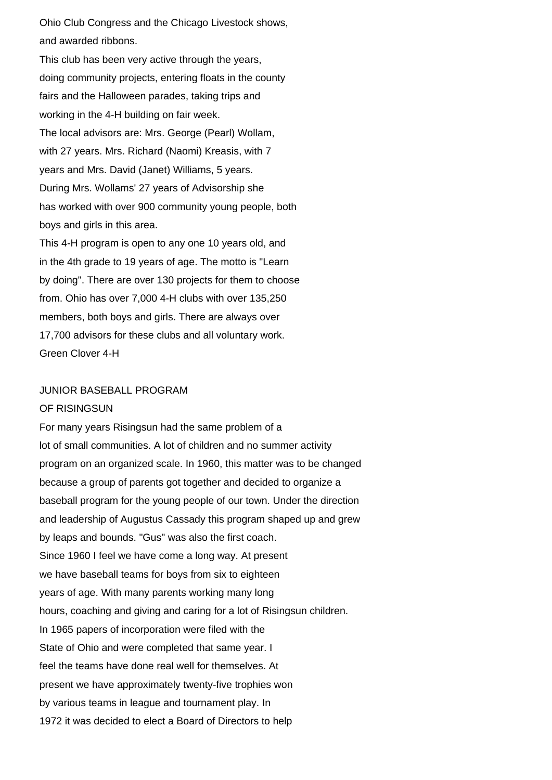Ohio Club Congress and the Chicago Livestock shows, and awarded ribbons.

This club has been very active through the years, doing community projects, entering floats in the county fairs and the Halloween parades, taking trips and working in the 4-H building on fair week. The local advisors are: Mrs. George (Pearl) Wollam, with 27 years. Mrs. Richard (Naomi) Kreasis, with 7 years and Mrs. David (Janet) Williams, 5 years. During Mrs. Wollams' 27 years of Advisorship she has worked with over 900 community young people, both boys and girls in this area.

This 4-H program is open to any one 10 years old, and in the 4th grade to 19 years of age. The motto is "Learn by doing". There are over 130 projects for them to choose from. Ohio has over 7,000 4-H clubs with over 135,250 members, both boys and girls. There are always over 17,700 advisors for these clubs and all voluntary work. Green Clover 4-H

## JUNIOR BASEBALL PROGRAM

#### OF RISINGSUN

For many years Risingsun had the same problem of a lot of small communities. A lot of children and no summer activity program on an organized scale. In 1960, this matter was to be changed because a group of parents got together and decided to organize a baseball program for the young people of our town. Under the direction and leadership of Augustus Cassady this program shaped up and grew by leaps and bounds. "Gus" was also the first coach. Since 1960 I feel we have come a long way. At present we have baseball teams for boys from six to eighteen years of age. With many parents working many long hours, coaching and giving and caring for a lot of Risingsun children. In 1965 papers of incorporation were filed with the State of Ohio and were completed that same year. I feel the teams have done real well for themselves. At present we have approximately twenty-five trophies won by various teams in league and tournament play. In 1972 it was decided to elect a Board of Directors to help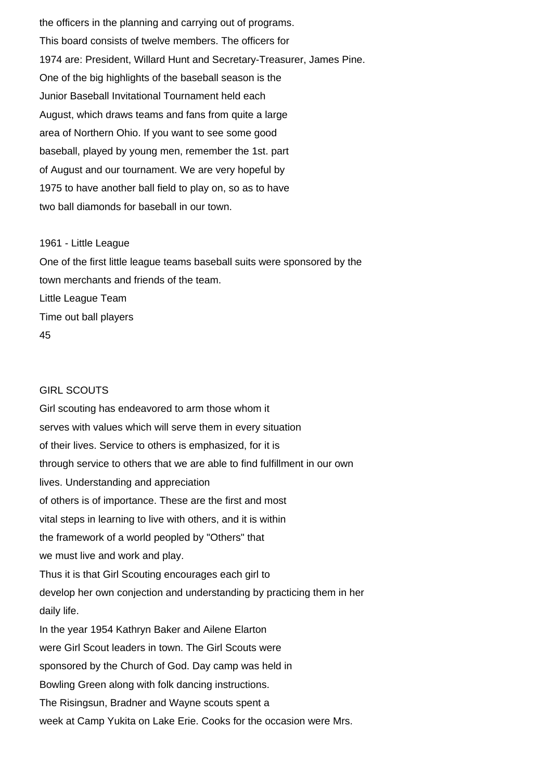the officers in the planning and carrying out of programs. This board consists of twelve members. The officers for 1974 are: President, Willard Hunt and Secretary-Treasurer, James Pine. One of the big highlights of the baseball season is the Junior Baseball Invitational Tournament held each August, which draws teams and fans from quite a large area of Northern Ohio. If you want to see some good baseball, played by young men, remember the 1st. part of August and our tournament. We are very hopeful by 1975 to have another ball field to play on, so as to have two ball diamonds for baseball in our town.

#### 1961 - Little League

One of the first little league teams baseball suits were sponsored by the town merchants and friends of the team. Little League Team Time out ball players 45

#### GIRL SCOUTS

Girl scouting has endeavored to arm those whom it serves with values which will serve them in every situation of their lives. Service to others is emphasized, for it is through service to others that we are able to find fulfillment in our own lives. Understanding and appreciation of others is of importance. These are the first and most vital steps in learning to live with others, and it is within the framework of a world peopled by "Others" that we must live and work and play. Thus it is that Girl Scouting encourages each girl to develop her own conjection and understanding by practicing them in her daily life. In the year 1954 Kathryn Baker and Ailene Elarton were Girl Scout leaders in town. The Girl Scouts were sponsored by the Church of God. Day camp was held in Bowling Green along with folk dancing instructions. The Risingsun, Bradner and Wayne scouts spent a week at Camp Yukita on Lake Erie. Cooks for the occasion were Mrs.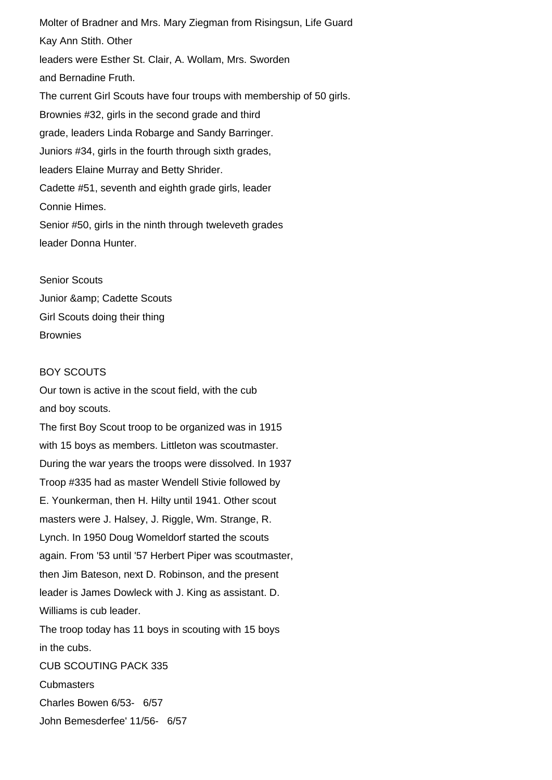Molter of Bradner and Mrs. Mary Ziegman from Risingsun, Life Guard Kay Ann Stith. Other leaders were Esther St. Clair, A. Wollam, Mrs. Sworden and Bernadine Fruth. The current Girl Scouts have four troups with membership of 50 girls. Brownies #32, girls in the second grade and third grade, leaders Linda Robarge and Sandy Barringer. Juniors #34, girls in the fourth through sixth grades, leaders Elaine Murray and Betty Shrider. Cadette #51, seventh and eighth grade girls, leader Connie Himes. Senior #50, girls in the ninth through tweleveth grades leader Donna Hunter.

Senior Scouts Junior & amp; Cadette Scouts Girl Scouts doing their thing **Brownies** 

## BOY SCOUTS

Our town is active in the scout field, with the cub and boy scouts.

The first Boy Scout troop to be organized was in 1915 with 15 boys as members. Littleton was scoutmaster. During the war years the troops were dissolved. In 1937 Troop #335 had as master Wendell Stivie followed by E. Younkerman, then H. Hilty until 1941. Other scout masters were J. Halsey, J. Riggle, Wm. Strange, R. Lynch. In 1950 Doug Womeldorf started the scouts again. From '53 until '57 Herbert Piper was scoutmaster, then Jim Bateson, next D. Robinson, and the present leader is James Dowleck with J. King as assistant. D. Williams is cub leader. The troop today has 11 boys in scouting with 15 boys in the cubs. CUB SCOUTING PACK 335 **Cubmasters** Charles Bowen 6/53- 6/57 John Bemesderfee' 11/56- 6/57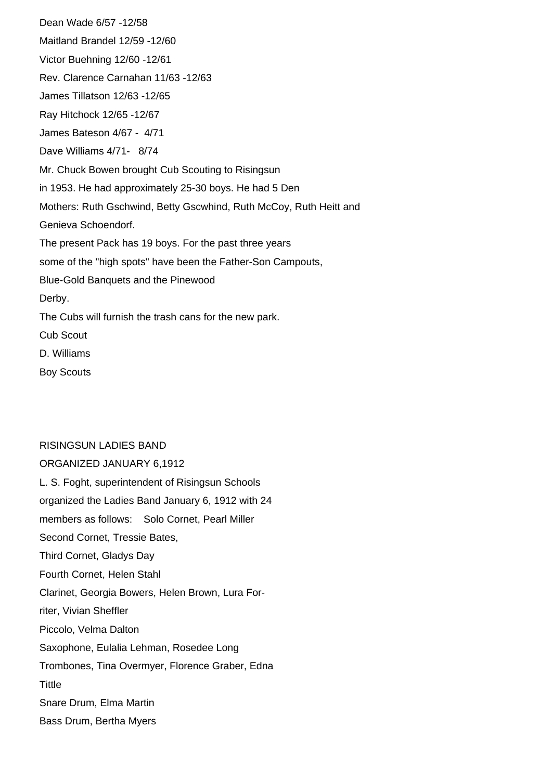Dean Wade 6/57 -12/58 Maitland Brandel 12/59 -12/60 Victor Buehning 12/60 -12/61 Rev. Clarence Carnahan 11/63 -12/63 James Tillatson 12/63 -12/65 Ray Hitchock 12/65 -12/67 James Bateson 4/67 - 4/71 Dave Williams 4/71- 8/74 Mr. Chuck Bowen brought Cub Scouting to Risingsun in 1953. He had approximately 25-30 boys. He had 5 Den Mothers: Ruth Gschwind, Betty Gscwhind, Ruth McCoy, Ruth Heitt and Genieva Schoendorf. The present Pack has 19 boys. For the past three years some of the "high spots" have been the Father-Son Campouts, Blue-Gold Banquets and the Pinewood Derby. The Cubs will furnish the trash cans for the new park. Cub Scout D. Williams

Boy Scouts

#### RISINGSUN LADIES BAND

ORGANIZED JANUARY 6,1912 L. S. Foght, superintendent of Risingsun Schools organized the Ladies Band January 6, 1912 with 24 members as follows: Solo Cornet, Pearl Miller Second Cornet, Tressie Bates, Third Cornet, Gladys Day Fourth Cornet, Helen Stahl Clarinet, Georgia Bowers, Helen Brown, Lura Forriter, Vivian Sheffler Piccolo, Velma Dalton Saxophone, Eulalia Lehman, Rosedee Long Trombones, Tina Overmyer, Florence Graber, Edna **Tittle** Snare Drum, Elma Martin Bass Drum, Bertha Myers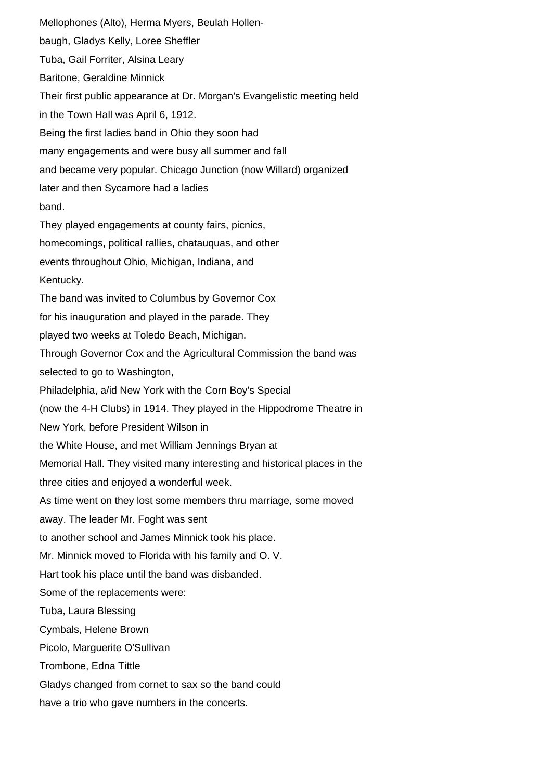Mellophones (Alto), Herma Myers, Beulah Hollenbaugh, Gladys Kelly, Loree Sheffler Tuba, Gail Forriter, Alsina Leary Baritone, Geraldine Minnick Their first public appearance at Dr. Morgan's Evangelistic meeting held in the Town Hall was April 6, 1912. Being the first ladies band in Ohio they soon had many engagements and were busy all summer and fall and became very popular. Chicago Junction (now Willard) organized later and then Sycamore had a ladies band. They played engagements at county fairs, picnics, homecomings, political rallies, chatauquas, and other events throughout Ohio, Michigan, Indiana, and Kentucky. The band was invited to Columbus by Governor Cox for his inauguration and played in the parade. They played two weeks at Toledo Beach, Michigan. Through Governor Cox and the Agricultural Commission the band was selected to go to Washington, Philadelphia, a/id New York with the Corn Boy's Special (now the 4-H Clubs) in 1914. They played in the Hippodrome Theatre in New York, before President Wilson in the White House, and met William Jennings Bryan at Memorial Hall. They visited many interesting and historical places in the three cities and enjoyed a wonderful week. As time went on they lost some members thru marriage, some moved away. The leader Mr. Foght was sent to another school and James Minnick took his place. Mr. Minnick moved to Florida with his family and O. V. Hart took his place until the band was disbanded. Some of the replacements were: Tuba, Laura Blessing Cymbals, Helene Brown Picolo, Marguerite O'Sullivan Trombone, Edna Tittle Gladys changed from cornet to sax so the band could have a trio who gave numbers in the concerts.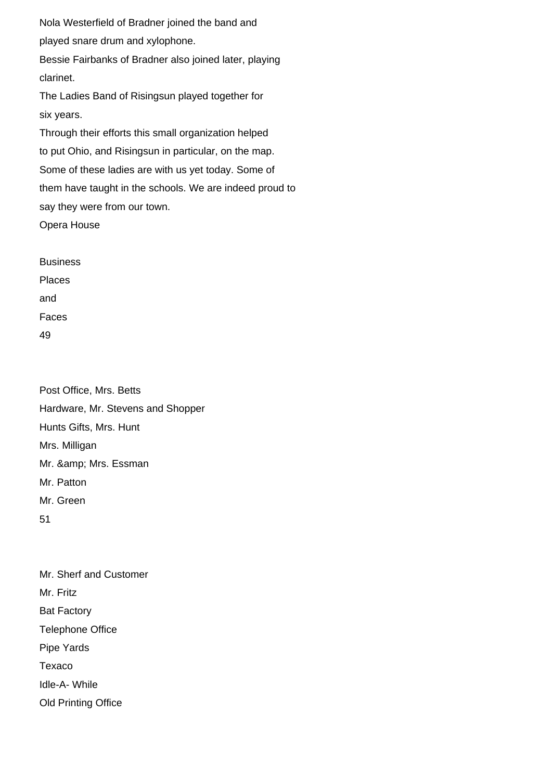Nola Westerfield of Bradner joined the band and played snare drum and xylophone. Bessie Fairbanks of Bradner also joined later, playing

clarinet.

The Ladies Band of Risingsun played together for six years.

Through their efforts this small organization helped to put Ohio, and Risingsun in particular, on the map. Some of these ladies are with us yet today. Some of them have taught in the schools. We are indeed proud to say they were from our town.

Opera House

Business Places and Faces 49

Post Office, Mrs. Betts Hardware, Mr. Stevens and Shopper Hunts Gifts, Mrs. Hunt Mrs. Milligan Mr. & amp; Mrs. Essman Mr. Patton Mr. Green 51

Mr. Sherf and Customer Mr. Fritz Bat Factory Telephone Office Pipe Yards Texaco Idle-A- While Old Printing Office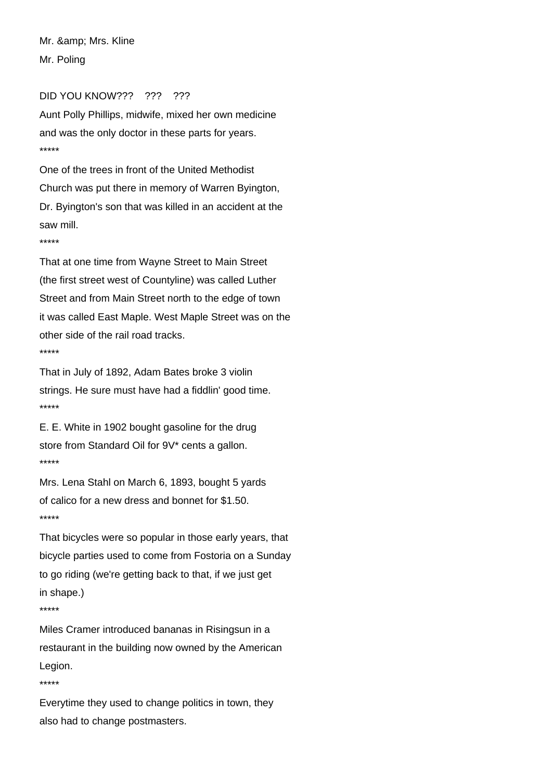Mr. & amp; Mrs. Kline Mr. Poling

#### DID YOU KNOW??? ??? ???

Aunt Polly Phillips, midwife, mixed her own medicine and was the only doctor in these parts for years. \*\*\*\*\*

One of the trees in front of the United Methodist Church was put there in memory of Warren Byington, Dr. Byington's son that was killed in an accident at the saw mill.

\*\*\*\*\*

That at one time from Wayne Street to Main Street (the first street west of Countyline) was called Luther Street and from Main Street north to the edge of town it was called East Maple. West Maple Street was on the other side of the rail road tracks. \*\*\*\*\*

That in July of 1892, Adam Bates broke 3 violin strings. He sure must have had a fiddlin' good time. \*\*\*\*\*

E. E. White in 1902 bought gasoline for the drug store from Standard Oil for 9V\* cents a gallon. \*\*\*\*\*

Mrs. Lena Stahl on March 6, 1893, bought 5 yards of calico for a new dress and bonnet for \$1.50. \*\*\*\*\*

That bicycles were so popular in those early years, that bicycle parties used to come from Fostoria on a Sunday to go riding (we're getting back to that, if we just get in shape.)

\*\*\*\*\*

Miles Cramer introduced bananas in Risingsun in a restaurant in the building now owned by the American Legion.

\*\*\*\*\*

Everytime they used to change politics in town, they also had to change postmasters.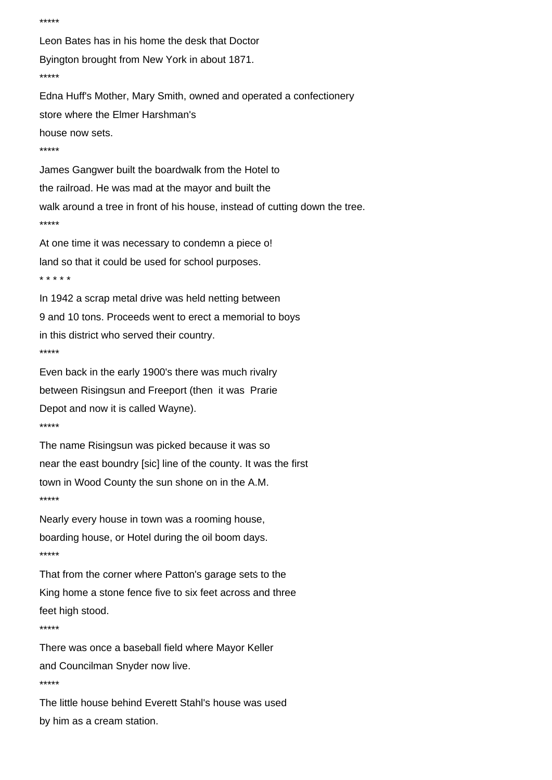```
Leon Bates has in his home the desk that Doctor
Byington brought from New York in about 1871.
*****
Edna Huff's Mother, Mary Smith, owned and operated a confectionery
store where the Elmer Harshman's
house now sets.
*****
James Gangwer built the boardwalk from the Hotel to
the railroad. He was mad at the mayor and built the
walk around a tree in front of his house, instead of cutting down the tree.
*****
At one time it was necessary to condemn a piece o!
land so that it could be used for school purposes.
* * * * *
In 1942 a scrap metal drive was held netting between
9 and 10 tons. Proceeds went to erect a memorial to boys
in this district who served their country.
*****
Even back in the early 1900's there was much rivalry
between Risingsun and Freeport (then it was Prarie
Depot and now it is called Wayne).
*****
The name Risingsun was picked because it was so
near the east boundry [sic] line of the county. It was the first
town in Wood County the sun shone on in the A.M.
*****
Nearly every house in town was a rooming house,
boarding house, or Hotel during the oil boom days.
*****
That from the corner where Patton's garage sets to the
King home a stone fence five to six feet across and three
feet high stood.
*****
There was once a baseball field where Mayor Keller
and Councilman Snyder now live.
*****
The little house behind Everett Stahl's house was used
```
\*\*\*\*\*

by him as a cream station.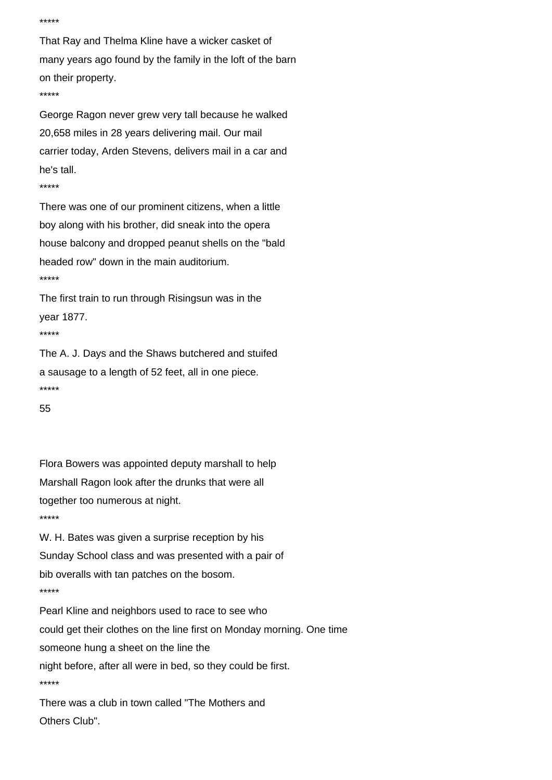```
*****
```
That Ray and Thelma Kline have a wicker casket of many years ago found by the family in the loft of the barn on their property. \*\*\*\*\*

George Ragon never grew very tall because he walked 20,658 miles in 28 years delivering mail. Our mail carrier today, Arden Stevens, delivers mail in a car and he's tall.

\*\*\*\*\*

There was one of our prominent citizens, when a little boy along with his brother, did sneak into the opera house balcony and dropped peanut shells on the "bald headed row" down in the main auditorium. \*\*\*\*\*

The first train to run through Risingsun was in the year 1877.

\*\*\*\*\*

The A. J. Days and the Shaws butchered and stuifed a sausage to a length of 52 feet, all in one piece. \*\*\*\*\*

55

Flora Bowers was appointed deputy marshall to help Marshall Ragon look after the drunks that were all together too numerous at night. \*\*\*\*\*

W. H. Bates was given a surprise reception by his Sunday School class and was presented with a pair of bib overalls with tan patches on the bosom. \*\*\*\*\*

Pearl Kline and neighbors used to race to see who could get their clothes on the line first on Monday morning. One time someone hung a sheet on the line the night before, after all were in bed, so they could be first. \*\*\*\*\*

There was a club in town called "The Mothers and Others Club".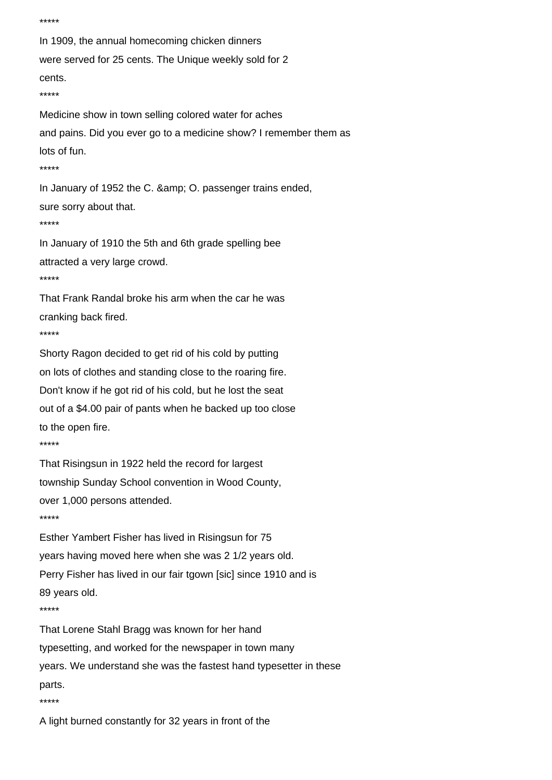```
*****
In 1909, the annual homecoming chicken dinners
were served for 25 cents. The Unique weekly sold for 2
cents.
*****
Medicine show in town selling colored water for aches
and pains. Did you ever go to a medicine show? I remember them as
lots of fun.
*****
In January of 1952 the C. & amp; O. passenger trains ended,
sure sorry about that.
*****
In January of 1910 the 5th and 6th grade spelling bee
attracted a very large crowd.
*****
That Frank Randal broke his arm when the car he was
cranking back fired.
*****
Shorty Ragon decided to get rid of his cold by putting
on lots of clothes and standing close to the roaring fire.
Don't know if he got rid of his cold, but he lost the seat
out of a $4.00 pair of pants when he backed up too close
to the open fire.
*****
That Risingsun in 1922 held the record for largest
township Sunday School convention in Wood County,
over 1,000 persons attended.
*****
Esther Yambert Fisher has lived in Risingsun for 75
years having moved here when she was 2 1/2 years old.
Perry Fisher has lived in our fair tgown [sic] since 1910 and is
89 years old.
*****
That Lorene Stahl Bragg was known for her hand
typesetting, and worked for the newspaper in town many
years. We understand she was the fastest hand typesetter in these
parts.
*****
```
A light burned constantly for 32 years in front of the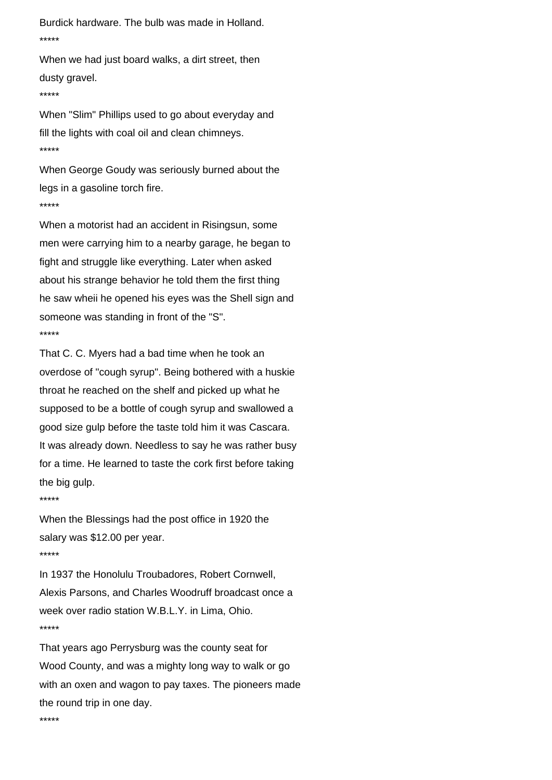Burdick hardware. The bulb was made in Holland. \*\*\*\*\*

When we had just board walks, a dirt street, then dusty gravel.

\*\*\*\*\*

When "Slim" Phillips used to go about everyday and fill the lights with coal oil and clean chimneys. \*\*\*\*\*

When George Goudy was seriously burned about the legs in a gasoline torch fire. \*\*\*\*\*

When a motorist had an accident in Risingsun, some men were carrying him to a nearby garage, he began to fight and struggle like everything. Later when asked about his strange behavior he told them the first thing he saw wheii he opened his eyes was the Shell sign and someone was standing in front of the "S". \*\*\*\*\*

That C. C. Myers had a bad time when he took an overdose of "cough syrup". Being bothered with a huskie throat he reached on the shelf and picked up what he supposed to be a bottle of cough syrup and swallowed a good size gulp before the taste told him it was Cascara. It was already down. Needless to say he was rather busy for a time. He learned to taste the cork first before taking the big gulp.

\*\*\*\*\*

When the Blessings had the post office in 1920 the salary was \$12.00 per year. \*\*\*\*\*

In 1937 the Honolulu Troubadores, Robert Cornwell, Alexis Parsons, and Charles Woodruff broadcast once a week over radio station W.B.L.Y. in Lima, Ohio. \*\*\*\*\*

That years ago Perrysburg was the county seat for Wood County, and was a mighty long way to walk or go with an oxen and wagon to pay taxes. The pioneers made the round trip in one day.

\*\*\*\*\*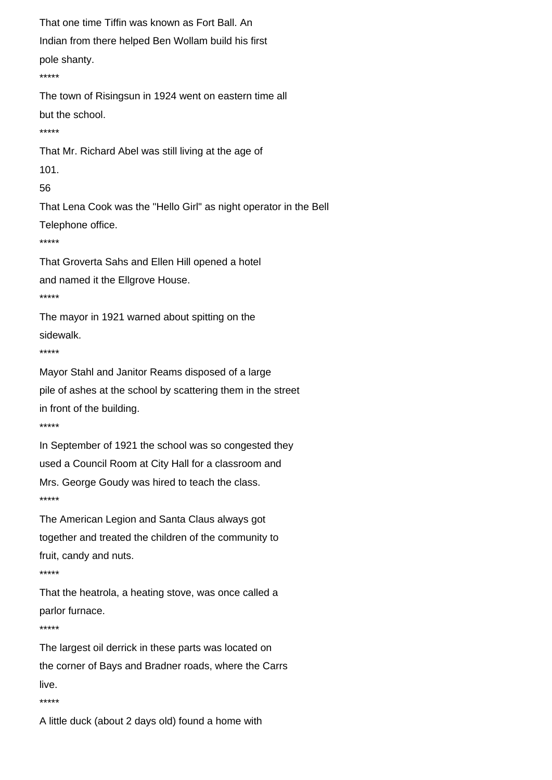```
That one time Tiffin was known as Fort Ball. An
Indian from there helped Ben Wollam build his first
pole shanty.
*****
The town of Risingsun in 1924 went on eastern time all
but the school.
*****
That Mr. Richard Abel was still living at the age of
101.
56
That Lena Cook was the "Hello Girl" as night operator in the Bell
Telephone office.
*****
That Groverta Sahs and Ellen Hill opened a hotel
and named it the Ellgrove House.
*****
The mayor in 1921 warned about spitting on the
sidewalk.
*****
Mayor Stahl and Janitor Reams disposed of a large
pile of ashes at the school by scattering them in the street
in front of the building.
*****
In September of 1921 the school was so congested they
used a Council Room at City Hall for a classroom and
Mrs. George Goudy was hired to teach the class.
*****
The American Legion and Santa Claus always got
together and treated the children of the community to
fruit, candy and nuts.
*****
That the heatrola, a heating stove, was once called a
parlor furnace.
*****
The largest oil derrick in these parts was located on
the corner of Bays and Bradner roads, where the Carrs
live.
*****
```
A little duck (about 2 days old) found a home with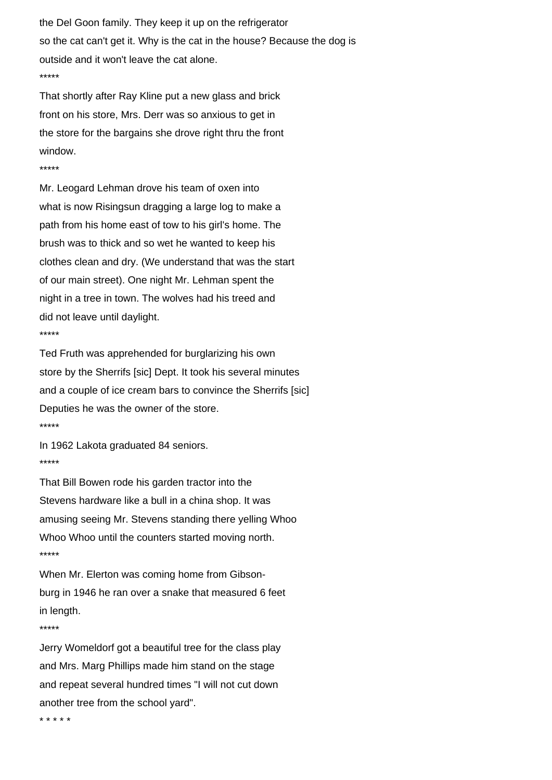the Del Goon family. They keep it up on the refrigerator so the cat can't get it. Why is the cat in the house? Because the dog is outside and it won't leave the cat alone. \*\*\*\*\*

That shortly after Ray Kline put a new glass and brick front on his store, Mrs. Derr was so anxious to get in the store for the bargains she drove right thru the front window.

## \*\*\*\*\*

Mr. Leogard Lehman drove his team of oxen into what is now Risingsun dragging a large log to make a path from his home east of tow to his girl's home. The brush was to thick and so wet he wanted to keep his clothes clean and dry. (We understand that was the start of our main street). One night Mr. Lehman spent the night in a tree in town. The wolves had his treed and did not leave until daylight. \*\*\*\*\*

Ted Fruth was apprehended for burglarizing his own store by the Sherrifs [sic] Dept. It took his several minutes and a couple of ice cream bars to convince the Sherrifs [sic] Deputies he was the owner of the store. \*\*\*\*\*

In 1962 Lakota graduated 84 seniors. \*\*\*\*\*

That Bill Bowen rode his garden tractor into the Stevens hardware like a bull in a china shop. It was amusing seeing Mr. Stevens standing there yelling Whoo Whoo Whoo until the counters started moving north. \*\*\*\*\*

When Mr. Elerton was coming home from Gibsonburg in 1946 he ran over a snake that measured 6 feet in length.

## \*\*\*\*\*

Jerry Womeldorf got a beautiful tree for the class play and Mrs. Marg Phillips made him stand on the stage and repeat several hundred times "I will not cut down another tree from the school yard".

\* \* \* \* \*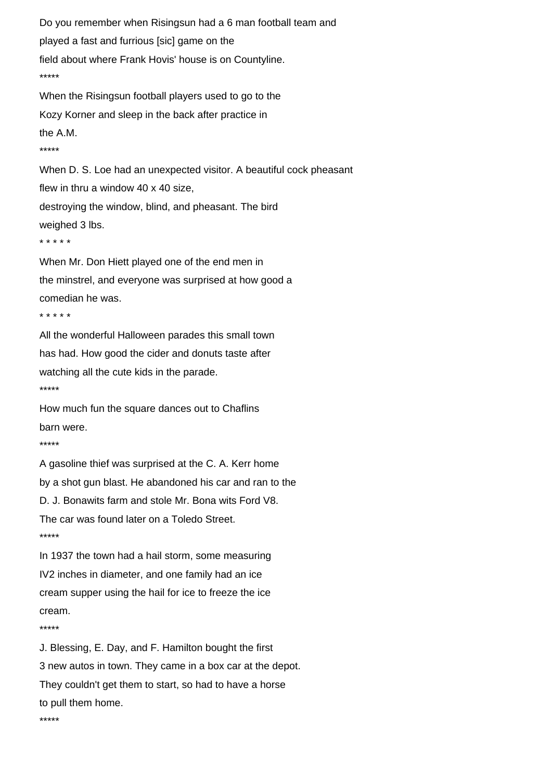Do you remember when Risingsun had a 6 man football team and played a fast and furrious [sic] game on the field about where Frank Hovis' house is on Countyline. \*\*\*\*\* When the Risingsun football players used to go to the Kozy Korner and sleep in the back after practice in the A.M. \*\*\*\*\* When D. S. Loe had an unexpected visitor. A beautiful cock pheasant flew in thru a window 40 x 40 size, destroying the window, blind, and pheasant. The bird weighed 3 lbs. \* \* \* \* \* When Mr. Don Hiett played one of the end men in the minstrel, and everyone was surprised at how good a comedian he was. \* \* \* \* \* All the wonderful Halloween parades this small town has had. How good the cider and donuts taste after watching all the cute kids in the parade. \*\*\*\*\* How much fun the square dances out to Chaflins barn were.

```
*****
```
A gasoline thief was surprised at the C. A. Kerr home by a shot gun blast. He abandoned his car and ran to the D. J. Bonawits farm and stole Mr. Bona wits Ford V8. The car was found later on a Toledo Street. \*\*\*\*\*

In 1937 the town had a hail storm, some measuring IV2 inches in diameter, and one family had an ice cream supper using the hail for ice to freeze the ice cream.

```
*****
```
J. Blessing, E. Day, and F. Hamilton bought the first 3 new autos in town. They came in a box car at the depot. They couldn't get them to start, so had to have a horse to pull them home.

\*\*\*\*\*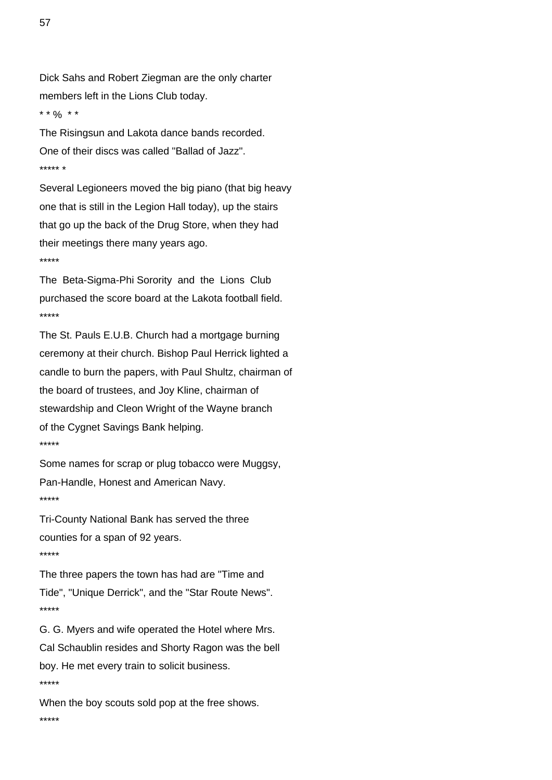Dick Sahs and Robert Ziegman are the only charter members left in the Lions Club today.

\* \*  $\frac{9}{0}$  \* \*

The Risingsun and Lakota dance bands recorded. One of their discs was called "Ballad of Jazz". \*\*\*\*\* \*

Several Legioneers moved the big piano (that big heavy one that is still in the Legion Hall today), up the stairs that go up the back of the Drug Store, when they had their meetings there many years ago. \*\*\*\*\*

The Beta-Sigma-Phi Sorority and the Lions Club purchased the score board at the Lakota football field. \*\*\*\*\*

The St. Pauls E.U.B. Church had a mortgage burning ceremony at their church. Bishop Paul Herrick lighted a candle to burn the papers, with Paul Shultz, chairman of the board of trustees, and Joy Kline, chairman of stewardship and Cleon Wright of the Wayne branch of the Cygnet Savings Bank helping. \*\*\*\*\*

Some names for scrap or plug tobacco were Muggsy, Pan-Handle, Honest and American Navy. \*\*\*\*\*

Tri-County National Bank has served the three counties for a span of 92 years. \*\*\*\*\*

The three papers the town has had are "Time and Tide", "Unique Derrick", and the "Star Route News". \*\*\*\*\*

G. G. Myers and wife operated the Hotel where Mrs. Cal Schaublin resides and Shorty Ragon was the bell boy. He met every train to solicit business. \*\*\*\*\*

When the boy scouts sold pop at the free shows. \*\*\*\*\*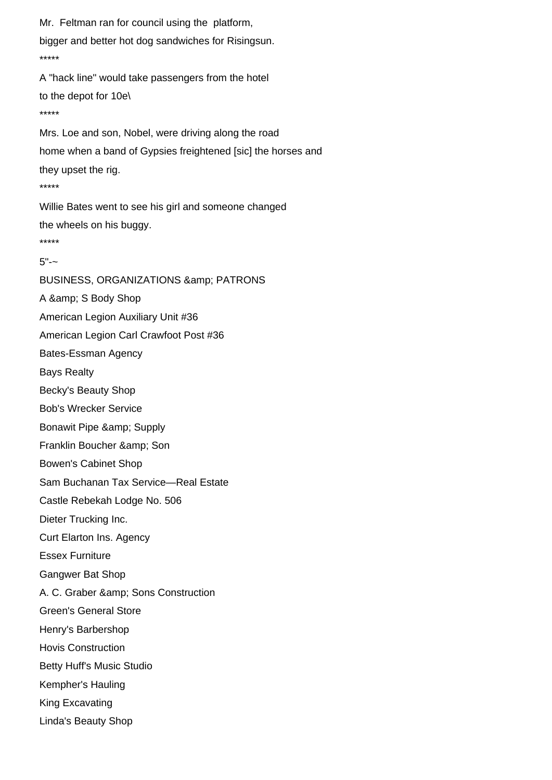Mr. Feltman ran for council using the platform, bigger and better hot dog sandwiches for Risingsun. \*\*\*\*\* A "hack line" would take passengers from the hotel to the depot for 10e\ \*\*\*\*\* Mrs. Loe and son, Nobel, were driving along the road home when a band of Gypsies freightened [sic] the horses and they upset the rig. \*\*\*\*\* Willie Bates went to see his girl and someone changed the wheels on his buggy. \*\*\*\*\*  $5"$  -  $\sim$ BUSINESS, ORGANIZATIONS & amp; PATRONS A & amp; S Body Shop American Legion Auxiliary Unit #36 American Legion Carl Crawfoot Post #36 Bates-Essman Agency Bays Realty Becky's Beauty Shop Bob's Wrecker Service Bonawit Pipe & amp; Supply Franklin Boucher & amp; Son Bowen's Cabinet Shop Sam Buchanan Tax Service—Real Estate Castle Rebekah Lodge No. 506 Dieter Trucking Inc. Curt Elarton Ins. Agency Essex Furniture Gangwer Bat Shop A. C. Graber & amp; Sons Construction Green's General Store Henry's Barbershop Hovis Construction Betty Huff's Music Studio Kempher's Hauling King Excavating Linda's Beauty Shop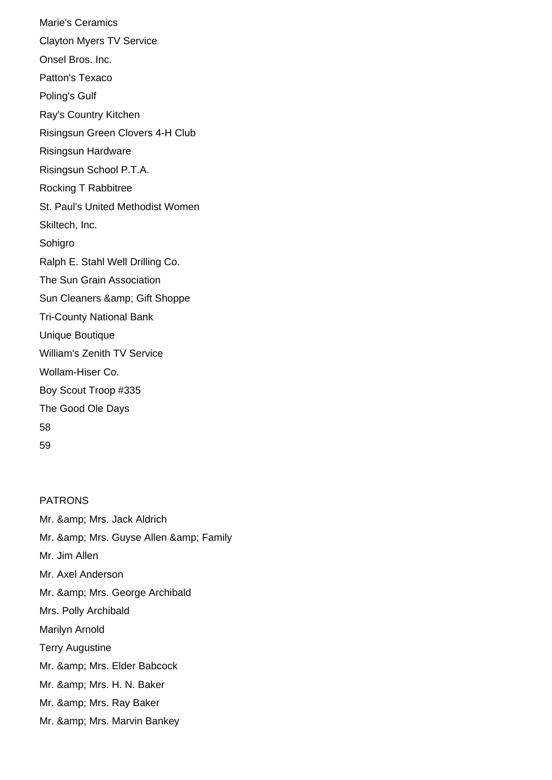Marie's Ceramics Clayton Myers TV Service Onsel Bros. Inc. Patton's Texaco Poling's Gulf Ray's Country Kitchen Risingsun Green Clovers 4-H Club Risingsun Hardware Risingsun School P.T.A. Rocking T Rabbitree St. Paul's United Methodist Women Skiltech, Inc. Sohigro Ralph E. Stahl Well Drilling Co. The Sun Grain Association Sun Cleaners & amp; Gift Shoppe Tri-County National Bank Unique Boutique William's Zenith TV Service Wollam-Hiser Co. Boy Scout Troop #335 The Good Ole Days 58 59

PATRONS Mr. & amp; Mrs. Jack Aldrich Mr. & amp; Mrs. Guyse Allen & amp; Family Mr. Jim Allen Mr. Axel Anderson Mr. & amp; Mrs. George Archibald Mrs. Polly Archibald Marilyn Arnold Terry Augustine Mr. & amp; Mrs. Elder Babcock Mr. & amp; Mrs. H. N. Baker Mr. & amp; Mrs. Ray Baker Mr. & amp; Mrs. Marvin Bankey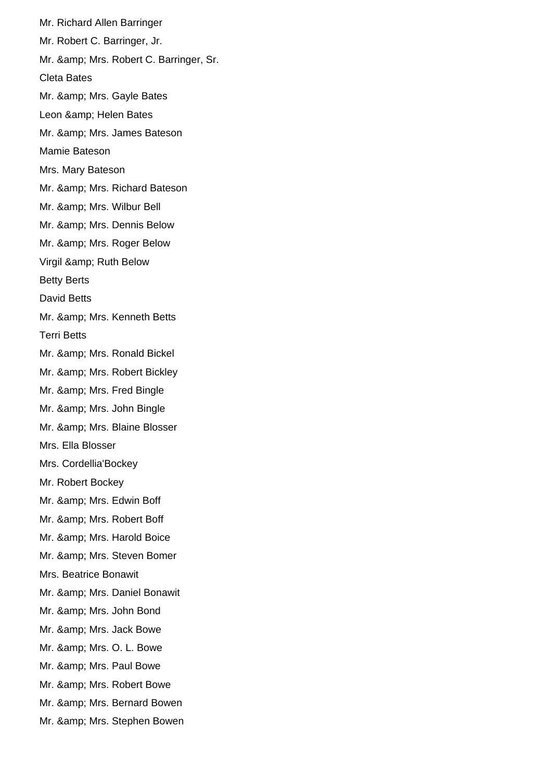Mr. Richard Allen Barringer Mr. Robert C. Barringer, Jr. Mr. & amp; Mrs. Robert C. Barringer, Sr. Cleta Bates Mr. & amp; Mrs. Gayle Bates Leon & amp; Helen Bates Mr. & amp; Mrs. James Bateson Mamie Bateson Mrs. Mary Bateson Mr. & amp; Mrs. Richard Bateson Mr. & amp; Mrs. Wilbur Bell Mr. & amp; Mrs. Dennis Below Mr. & amp; Mrs. Roger Below Virgil & amp; Ruth Below Betty Berts David Betts Mr. & amp; Mrs. Kenneth Betts Terri Betts Mr. & amp; Mrs. Ronald Bickel Mr. & amp; Mrs. Robert Bickley Mr. & amp; Mrs. Fred Bingle Mr. & amp; Mrs. John Bingle Mr. & amp; Mrs. Blaine Blosser Mrs. Ella Blosser Mrs. Cordellia'Bockey Mr. Robert Bockey Mr. & amp; Mrs. Edwin Boff Mr. & amp; Mrs. Robert Boff Mr. & amp; Mrs. Harold Boice Mr. & amp; Mrs. Steven Bomer Mrs. Beatrice Bonawit Mr. & amp; Mrs. Daniel Bonawit Mr. & amp; Mrs. John Bond Mr. & amp; Mrs. Jack Bowe Mr. & amp; Mrs. O. L. Bowe Mr. & amp; Mrs. Paul Bowe Mr. & amp; Mrs. Robert Bowe Mr. & amp; Mrs. Bernard Bowen Mr. & amp; Mrs. Stephen Bowen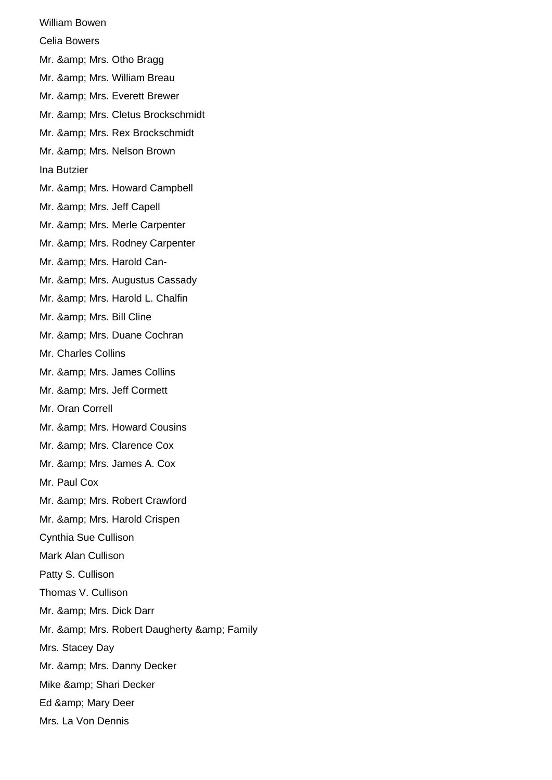William Bowen Celia Bowers Mr. & amp; Mrs. Otho Bragg Mr. & amp; Mrs. William Breau Mr. & amp; Mrs. Everett Brewer Mr. & amp; Mrs. Cletus Brockschmidt Mr. & amp; Mrs. Rex Brockschmidt Mr. & amp; Mrs. Nelson Brown Ina Butzier Mr. & amp; Mrs. Howard Campbell Mr. & amp; Mrs. Jeff Capell Mr. & amp; Mrs. Merle Carpenter Mr. & amp; Mrs. Rodney Carpenter Mr. & amp; Mrs. Harold Can-Mr. & amp; Mrs. Augustus Cassady Mr. & amp; Mrs. Harold L. Chalfin Mr. & amp; Mrs. Bill Cline Mr. & amp; Mrs. Duane Cochran Mr. Charles Collins Mr. & amp; Mrs. James Collins Mr. & amp; Mrs. Jeff Cormett Mr. Oran Correll Mr. & amp; Mrs. Howard Cousins Mr. & amp; Mrs. Clarence Cox Mr. & amp; Mrs. James A. Cox Mr. Paul Cox Mr. & amp; Mrs. Robert Crawford Mr. & amp; Mrs. Harold Crispen Cynthia Sue Cullison Mark Alan Cullison Patty S. Cullison Thomas V. Cullison Mr. & amp; Mrs. Dick Darr Mr. & amp; Mrs. Robert Daugherty & amp; Family Mrs. Stacey Day Mr. & amp; Mrs. Danny Decker Mike & amp; Shari Decker Ed & amp; Mary Deer Mrs. La Von Dennis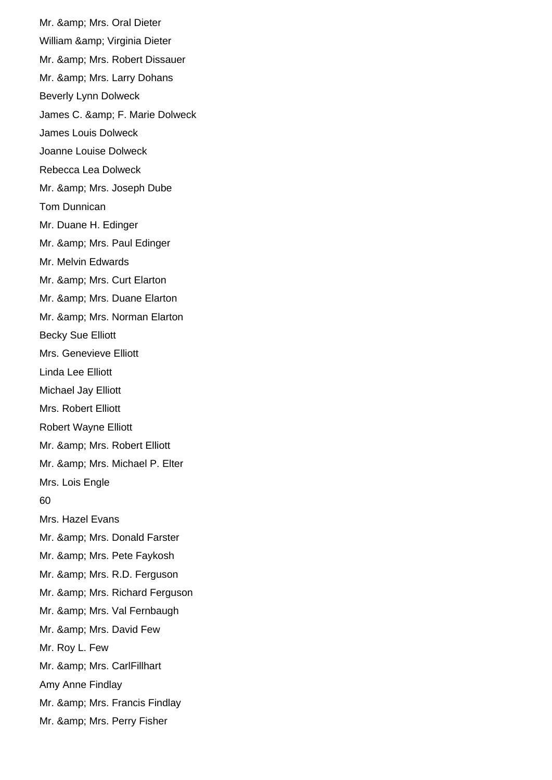Mr. & amp; Mrs. Oral Dieter William & amp; Virginia Dieter Mr. & amp; Mrs. Robert Dissauer Mr. & amp; Mrs. Larry Dohans Beverly Lynn Dolweck James C. & amp; F. Marie Dolweck James Louis Dolweck Joanne Louise Dolweck Rebecca Lea Dolweck Mr. & amp; Mrs. Joseph Dube Tom Dunnican Mr. Duane H. Edinger Mr. & amp; Mrs. Paul Edinger Mr. Melvin Edwards Mr. & amp: Mrs. Curt Elarton Mr. & amp; Mrs. Duane Elarton Mr. & amp; Mrs. Norman Elarton Becky Sue Elliott Mrs. Genevieve Elliott Linda Lee Elliott Michael Jay Elliott Mrs. Robert Elliott Robert Wayne Elliott Mr. & amp; Mrs. Robert Elliott Mr. & amp; Mrs. Michael P. Elter Mrs. Lois Engle 60 Mrs. Hazel Evans Mr. & amp; Mrs. Donald Farster Mr. & amp; Mrs. Pete Faykosh Mr. & amp; Mrs. R.D. Ferguson Mr. & amp; Mrs. Richard Ferguson Mr. & amp; Mrs. Val Fernbaugh Mr. & amp; Mrs. David Few Mr. Roy L. Few Mr. & amp; Mrs. CarlFillhart Amy Anne Findlay Mr. & amp; Mrs. Francis Findlay Mr. & amp; Mrs. Perry Fisher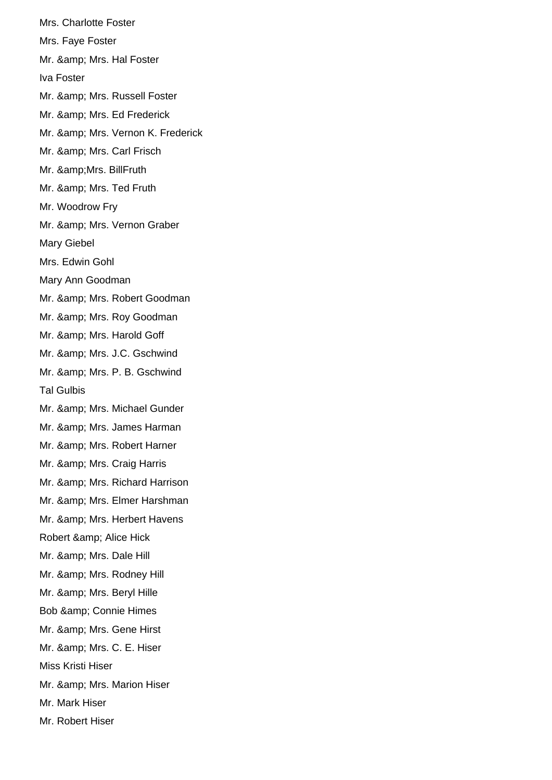Mrs. Charlotte Foster Mrs. Faye Foster Mr. & amp; Mrs. Hal Foster Iva Foster Mr. & amp; Mrs. Russell Foster Mr. & amp; Mrs. Ed Frederick Mr. & amp; Mrs. Vernon K. Frederick Mr. & amp; Mrs. Carl Frisch Mr. & Mrs. Bill Fruth Mr. & amp; Mrs. Ted Fruth Mr. Woodrow Fry Mr. & amp; Mrs. Vernon Graber Mary Giebel Mrs. Edwin Gohl Mary Ann Goodman Mr. & amp; Mrs. Robert Goodman Mr. & amp; Mrs. Roy Goodman Mr. & amp; Mrs. Harold Goff Mr. & amp; Mrs. J.C. Gschwind Mr. & amp; Mrs. P. B. Gschwind Tal Gulbis Mr. & amp; Mrs. Michael Gunder Mr. & amp; Mrs. James Harman Mr. & amp; Mrs. Robert Harner Mr. & amp; Mrs. Craig Harris Mr. & amp; Mrs. Richard Harrison Mr. & amp; Mrs. Elmer Harshman Mr. & amp; Mrs. Herbert Havens Robert & amp; Alice Hick Mr. & amp; Mrs. Dale Hill Mr. & amp; Mrs. Rodney Hill Mr. & amp; Mrs. Beryl Hille Bob & amp; Connie Himes Mr. & amp; Mrs. Gene Hirst Mr. & amp; Mrs. C. E. Hiser Miss Kristi Hiser Mr. & amp; Mrs. Marion Hiser Mr. Mark Hiser Mr. Robert Hiser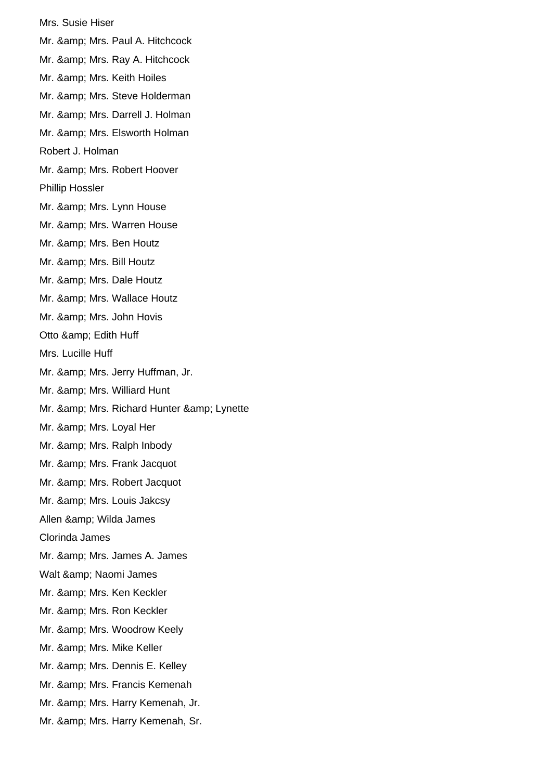Mrs. Susie Hiser Mr. & amp; Mrs. Paul A. Hitchcock Mr. & amp; Mrs. Ray A. Hitchcock Mr. & amp; Mrs. Keith Hoiles Mr. & amp; Mrs. Steve Holderman Mr. & amp; Mrs. Darrell J. Holman Mr. & amp; Mrs. Elsworth Holman Robert J. Holman Mr. & amp; Mrs. Robert Hoover Phillip Hossler Mr. & amp; Mrs. Lynn House Mr. & amp; Mrs. Warren House Mr. & amp; Mrs. Ben Houtz Mr. & amp; Mrs. Bill Houtz Mr. & amp: Mrs. Dale Houtz Mr. & amp; Mrs. Wallace Houtz Mr. & amp: Mrs. John Hovis Otto & amp; Edith Huff Mrs. Lucille Huff Mr. & amp; Mrs. Jerry Huffman, Jr. Mr. & amp; Mrs. Williard Hunt Mr. & amp; Mrs. Richard Hunter & amp; Lynette Mr. & amp; Mrs. Loyal Her Mr. & amp; Mrs. Ralph Inbody Mr. & amp; Mrs. Frank Jacquot Mr. & amp; Mrs. Robert Jacquot Mr. & amp; Mrs. Louis Jakcsy Allen & amp; Wilda James Clorinda James Mr. & amp: Mrs. James A. James Walt & amp; Naomi James Mr. & amp; Mrs. Ken Keckler Mr. & amp; Mrs. Ron Keckler Mr. & amp; Mrs. Woodrow Keely Mr. & amp; Mrs. Mike Keller Mr. & amp; Mrs. Dennis E. Kelley Mr. & amp; Mrs. Francis Kemenah Mr. & amp; Mrs. Harry Kemenah, Jr. Mr. & amp; Mrs. Harry Kemenah, Sr.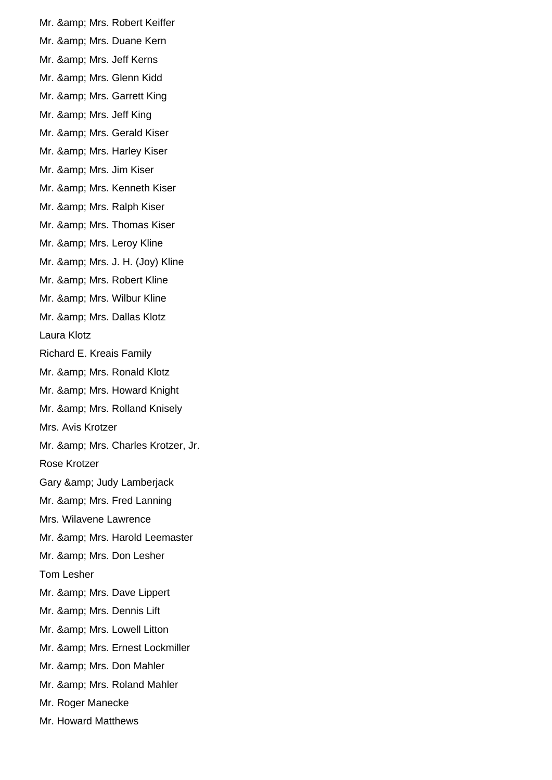Mr. & amp; Mrs. Robert Keiffer Mr. & amp; Mrs. Duane Kern Mr. & amp; Mrs. Jeff Kerns Mr. & amp; Mrs. Glenn Kidd Mr. & amp; Mrs. Garrett King Mr. & amp; Mrs. Jeff King Mr. & amp; Mrs. Gerald Kiser Mr. & amp; Mrs. Harley Kiser Mr. & amp; Mrs. Jim Kiser Mr. & amp; Mrs. Kenneth Kiser Mr. & amp; Mrs. Ralph Kiser Mr. & amp; Mrs. Thomas Kiser Mr. & amp; Mrs. Leroy Kline Mr. & amp; Mrs. J. H. (Joy) Kline Mr. & amp: Mrs. Robert Kline Mr. & amp; Mrs. Wilbur Kline Mr. & amp: Mrs. Dallas Klotz Laura Klotz Richard E. Kreais Family Mr. & amp; Mrs. Ronald Klotz Mr. & amp; Mrs. Howard Knight Mr. & amp; Mrs. Rolland Knisely Mrs. Avis Krotzer Mr. & amp; Mrs. Charles Krotzer, Jr. Rose Krotzer Gary & amp; Judy Lamberjack Mr. & amp; Mrs. Fred Lanning Mrs. Wilavene Lawrence Mr. & amp; Mrs. Harold Leemaster Mr. & amp: Mrs. Don Lesher Tom Lesher Mr. & amp; Mrs. Dave Lippert Mr. & amp; Mrs. Dennis Lift Mr. & amp; Mrs. Lowell Litton Mr. & amp; Mrs. Ernest Lockmiller Mr. & amp; Mrs. Don Mahler Mr. & amp; Mrs. Roland Mahler Mr. Roger Manecke Mr. Howard Matthews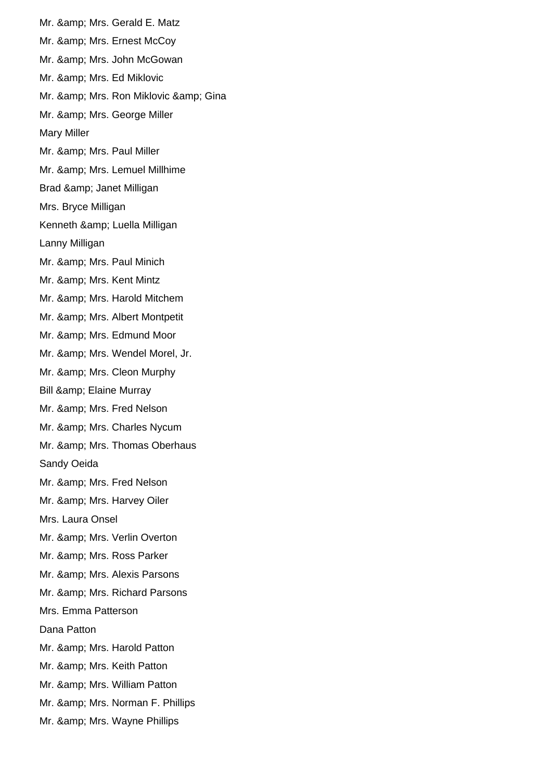Mr. & amp; Mrs. Gerald E. Matz Mr. & amp; Mrs. Ernest McCoy Mr. & amp; Mrs. John McGowan Mr. & amp; Mrs. Ed Miklovic Mr. & amp; Mrs. Ron Miklovic & amp; Gina Mr. & amp; Mrs. George Miller Mary Miller Mr. & amp; Mrs. Paul Miller Mr. & amp; Mrs. Lemuel Millhime Brad & amp; Janet Milligan Mrs. Bryce Milligan Kenneth & amp; Luella Milligan Lanny Milligan Mr. & amp; Mrs. Paul Minich Mr. & amp: Mrs. Kent Mintz Mr. & amp; Mrs. Harold Mitchem Mr. & amp; Mrs. Albert Montpetit Mr. & amp; Mrs. Edmund Moor Mr. & amp; Mrs. Wendel Morel, Jr. Mr. & amp; Mrs. Cleon Murphy Bill & amp; Elaine Murray Mr. & amp; Mrs. Fred Nelson Mr. & amp; Mrs. Charles Nycum Mr. & amp; Mrs. Thomas Oberhaus Sandy Oeida Mr. & amp; Mrs. Fred Nelson Mr. & amp; Mrs. Harvey Oiler Mrs. Laura Onsel Mr. & amp; Mrs. Verlin Overton Mr. & amp; Mrs. Ross Parker Mr. & amp; Mrs. Alexis Parsons Mr. & amp; Mrs. Richard Parsons Mrs. Emma Patterson Dana Patton Mr. & amp; Mrs. Harold Patton Mr. & amp; Mrs. Keith Patton Mr. & amp; Mrs. William Patton Mr. & amp; Mrs. Norman F. Phillips Mr. & amp; Mrs. Wayne Phillips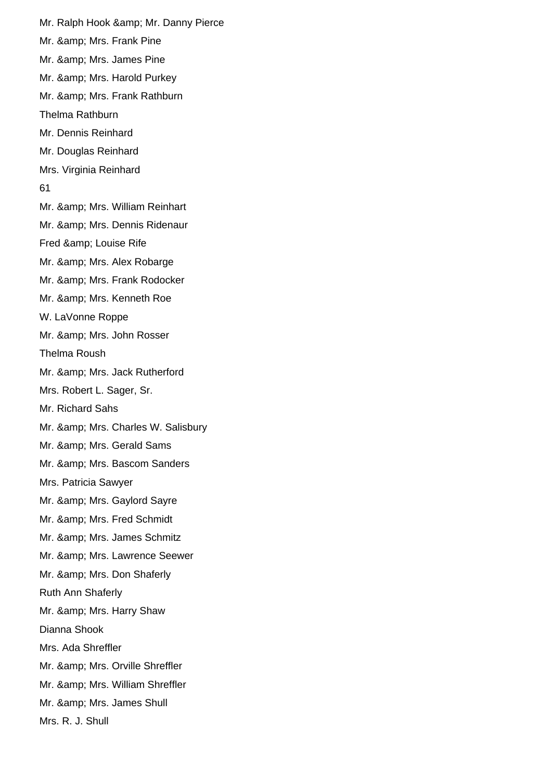Mr. Ralph Hook & amp; Mr. Danny Pierce Mr. & amp; Mrs. Frank Pine Mr. & amp; Mrs. James Pine Mr. & amp; Mrs. Harold Purkey Mr. & amp; Mrs. Frank Rathburn Thelma Rathburn Mr. Dennis Reinhard Mr. Douglas Reinhard Mrs. Virginia Reinhard 61 Mr. & amp; Mrs. William Reinhart Mr. & amp; Mrs. Dennis Ridenaur Fred & amp; Louise Rife Mr. & amp; Mrs. Alex Robarge Mr. & amp; Mrs. Frank Rodocker Mr. & amp; Mrs. Kenneth Roe W. LaVonne Roppe Mr. & amp; Mrs. John Rosser Thelma Roush Mr. & amp; Mrs. Jack Rutherford Mrs. Robert L. Sager, Sr. Mr. Richard Sahs Mr. & amp; Mrs. Charles W. Salisbury Mr. & amp; Mrs. Gerald Sams Mr. & amp; Mrs. Bascom Sanders Mrs. Patricia Sawyer Mr. & amp; Mrs. Gaylord Sayre Mr. & amp; Mrs. Fred Schmidt Mr. & amp; Mrs. James Schmitz Mr. & amp; Mrs. Lawrence Seewer Mr. & amp; Mrs. Don Shaferly Ruth Ann Shaferly Mr. & amp; Mrs. Harry Shaw Dianna Shook Mrs. Ada Shreffler Mr. & amp; Mrs. Orville Shreffler Mr. & amp; Mrs. William Shreffler Mr. & amp; Mrs. James Shull Mrs. R. J. Shull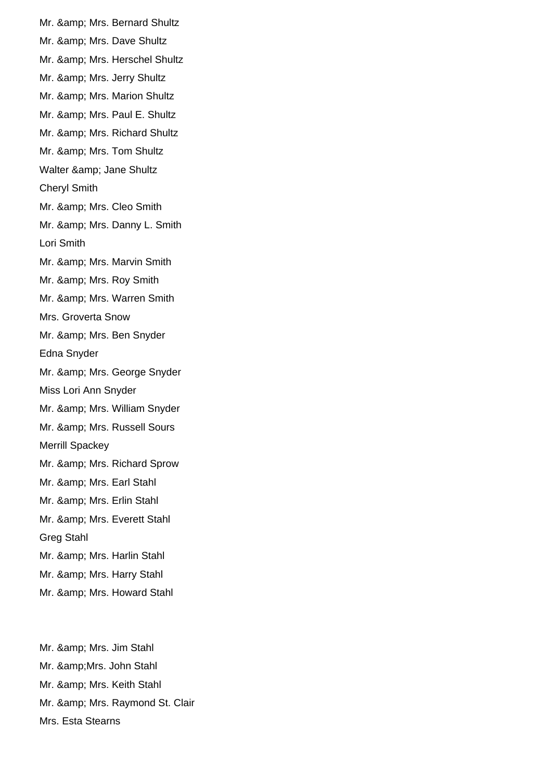Mr. & amp; Mrs. Bernard Shultz Mr. & amp; Mrs. Dave Shultz Mr. & amp; Mrs. Herschel Shultz Mr. & amp; Mrs. Jerry Shultz Mr. & amp; Mrs. Marion Shultz Mr. & amp; Mrs. Paul E. Shultz Mr. & amp; Mrs. Richard Shultz Mr. & amp; Mrs. Tom Shultz Walter & amp; Jane Shultz Cheryl Smith Mr. & amp; Mrs. Cleo Smith Mr. & amp; Mrs. Danny L. Smith Lori Smith Mr. & amp; Mrs. Marvin Smith Mr. & amp; Mrs. Roy Smith Mr. & amp; Mrs. Warren Smith Mrs. Groverta Snow Mr. & amp; Mrs. Ben Snyder Edna Snyder Mr. & amp; Mrs. George Snyder Miss Lori Ann Snyder Mr. & amp; Mrs. William Snyder Mr. & amp; Mrs. Russell Sours Merrill Spackey Mr. & amp; Mrs. Richard Sprow Mr. & amp; Mrs. Earl Stahl Mr. & amp; Mrs. Erlin Stahl Mr. & amp; Mrs. Everett Stahl Greg Stahl Mr. & amp; Mrs. Harlin Stahl Mr. & amp; Mrs. Harry Stahl Mr. & amp; Mrs. Howard Stahl

Mr. & amp; Mrs. Jim Stahl Mr. & Mrs. John Stahl Mr. & amp; Mrs. Keith Stahl Mr. & amp; Mrs. Raymond St. Clair Mrs. Esta Stearns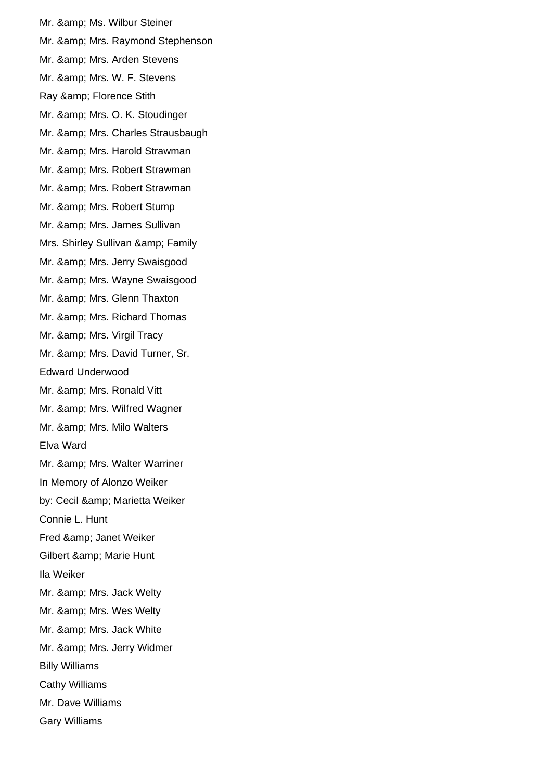Mr. & amp; Ms. Wilbur Steiner Mr. & amp; Mrs. Raymond Stephenson Mr. & amp; Mrs. Arden Stevens Mr. & amp; Mrs. W. F. Stevens Ray & amp; Florence Stith Mr. & amp; Mrs. O. K. Stoudinger Mr. & amp; Mrs. Charles Strausbaugh Mr. & amp; Mrs. Harold Strawman Mr. & amp; Mrs. Robert Strawman Mr. & amp; Mrs. Robert Strawman Mr. & amp; Mrs. Robert Stump Mr. & amp; Mrs. James Sullivan Mrs. Shirley Sullivan & amp; Family Mr. & amp; Mrs. Jerry Swaisgood Mr. & amp; Mrs. Wayne Swaisgood Mr. & amp; Mrs. Glenn Thaxton Mr. & amp: Mrs. Richard Thomas Mr. & amp; Mrs. Virgil Tracy Mr. & amp; Mrs. David Turner, Sr. Edward Underwood Mr. & amp; Mrs. Ronald Vitt Mr. & amp; Mrs. Wilfred Wagner Mr. & amp; Mrs. Milo Walters Elva Ward Mr. & amp; Mrs. Walter Warriner In Memory of Alonzo Weiker by: Cecil & amp; Marietta Weiker Connie L. Hunt Fred & amp; Janet Weiker Gilbert & amp; Marie Hunt Ila Weiker Mr. & amp; Mrs. Jack Welty Mr. & amp; Mrs. Wes Welty Mr. & amp; Mrs. Jack White Mr. & amp; Mrs. Jerry Widmer Billy Williams Cathy Williams Mr. Dave Williams Gary Williams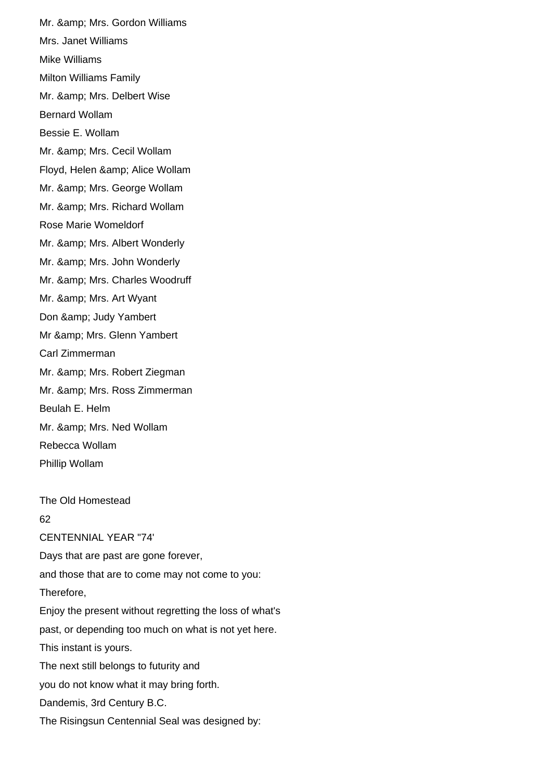Mr. & amp; Mrs. Gordon Williams Mrs. Janet Williams Mike Williams Milton Williams Family Mr. & amp; Mrs. Delbert Wise Bernard Wollam Bessie E. Wollam Mr. & amp; Mrs. Cecil Wollam Floyd, Helen & amp; Alice Wollam Mr. & amp; Mrs. George Wollam Mr. & amp; Mrs. Richard Wollam Rose Marie Womeldorf Mr. & amp; Mrs. Albert Wonderly Mr. & amp; Mrs. John Wonderly Mr. & amp; Mrs. Charles Woodruff Mr. & amp; Mrs. Art Wyant Don & amp; Judy Yambert Mr & amp; Mrs. Glenn Yambert Carl Zimmerman Mr. & amp; Mrs. Robert Ziegman Mr. & amp; Mrs. Ross Zimmerman Beulah E. Helm Mr. & amp; Mrs. Ned Wollam Rebecca Wollam Phillip Wollam The Old Homestead 62 CENTENNIAL YEAR "74' Days that are past are gone forever, and those that are to come may not come to you: Therefore, Enjoy the present without regretting the loss of what's past, or depending too much on what is not yet here.

This instant is yours. The next still belongs to futurity and

you do not know what it may bring forth.

Dandemis, 3rd Century B.C.

The Risingsun Centennial Seal was designed by: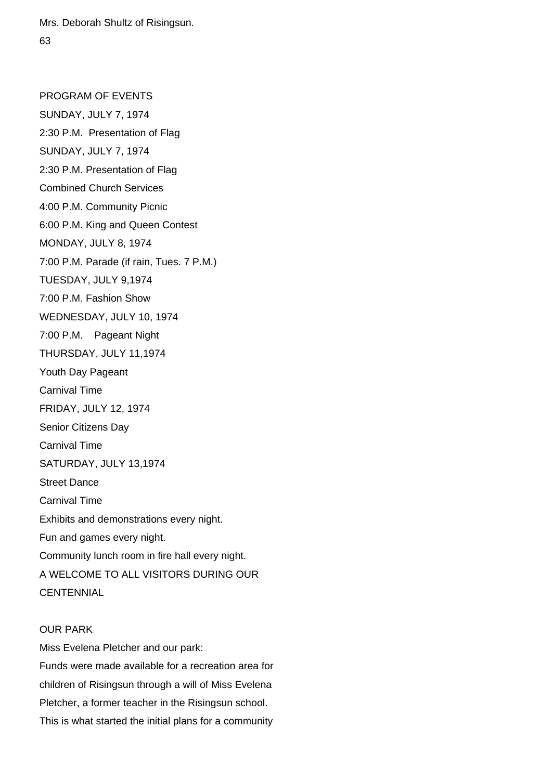Mrs. Deborah Shultz of Risingsun. 63

PROGRAM OF EVENTS SUNDAY, JULY 7, 1974 2:30 P.M. Presentation of Flag SUNDAY, JULY 7, 1974 2:30 P.M. Presentation of Flag Combined Church Services 4:00 P.M. Community Picnic 6:00 P.M. King and Queen Contest MONDAY, JULY 8, 1974 7:00 P.M. Parade (if rain, Tues. 7 P.M.) TUESDAY, JULY 9,1974 7:00 P.M. Fashion Show WEDNESDAY, JULY 10, 1974 7:00 P.M. Pageant Night THURSDAY, JULY 11,1974 Youth Day Pageant Carnival Time FRIDAY, JULY 12, 1974 Senior Citizens Day Carnival Time SATURDAY, JULY 13,1974 Street Dance Carnival Time Exhibits and demonstrations every night. Fun and games every night. Community lunch room in fire hall every night. A WELCOME TO ALL VISITORS DURING OUR **CENTENNIAL** 

## OUR PARK

Miss Evelena Pletcher and our park: Funds were made available for a recreation area for children of Risingsun through a will of Miss Evelena Pletcher, a former teacher in the Risingsun school. This is what started the initial plans for a community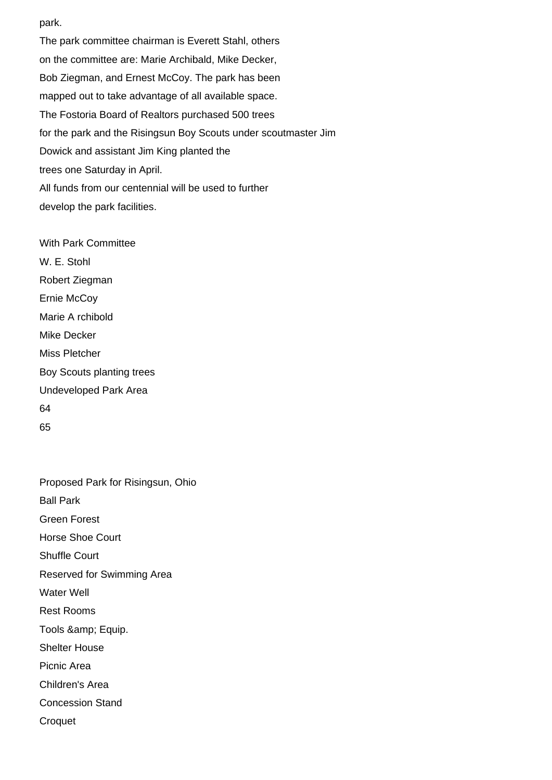park.

The park committee chairman is Everett Stahl, others on the committee are: Marie Archibald, Mike Decker, Bob Ziegman, and Ernest McCoy. The park has been mapped out to take advantage of all available space. The Fostoria Board of Realtors purchased 500 trees for the park and the Risingsun Boy Scouts under scoutmaster Jim Dowick and assistant Jim King planted the trees one Saturday in April. All funds from our centennial will be used to further develop the park facilities.

With Park Committee W. E. Stohl Robert Ziegman Ernie McCoy Marie A rchibold Mike Decker Miss Pletcher Boy Scouts planting trees Undeveloped Park Area 64 65

Proposed Park for Risingsun, Ohio Ball Park Green Forest Horse Shoe Court Shuffle Court Reserved for Swimming Area Water Well Rest Rooms Tools & amp; Equip. Shelter House Picnic Area Children's Area Concession Stand **Croquet**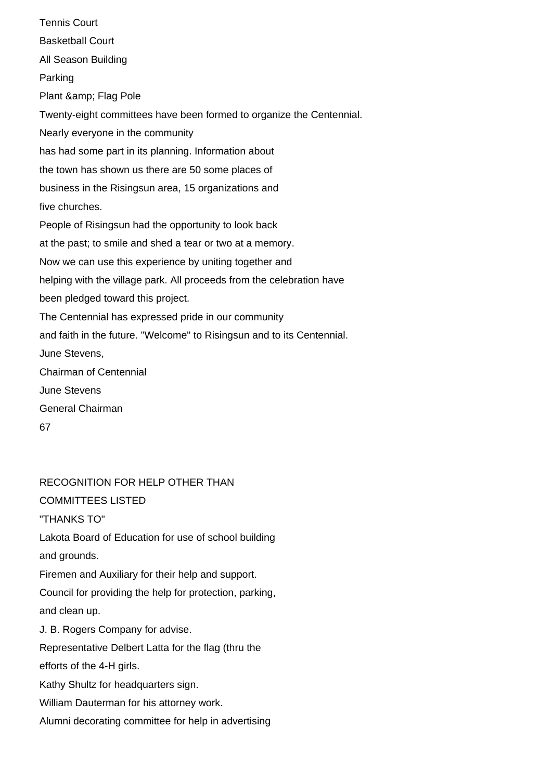Tennis Court Basketball Court All Season Building Parking Plant & amp; Flag Pole Twenty-eight committees have been formed to organize the Centennial. Nearly everyone in the community has had some part in its planning. Information about the town has shown us there are 50 some places of business in the Risingsun area, 15 organizations and five churches. People of Risingsun had the opportunity to look back at the past; to smile and shed a tear or two at a memory. Now we can use this experience by uniting together and helping with the village park. All proceeds from the celebration have been pledged toward this project. The Centennial has expressed pride in our community and faith in the future. "Welcome" to Risingsun and to its Centennial. June Stevens, Chairman of Centennial June Stevens General Chairman 67

RECOGNITION FOR HELP OTHER THAN COMMITTEES LISTED "THANKS TO" Lakota Board of Education for use of school building and grounds. Firemen and Auxiliary for their help and support. Council for providing the help for protection, parking, and clean up. J. B. Rogers Company for advise. Representative Delbert Latta for the flag (thru the efforts of the 4-H girls. Kathy Shultz for headquarters sign. William Dauterman for his attorney work. Alumni decorating committee for help in advertising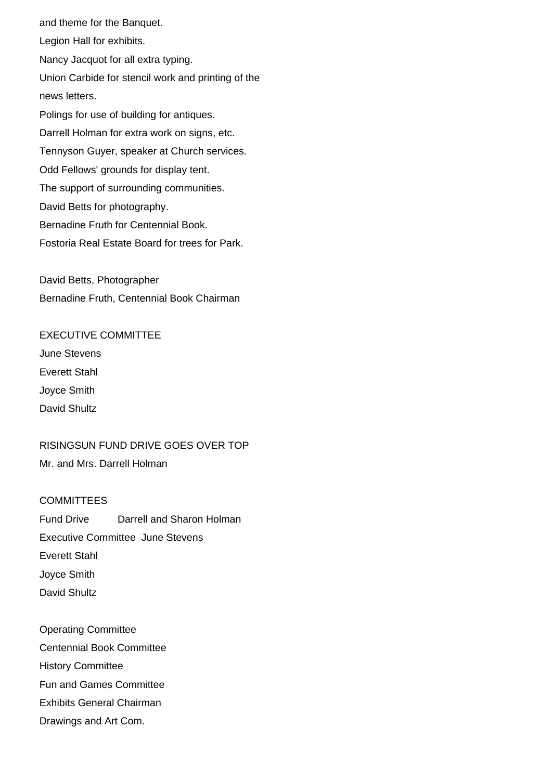and theme for the Banquet. Legion Hall for exhibits. Nancy Jacquot for all extra typing. Union Carbide for stencil work and printing of the news letters. Polings for use of building for antiques. Darrell Holman for extra work on signs, etc. Tennyson Guyer, speaker at Church services. Odd Fellows' grounds for display tent. The support of surrounding communities. David Betts for photography. Bernadine Fruth for Centennial Book. Fostoria Real Estate Board for trees for Park.

David Betts, Photographer Bernadine Fruth, Centennial Book Chairman

EXECUTIVE COMMITTEE June Stevens Everett Stahl Joyce Smith David Shultz

RISINGSUN FUND DRIVE GOES OVER TOP Mr. and Mrs. Darrell Holman

**COMMITTEES** Fund Drive Darrell and Sharon Holman Executive Committee June Stevens Everett Stahl Joyce Smith David Shultz

Operating Committee Centennial Book Committee History Committee Fun and Games Committee Exhibits General Chairman Drawings and Art Com.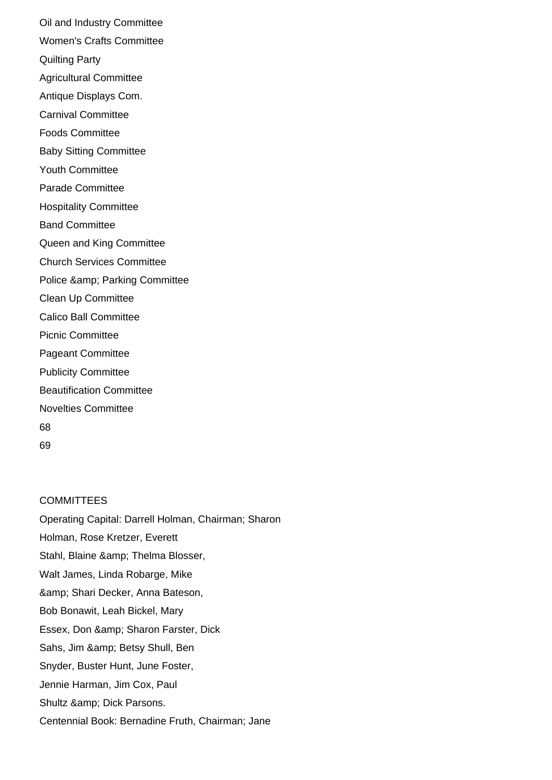Oil and Industry Committee Women's Crafts Committee Quilting Party Agricultural Committee Antique Displays Com. Carnival Committee Foods Committee Baby Sitting Committee Youth Committee Parade Committee Hospitality Committee Band Committee Queen and King Committee Church Services Committee Police & amp: Parking Committee Clean Up Committee Calico Ball Committee Picnic Committee Pageant Committee Publicity Committee Beautification Committee Novelties Committee 68 69

## **COMMITTEES**

Operating Capital: Darrell Holman, Chairman; Sharon Holman, Rose Kretzer, Everett Stahl, Blaine & amp; Thelma Blosser, Walt James, Linda Robarge, Mike & amp; Shari Decker, Anna Bateson, Bob Bonawit, Leah Bickel, Mary Essex, Don & amp; Sharon Farster, Dick Sahs, Jim & amp; Betsy Shull, Ben Snyder, Buster Hunt, June Foster, Jennie Harman, Jim Cox, Paul Shultz & amp; Dick Parsons. Centennial Book: Bernadine Fruth, Chairman; Jane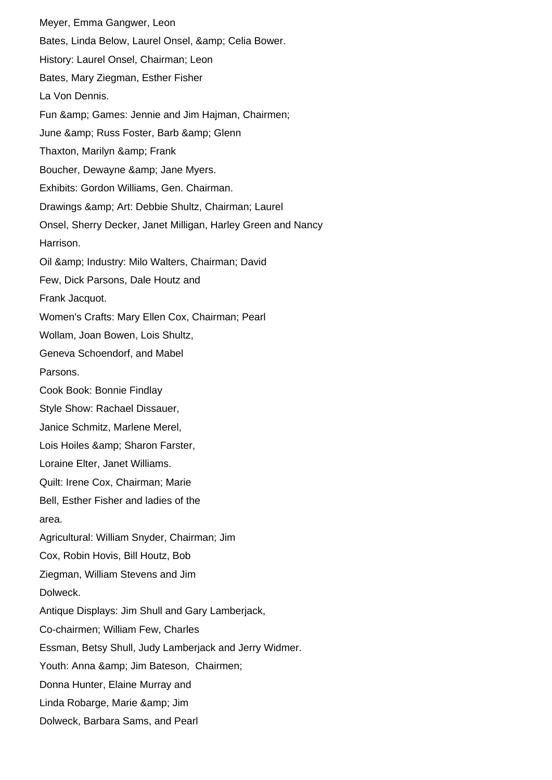Meyer, Emma Gangwer, Leon Bates, Linda Below, Laurel Onsel, & amp; Celia Bower. History: Laurel Onsel, Chairman; Leon Bates, Mary Ziegman, Esther Fisher La Von Dennis. Fun & Games: Jennie and Jim Hajman, Chairmen; June & amp; Russ Foster, Barb & amp; Glenn Thaxton, Marilyn & amp; Frank Boucher, Dewayne & amp; Jane Myers. Exhibits: Gordon Williams, Gen. Chairman. Drawings & amp; Art: Debbie Shultz, Chairman; Laurel Onsel, Sherry Decker, Janet Milligan, Harley Green and Nancy Harrison. Oil & Industry: Milo Walters, Chairman; David Few, Dick Parsons, Dale Houtz and Frank Jacquot. Women's Crafts: Mary Ellen Cox, Chairman; Pearl Wollam, Joan Bowen, Lois Shultz, Geneva Schoendorf, and Mabel Parsons. Cook Book: Bonnie Findlay Style Show: Rachael Dissauer, Janice Schmitz, Marlene Merel, Lois Hoiles & amp; Sharon Farster, Loraine Elter, Janet Williams. Quilt: Irene Cox, Chairman; Marie Bell, Esther Fisher and ladies of the area. Agricultural: William Snyder, Chairman; Jim Cox, Robin Hovis, Bill Houtz, Bob Ziegman, William Stevens and Jim Dolweck. Antique Displays: Jim Shull and Gary Lamberjack, Co-chairmen; William Few, Charles Essman, Betsy Shull, Judy Lamberjack and Jerry Widmer. Youth: Anna & amp; Jim Bateson, Chairmen; Donna Hunter, Elaine Murray and Linda Robarge, Marie & amp; Jim Dolweck, Barbara Sams, and Pearl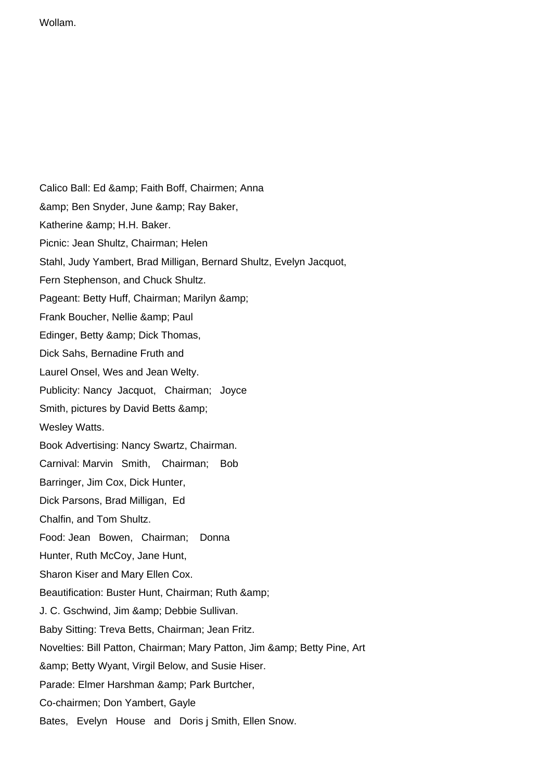Wollam.

Calico Ball: Ed & amp; Faith Boff, Chairmen; Anna & amp; Ben Snyder, June & amp; Ray Baker, Katherine & amp; H.H. Baker. Picnic: Jean Shultz, Chairman; Helen Stahl, Judy Yambert, Brad Milligan, Bernard Shultz, Evelyn Jacquot, Fern Stephenson, and Chuck Shultz. Pageant: Betty Huff, Chairman; Marilyn & Frank Boucher, Nellie & amp; Paul Edinger, Betty & amp; Dick Thomas, Dick Sahs, Bernadine Fruth and Laurel Onsel, Wes and Jean Welty. Publicity: Nancy Jacquot, Chairman; Joyce Smith, pictures by David Betts & Wesley Watts. Book Advertising: Nancy Swartz, Chairman. Carnival: Marvin Smith, Chairman; Bob Barringer, Jim Cox, Dick Hunter, Dick Parsons, Brad Milligan, Ed Chalfin, and Tom Shultz. Food: Jean Bowen, Chairman; Donna Hunter, Ruth McCoy, Jane Hunt, Sharon Kiser and Mary Ellen Cox. Beautification: Buster Hunt, Chairman; Ruth & amp; J. C. Gschwind, Jim & amp; Debbie Sullivan. Baby Sitting: Treva Betts, Chairman; Jean Fritz. Novelties: Bill Patton, Chairman; Mary Patton, Jim & amp; Betty Pine, Art & amp; Betty Wyant, Virgil Below, and Susie Hiser. Parade: Elmer Harshman & amp; Park Burtcher, Co-chairmen; Don Yambert, Gayle Bates, Evelyn House and Doris j Smith, Ellen Snow.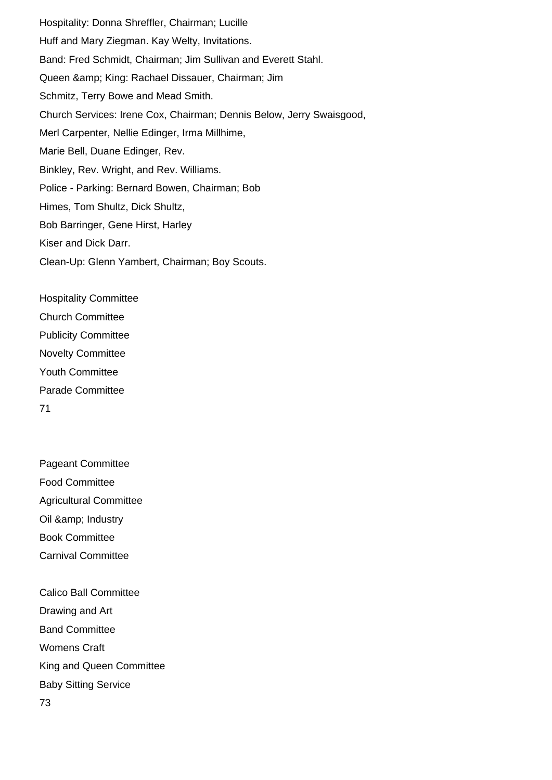Hospitality: Donna Shreffler, Chairman; Lucille Huff and Mary Ziegman. Kay Welty, Invitations. Band: Fred Schmidt, Chairman; Jim Sullivan and Everett Stahl. Queen & amp; King: Rachael Dissauer, Chairman; Jim Schmitz, Terry Bowe and Mead Smith. Church Services: Irene Cox, Chairman; Dennis Below, Jerry Swaisgood, Merl Carpenter, Nellie Edinger, Irma Millhime, Marie Bell, Duane Edinger, Rev. Binkley, Rev. Wright, and Rev. Williams. Police - Parking: Bernard Bowen, Chairman; Bob Himes, Tom Shultz, Dick Shultz, Bob Barringer, Gene Hirst, Harley Kiser and Dick Darr. Clean-Up: Glenn Yambert, Chairman; Boy Scouts.

Hospitality Committee Church Committee Publicity Committee Novelty Committee Youth Committee Parade Committee 71

Pageant Committee Food Committee Agricultural Committee Oil & amp; Industry Book Committee Carnival Committee Calico Ball Committee

Band Committee Womens Craft

Drawing and Art

King and Queen Committee

Baby Sitting Service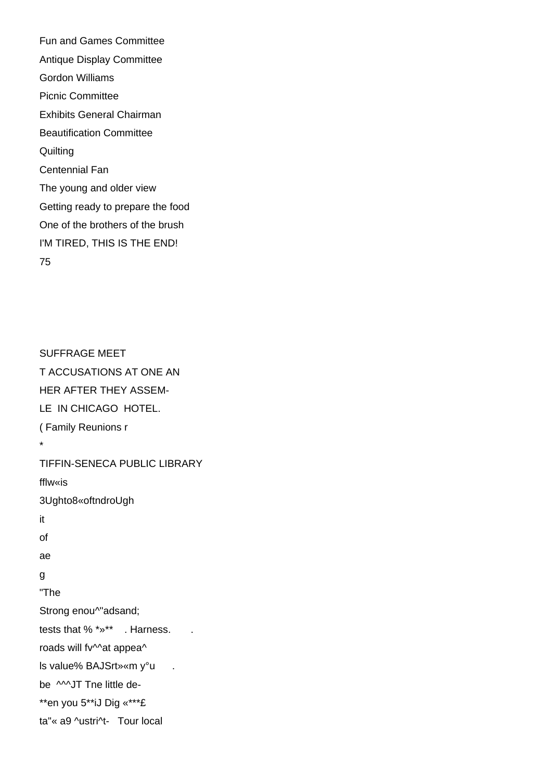Fun and Games Committee Antique Display Committee Gordon Williams Picnic Committee Exhibits General Chairman Beautification Committee **Quilting** Centennial Fan The young and older view Getting ready to prepare the food One of the brothers of the brush I'M TIRED, THIS IS THE END! 75

SUFFRAGE MEET T ACCUSATIONS AT ONE AN HER AFTER THEY ASSEM-LE IN CHICAGO HOTEL. ( Family Reunions r \* TIFFIN-SENECA PUBLIC LIBRARY fflw«is 3Ughto8«oftndroUgh it of ae g "The Strong enou^"adsand; tests that  $%$  \*  $*$  \*  $*$  . Harness. roads will fv^^at appea^ ls value% BAJSrt»«m y°u . be **MJT** Tne little de-\*\*en you 5\*\*iJ Dig «\*\*\*£ ta"« a9 ^ustri^t- Tour local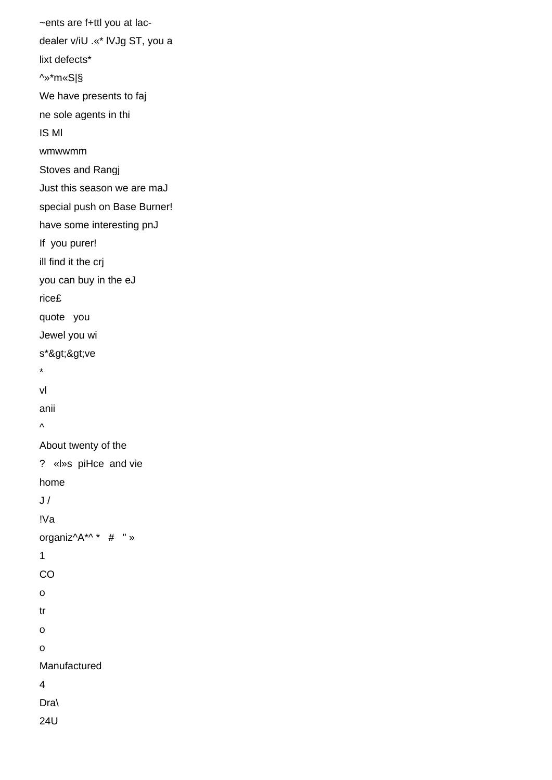```
~ents are f+ttl you at lac-
dealer v/iU .«* lVJg ST, you a
lixt defects*
^»*m«S|§
We have presents to faj
ne sole agents in thi
IS Ml
wmwwmm
Stoves and Rangj
Just this season we are maJ
special push on Base Burner!
have some interesting pnJ
If you purer!
ill find it the crj
you can buy in the eJ
rice£
quote you
Jewel you wi
s*>>ve
*
vl
anii
\boldsymbol{\wedge}About twenty of the
? «l»s piHce and vie
home
J /!Va
organiz^A*^ * # " »
1
CO
o
tr
o
o
Manufactured
4
Dra\
24U
```